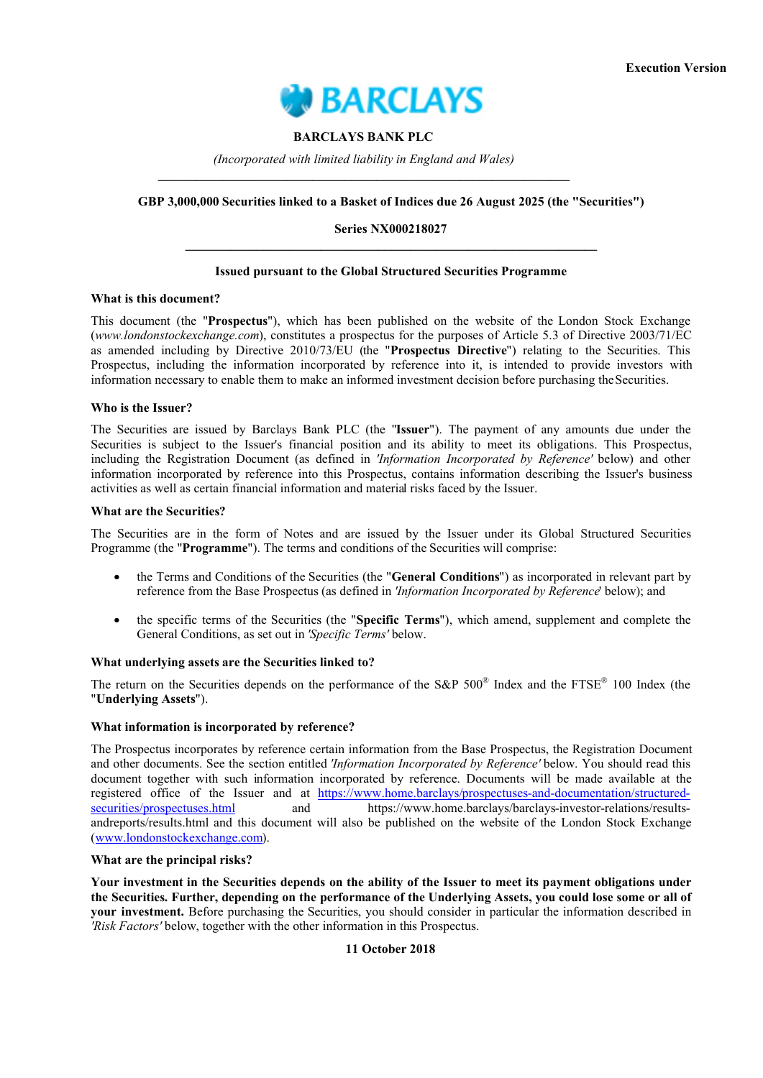

## **BARCLAYS BANK PLC**

*(Incorporated with limited liability in England and Wales)* **\_\_\_\_\_\_\_\_\_\_\_\_\_\_\_\_\_\_\_\_\_\_\_\_\_\_\_\_\_\_\_\_\_\_\_\_\_\_\_\_\_\_\_\_\_\_\_\_\_\_\_\_\_\_\_\_\_\_\_\_\_\_\_\_**

#### **GBP 3,000,000 Securities linked to a Basket of Indices due 26 August 2025 (the "Securities")**

## **Series NX000218027 \_\_\_\_\_\_\_\_\_\_\_\_\_\_\_\_\_\_\_\_\_\_\_\_\_\_\_\_\_\_\_\_\_\_\_\_\_\_\_\_\_\_\_\_\_\_\_\_\_\_\_\_\_\_\_\_\_\_\_\_\_\_\_\_**

## **Issued pursuant to the Global Structured Securities Programme**

#### **What is this document?**

This document (the "**Prospectus**"), which has been published on the website of the London Stock Exchange (*www.londonstockexchange.com*), constitutes a prospectus for the purposes of Article 5.3 of Directive 2003/71/EC as amended including by Directive 2010/73/EU (the "**Prospectus Directive**") relating to the Securities. This Prospectus, including the information incorporated by reference into it, is intended to provide investors with information necessary to enable them to make an informed investment decision before purchasing the Securities.

#### **Who is the Issuer?**

The Securities are issued by Barclays Bank PLC (the "**Issuer**"). The payment of any amounts due under the Securities is subject to the Issuer's financial position and its ability to meet its obligations. This Prospectus, including the Registration Document (as defined in *'Information Incorporated by Reference'* below) and other information incorporated by reference into this Prospectus, contains information describing the Issuer's business activities as well as certain financial information and material risks faced by the Issuer.

#### **What are the Securities?**

The Securities are in the form of Notes and are issued by the Issuer under its Global Structured Securities Programme (the "**Programme**"). The terms and conditions of the Securities will comprise:

- the Terms and Conditions of the Securities (the "**General Conditions**") as incorporated in relevant part by reference from the Base Prospectus (as defined in *'Information Incorporated by Reference*' below); and
- the specific terms of the Securities (the "**Specific Terms**"), which amend, supplement and complete the General Conditions, as set out in *'Specific Terms'* below.

#### **What underlying assets are the Securities linked to?**

The return on the Securities depends on the performance of the S&P  $500^{\circ}$  Index and the FTSE<sup>®</sup> 100 Index (the "**Underlying Assets**").

## **What information is incorporated by reference?**

The Prospectus incorporates by reference certain information from the Base Prospectus, the Registration Document and other documents. See the section entitled *'Information Incorporated by Reference'* below. You should read this document together with such information incorporated by reference. Documents will be made available at the registered office of the Issuer and at https://www.home.barclays/prospectuses-and-documentation/structuredsecurities/prospectuses.html and https://www.home.barclays/barclays-investor-relations/resultsandreports/results.html [and this document will also be published on the website of the London Stock Exchang](https://www.home.barclays/prospectuses-and-documentation/structured-securities/prospectuses.html)e (www.londonstockexchange.com).

## **[What are the principal risks?](http://www.londonstockexchange.com/)**

**Your investment in the Securities depends on the ability of the Issuer to meet its payment obligations under the Securities. Further, depending on the performance of the Underlying Assets, you could lose some or all of your investment.** Before purchasing the Securities, you should consider in particular the information described in *'Risk Factors'* below, together with the other information in this Prospectus.

#### **11 October 2018**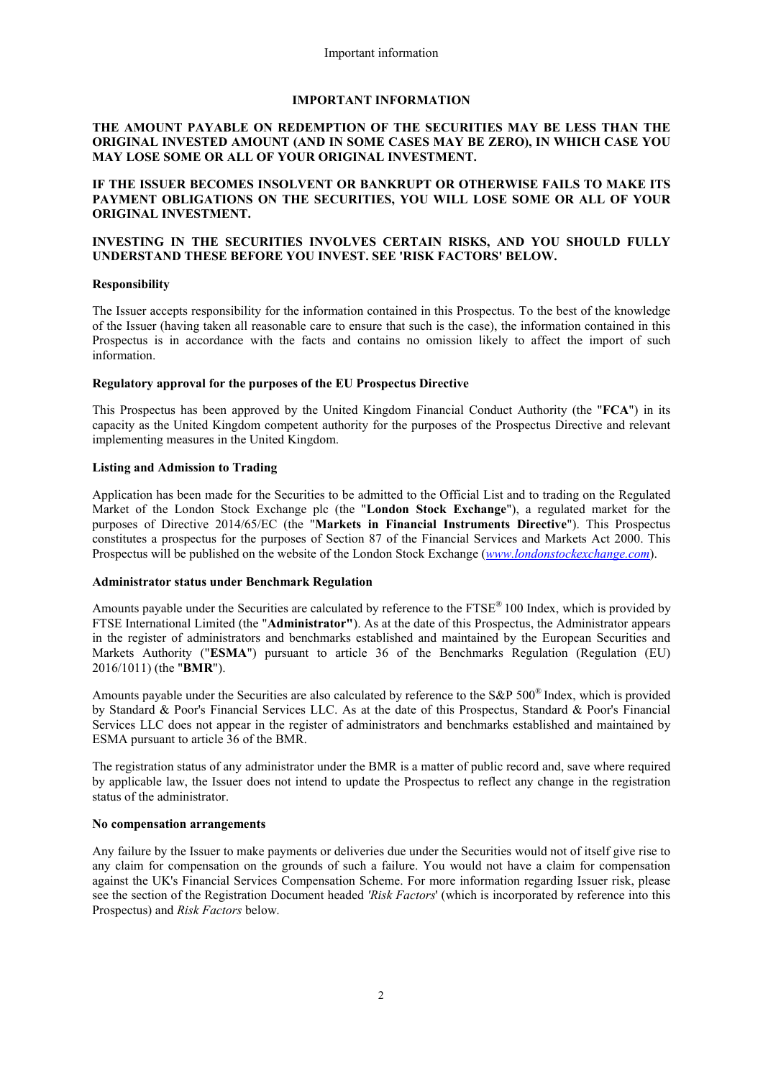#### **IMPORTANT INFORMATION**

## **THE AMOUNT PAYABLE ON REDEMPTION OF THE SECURITIES MAY BE LESS THAN THE ORIGINAL INVESTED AMOUNT (AND IN SOME CASES MAY BE ZERO), IN WHICH CASE YOU MAY LOSE SOME OR ALL OF YOUR ORIGINAL INVESTMENT.**

## **IF THE ISSUER BECOMES INSOLVENT OR BANKRUPT OR OTHERWISE FAILS TO MAKE ITS PAYMENT OBLIGATIONS ON THE SECURITIES, YOU WILL LOSE SOME OR ALL OF YOUR ORIGINAL INVESTMENT.**

## **INVESTING IN THE SECURITIES INVOLVES CERTAIN RISKS, AND YOU SHOULD FULLY UNDERSTAND THESE BEFORE YOU INVEST. SEE 'RISK FACTORS' BELOW.**

#### **Responsibility**

The Issuer accepts responsibility for the information contained in this Prospectus. To the best of the knowledge of the Issuer (having taken all reasonable care to ensure that such is the case), the information contained in this Prospectus is in accordance with the facts and contains no omission likely to affect the import of such information.

#### **Regulatory approval for the purposes of the EU Prospectus Directive**

This Prospectus has been approved by the United Kingdom Financial Conduct Authority (the "**FCA**") in its capacity as the United Kingdom competent authority for the purposes of the Prospectus Directive and relevant implementing measures in the United Kingdom.

#### **Listing and Admission to Trading**

Application has been made for the Securities to be admitted to the Official List and to trading on the Regulated Market of the London Stock Exchange plc (the "**London Stock Exchange**"), a regulated market for the purposes of Directive 2014/65/EC (the "**Markets in Financial Instruments Directive**"). This Prospectus constitutes a prospectus for the purposes of Section 87 of the Financial Services and Markets Act 2000. This Prospectus will be published on the website of the London Stock Exchange (*[www.londonstockexchange.com](http://www.londonstockexchange.com/)*).

#### **Administrator status under Benchmark Regulation**

Amounts payable under the Securities are calculated by reference to the FTSE® 100 Index, which is provided by FTSE International Limited (the "**Administrator"**). As at the date of this Prospectus, the Administrator appears in the register of administrators and benchmarks established and maintained by the European Securities and Markets Authority ("**ESMA**") pursuant to article 36 of the Benchmarks Regulation (Regulation (EU) 2016/1011) (the "**BMR**").

Amounts payable under the Securities are also calculated by reference to the S&P 500® Index, which is provided by Standard & Poor's Financial Services LLC. As at the date of this Prospectus, Standard & Poor's Financial Services LLC does not appear in the register of administrators and benchmarks established and maintained by ESMA pursuant to article 36 of the BMR.

The registration status of any administrator under the BMR is a matter of public record and, save where required by applicable law, the Issuer does not intend to update the Prospectus to reflect any change in the registration status of the administrator.

#### **No compensation arrangements**

Any failure by the Issuer to make payments or deliveries due under the Securities would not of itself give rise to any claim for compensation on the grounds of such a failure. You would not have a claim for compensation against the UK's Financial Services Compensation Scheme. For more information regarding Issuer risk, please see the section of the Registration Document headed *'Risk Factors*' (which is incorporated by reference into this Prospectus) and *Risk Factors* below.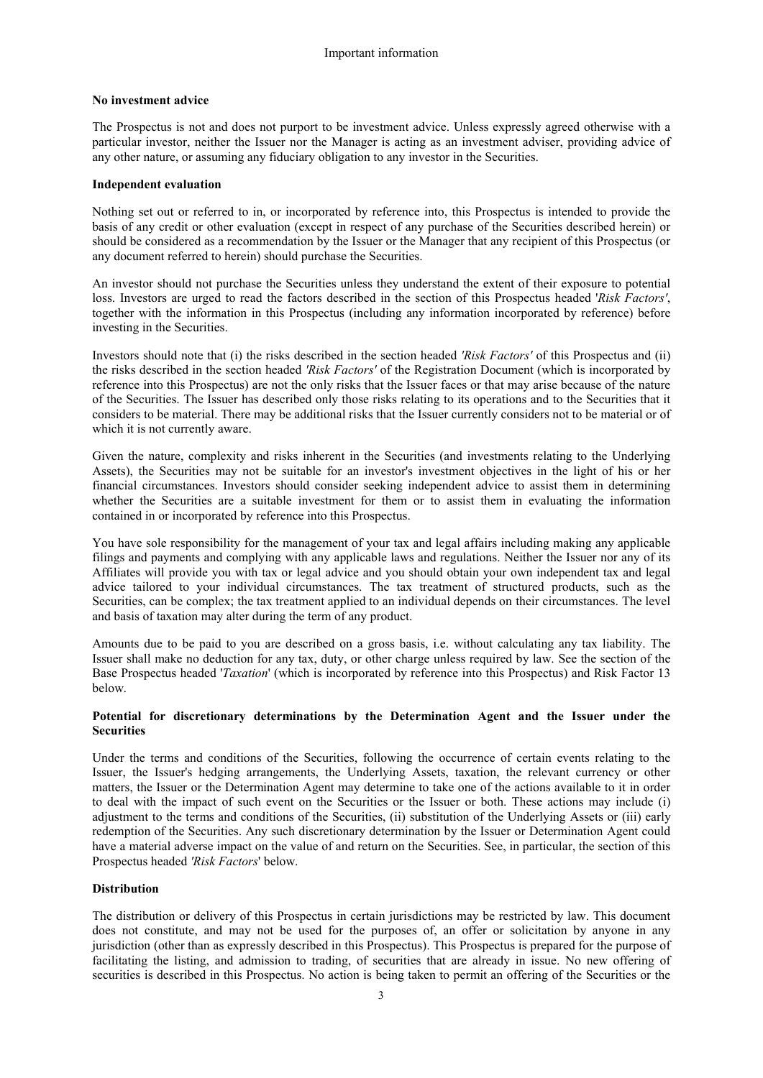## **No investment advice**

The Prospectus is not and does not purport to be investment advice. Unless expressly agreed otherwise with a particular investor, neither the Issuer nor the Manager is acting as an investment adviser, providing advice of any other nature, or assuming any fiduciary obligation to any investor in the Securities.

#### **Independent evaluation**

Nothing set out or referred to in, or incorporated by reference into, this Prospectus is intended to provide the basis of any credit or other evaluation (except in respect of any purchase of the Securities described herein) or should be considered as a recommendation by the Issuer or the Manager that any recipient of this Prospectus (or any document referred to herein) should purchase the Securities.

An investor should not purchase the Securities unless they understand the extent of their exposure to potential loss. Investors are urged to read the factors described in the section of this Prospectus headed '*Risk Factors'*, together with the information in this Prospectus (including any information incorporated by reference) before investing in the Securities.

Investors should note that (i) the risks described in the section headed *'Risk Factors'* of this Prospectus and (ii) the risks described in the section headed *'Risk Factors'* of the Registration Document (which is incorporated by reference into this Prospectus) are not the only risks that the Issuer faces or that may arise because of the nature of the Securities. The Issuer has described only those risks relating to its operations and to the Securities that it considers to be material. There may be additional risks that the Issuer currently considers not to be material or of which it is not currently aware.

Given the nature, complexity and risks inherent in the Securities (and investments relating to the Underlying Assets), the Securities may not be suitable for an investor's investment objectives in the light of his or her financial circumstances. Investors should consider seeking independent advice to assist them in determining whether the Securities are a suitable investment for them or to assist them in evaluating the information contained in or incorporated by reference into this Prospectus.

You have sole responsibility for the management of your tax and legal affairs including making any applicable filings and payments and complying with any applicable laws and regulations. Neither the Issuer nor any of its Affiliates will provide you with tax or legal advice and you should obtain your own independent tax and legal advice tailored to your individual circumstances. The tax treatment of structured products, such as the Securities, can be complex; the tax treatment applied to an individual depends on their circumstances. The level and basis of taxation may alter during the term of any product.

Amounts due to be paid to you are described on a gross basis, i.e. without calculating any tax liability. The Issuer shall make no deduction for any tax, duty, or other charge unless required by law. See the section of the Base Prospectus headed '*Taxation*' (which is incorporated by reference into this Prospectus) and Risk Factor 13 below.

## **Potential for discretionary determinations by the Determination Agent and the Issuer under the Securities**

Under the terms and conditions of the Securities, following the occurrence of certain events relating to the Issuer, the Issuer's hedging arrangements, the Underlying Assets, taxation, the relevant currency or other matters, the Issuer or the Determination Agent may determine to take one of the actions available to it in order to deal with the impact of such event on the Securities or the Issuer or both. These actions may include (i) adjustment to the terms and conditions of the Securities, (ii) substitution of the Underlying Assets or (iii) early redemption of the Securities. Any such discretionary determination by the Issuer or Determination Agent could have a material adverse impact on the value of and return on the Securities. See, in particular, the section of this Prospectus headed *'Risk Factors*' below.

## **Distribution**

The distribution or delivery of this Prospectus in certain jurisdictions may be restricted by law. This document does not constitute, and may not be used for the purposes of, an offer or solicitation by anyone in any jurisdiction (other than as expressly described in this Prospectus). This Prospectus is prepared for the purpose of facilitating the listing, and admission to trading, of securities that are already in issue. No new offering of securities is described in this Prospectus. No action is being taken to permit an offering of the Securities or the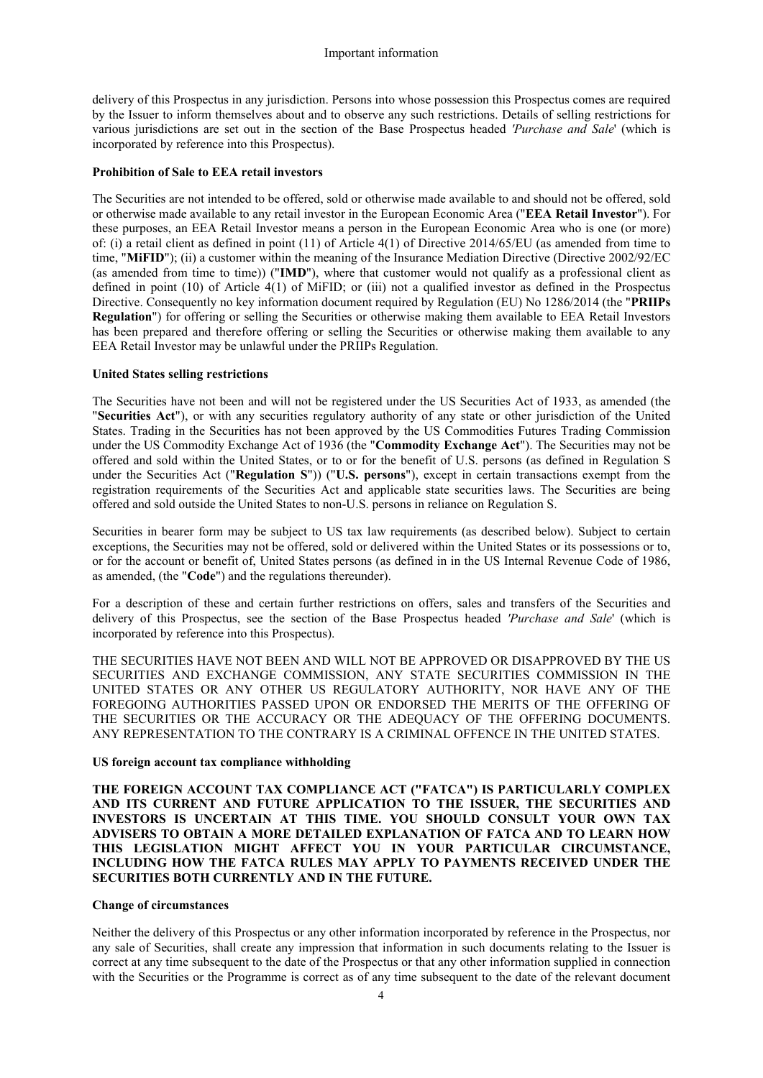delivery of this Prospectus in any jurisdiction. Persons into whose possession this Prospectus comes are required by the Issuer to inform themselves about and to observe any such restrictions. Details of selling restrictions for various jurisdictions are set out in the section of the Base Prospectus headed *'Purchase and Sale*' (which is incorporated by reference into this Prospectus).

## **Prohibition of Sale to EEA retail investors**

The Securities are not intended to be offered, sold or otherwise made available to and should not be offered, sold or otherwise made available to any retail investor in the European Economic Area ("**EEA Retail Investor**"). For these purposes, an EEA Retail Investor means a person in the European Economic Area who is one (or more) of: (i) a retail client as defined in point (11) of Article 4(1) of Directive 2014/65/EU (as amended from time to time, "**MiFID**"); (ii) a customer within the meaning of the Insurance Mediation Directive (Directive 2002/92/EC (as amended from time to time)) ("**IMD**"), where that customer would not qualify as a professional client as defined in point (10) of Article 4(1) of MiFID; or (iii) not a qualified investor as defined in the Prospectus Directive. Consequently no key information document required by Regulation (EU) No 1286/2014 (the "**PRIIPs Regulation**") for offering or selling the Securities or otherwise making them available to EEA Retail Investors has been prepared and therefore offering or selling the Securities or otherwise making them available to any EEA Retail Investor may be unlawful under the PRIIPs Regulation.

## **United States selling restrictions**

The Securities have not been and will not be registered under the US Securities Act of 1933, as amended (the "**Securities Act**"), or with any securities regulatory authority of any state or other jurisdiction of the United States. Trading in the Securities has not been approved by the US Commodities Futures Trading Commission under the US Commodity Exchange Act of 1936 (the "**Commodity Exchange Act**"). The Securities may not be offered and sold within the United States, or to or for the benefit of U.S. persons (as defined in Regulation S under the Securities Act ("**Regulation S**")) ("**U.S. persons**"), except in certain transactions exempt from the registration requirements of the Securities Act and applicable state securities laws. The Securities are being offered and sold outside the United States to non-U.S. persons in reliance on Regulation S.

Securities in bearer form may be subject to US tax law requirements (as described below). Subject to certain exceptions, the Securities may not be offered, sold or delivered within the United States or its possessions or to, or for the account or benefit of, United States persons (as defined in in the US Internal Revenue Code of 1986, as amended, (the "**Code**") and the regulations thereunder).

For a description of these and certain further restrictions on offers, sales and transfers of the Securities and delivery of this Prospectus, see the section of the Base Prospectus headed *'Purchase and Sale*' (which is incorporated by reference into this Prospectus).

THE SECURITIES HAVE NOT BEEN AND WILL NOT BE APPROVED OR DISAPPROVED BY THE US SECURITIES AND EXCHANGE COMMISSION, ANY STATE SECURITIES COMMISSION IN THE UNITED STATES OR ANY OTHER US REGULATORY AUTHORITY, NOR HAVE ANY OF THE FOREGOING AUTHORITIES PASSED UPON OR ENDORSED THE MERITS OF THE OFFERING OF THE SECURITIES OR THE ACCURACY OR THE ADEQUACY OF THE OFFERING DOCUMENTS. ANY REPRESENTATION TO THE CONTRARY IS A CRIMINAL OFFENCE IN THE UNITED STATES.

#### **US foreign account tax compliance withholding**

**THE FOREIGN ACCOUNT TAX COMPLIANCE ACT ("FATCA") IS PARTICULARLY COMPLEX AND ITS CURRENT AND FUTURE APPLICATION TO THE ISSUER, THE SECURITIES AND INVESTORS IS UNCERTAIN AT THIS TIME. YOU SHOULD CONSULT YOUR OWN TAX ADVISERS TO OBTAIN A MORE DETAILED EXPLANATION OF FATCA AND TO LEARN HOW THIS LEGISLATION MIGHT AFFECT YOU IN YOUR PARTICULAR CIRCUMSTANCE, INCLUDING HOW THE FATCA RULES MAY APPLY TO PAYMENTS RECEIVED UNDER THE SECURITIES BOTH CURRENTLY AND IN THE FUTURE.** 

## **Change of circumstances**

Neither the delivery of this Prospectus or any other information incorporated by reference in the Prospectus, nor any sale of Securities, shall create any impression that information in such documents relating to the Issuer is correct at any time subsequent to the date of the Prospectus or that any other information supplied in connection with the Securities or the Programme is correct as of any time subsequent to the date of the relevant document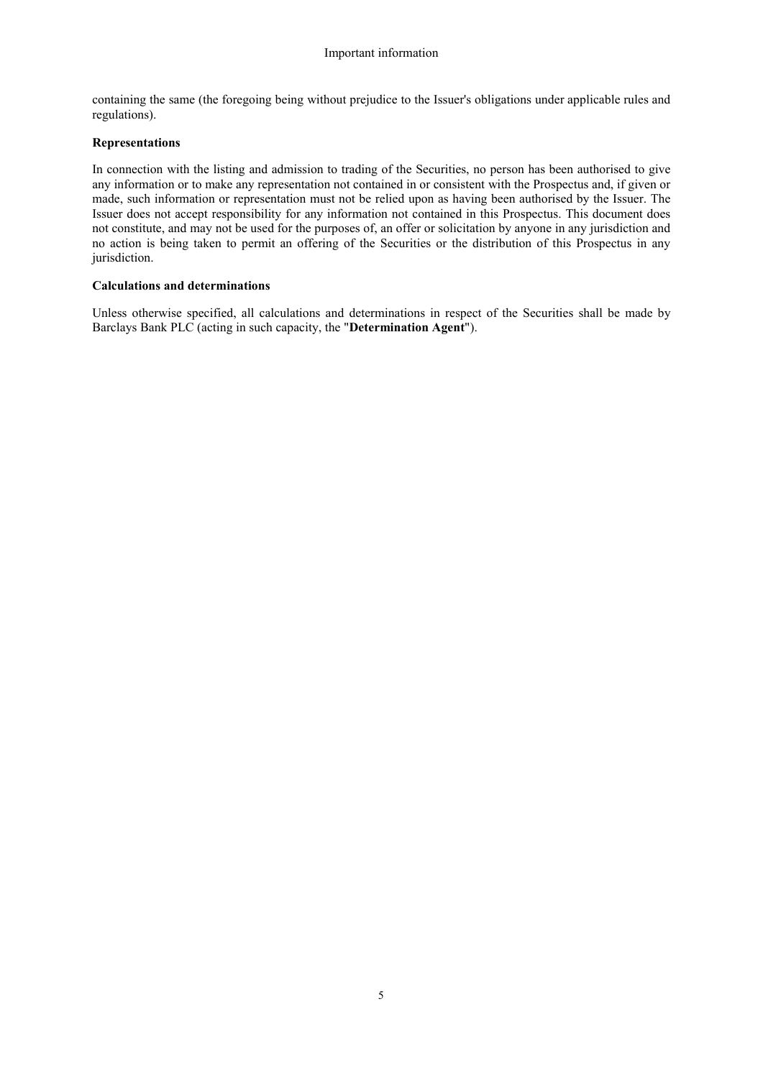containing the same (the foregoing being without prejudice to the Issuer's obligations under applicable rules and regulations).

## **Representations**

In connection with the listing and admission to trading of the Securities, no person has been authorised to give any information or to make any representation not contained in or consistent with the Prospectus and, if given or made, such information or representation must not be relied upon as having been authorised by the Issuer. The Issuer does not accept responsibility for any information not contained in this Prospectus. This document does not constitute, and may not be used for the purposes of, an offer or solicitation by anyone in any jurisdiction and no action is being taken to permit an offering of the Securities or the distribution of this Prospectus in any jurisdiction.

# **Calculations and determinations**

Unless otherwise specified, all calculations and determinations in respect of the Securities shall be made by Barclays Bank PLC (acting in such capacity, the "**Determination Agent**").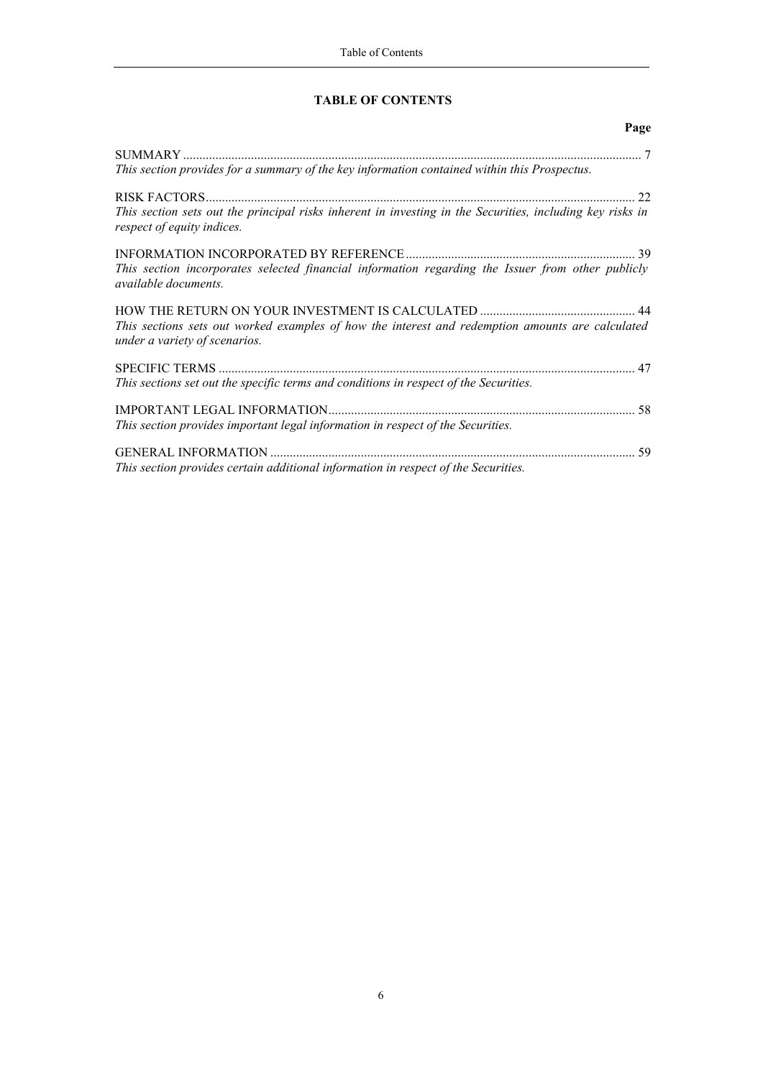# **TABLE OF CONTENTS**

# **Page**

|                                                                                                                                         | $\overline{7}$ |
|-----------------------------------------------------------------------------------------------------------------------------------------|----------------|
| This section provides for a summary of the key information contained within this Prospectus.                                            |                |
|                                                                                                                                         | 22             |
| This section sets out the principal risks inherent in investing in the Securities, including key risks in<br>respect of equity indices. |                |
|                                                                                                                                         | 39             |
| This section incorporates selected financial information regarding the Issuer from other publicly<br><i>available documents.</i>        |                |
|                                                                                                                                         |                |
| This sections sets out worked examples of how the interest and redemption amounts are calculated<br>under a variety of scenarios.       |                |
| <b>SPECIFIC TERMS</b>                                                                                                                   |                |
| This sections set out the specific terms and conditions in respect of the Securities.                                                   |                |
|                                                                                                                                         | 58             |
| This section provides important legal information in respect of the Securities.                                                         |                |
|                                                                                                                                         | 59             |
| This section provides certain additional information in respect of the Securities.                                                      |                |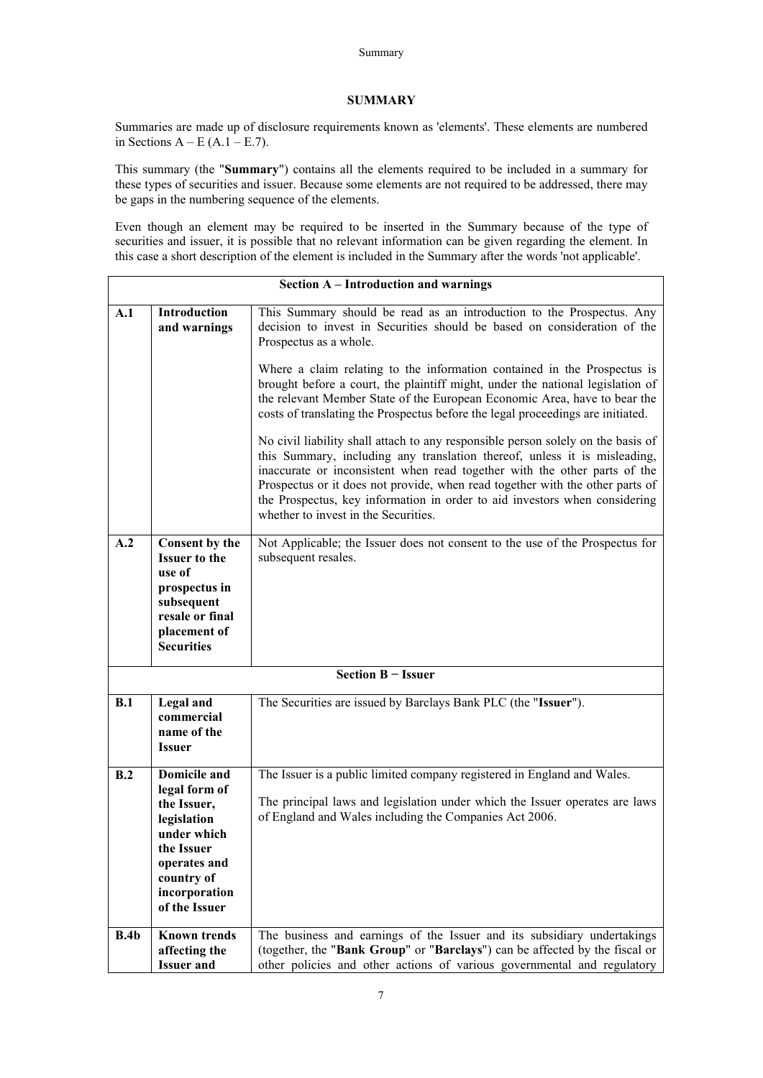#### Summary

## <span id="page-6-0"></span>**SUMMARY**

Summaries are made up of disclosure requirements known as 'elements'. These elements are numbered in Sections  $A - E (A.1 - E.7)$ .

This summary (the "**Summary**") contains all the elements required to be included in a summary for these types of securities and issuer. Because some elements are not required to be addressed, there may be gaps in the numbering sequence of the elements.

Even though an element may be required to be inserted in the Summary because of the type of securities and issuer, it is possible that no relevant information can be given regarding the element. In this case a short description of the element is included in the Summary after the words 'not applicable'.

|      |                                                                                                                                                          | <b>Section A – Introduction and warnings</b>                                                                                                                                                                                                                                                                                                                                                                                                                                                                                                                                                                                                                                                                                                                                                                                                                                                                                                                   |
|------|----------------------------------------------------------------------------------------------------------------------------------------------------------|----------------------------------------------------------------------------------------------------------------------------------------------------------------------------------------------------------------------------------------------------------------------------------------------------------------------------------------------------------------------------------------------------------------------------------------------------------------------------------------------------------------------------------------------------------------------------------------------------------------------------------------------------------------------------------------------------------------------------------------------------------------------------------------------------------------------------------------------------------------------------------------------------------------------------------------------------------------|
| A.1  | <b>Introduction</b><br>and warnings                                                                                                                      | This Summary should be read as an introduction to the Prospectus. Any<br>decision to invest in Securities should be based on consideration of the<br>Prospectus as a whole.<br>Where a claim relating to the information contained in the Prospectus is<br>brought before a court, the plaintiff might, under the national legislation of<br>the relevant Member State of the European Economic Area, have to bear the<br>costs of translating the Prospectus before the legal proceedings are initiated.<br>No civil liability shall attach to any responsible person solely on the basis of<br>this Summary, including any translation thereof, unless it is misleading,<br>inaccurate or inconsistent when read together with the other parts of the<br>Prospectus or it does not provide, when read together with the other parts of<br>the Prospectus, key information in order to aid investors when considering<br>whether to invest in the Securities. |
| A.2  | Consent by the<br><b>Issuer to the</b><br>use of<br>prospectus in<br>subsequent<br>resale or final<br>placement of<br><b>Securities</b>                  | Not Applicable; the Issuer does not consent to the use of the Prospectus for<br>subsequent resales.                                                                                                                                                                                                                                                                                                                                                                                                                                                                                                                                                                                                                                                                                                                                                                                                                                                            |
|      |                                                                                                                                                          | Section B - Issuer                                                                                                                                                                                                                                                                                                                                                                                                                                                                                                                                                                                                                                                                                                                                                                                                                                                                                                                                             |
| B.1  | Legal and<br>commercial<br>name of the<br><b>Issuer</b>                                                                                                  | The Securities are issued by Barclays Bank PLC (the "Issuer").                                                                                                                                                                                                                                                                                                                                                                                                                                                                                                                                                                                                                                                                                                                                                                                                                                                                                                 |
| B.2  | Domicile and<br>legal form of<br>the Issuer,<br>legislation<br>under which<br>the Issuer<br>operates and<br>country of<br>incorporation<br>of the Issuer | The Issuer is a public limited company registered in England and Wales.<br>The principal laws and legislation under which the Issuer operates are laws<br>of England and Wales including the Companies Act 2006.                                                                                                                                                                                                                                                                                                                                                                                                                                                                                                                                                                                                                                                                                                                                               |
| B.4b | <b>Known trends</b><br>affecting the<br><b>Issuer and</b>                                                                                                | The business and earnings of the Issuer and its subsidiary undertakings<br>(together, the "Bank Group" or "Barclays") can be affected by the fiscal or<br>other policies and other actions of various governmental and regulatory                                                                                                                                                                                                                                                                                                                                                                                                                                                                                                                                                                                                                                                                                                                              |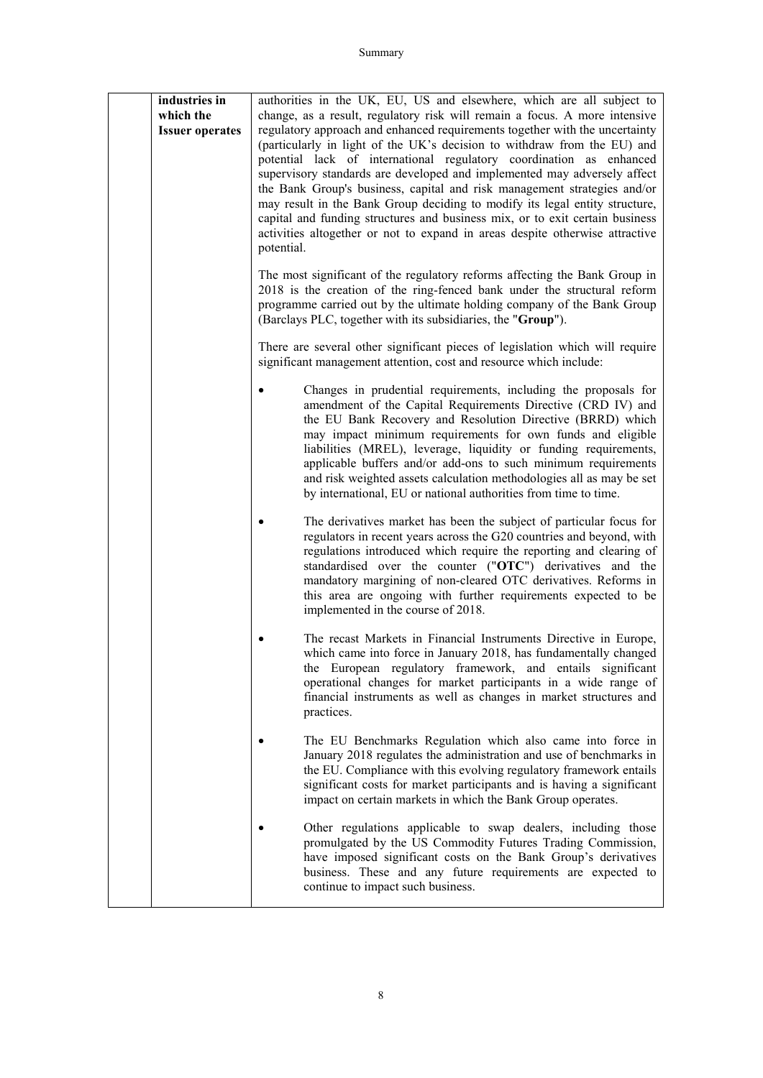| industries in<br>which the<br><b>Issuer operates</b> | authorities in the UK, EU, US and elsewhere, which are all subject to<br>change, as a result, regulatory risk will remain a focus. A more intensive<br>regulatory approach and enhanced requirements together with the uncertainty<br>(particularly in light of the UK's decision to withdraw from the EU) and<br>potential lack of international regulatory coordination as enhanced<br>supervisory standards are developed and implemented may adversely affect<br>the Bank Group's business, capital and risk management strategies and/or<br>may result in the Bank Group deciding to modify its legal entity structure,<br>capital and funding structures and business mix, or to exit certain business<br>activities altogether or not to expand in areas despite otherwise attractive<br>potential. |
|------------------------------------------------------|------------------------------------------------------------------------------------------------------------------------------------------------------------------------------------------------------------------------------------------------------------------------------------------------------------------------------------------------------------------------------------------------------------------------------------------------------------------------------------------------------------------------------------------------------------------------------------------------------------------------------------------------------------------------------------------------------------------------------------------------------------------------------------------------------------|
|                                                      | The most significant of the regulatory reforms affecting the Bank Group in<br>2018 is the creation of the ring-fenced bank under the structural reform<br>programme carried out by the ultimate holding company of the Bank Group<br>(Barclays PLC, together with its subsidiaries, the "Group").                                                                                                                                                                                                                                                                                                                                                                                                                                                                                                          |
|                                                      | There are several other significant pieces of legislation which will require<br>significant management attention, cost and resource which include:                                                                                                                                                                                                                                                                                                                                                                                                                                                                                                                                                                                                                                                         |
|                                                      | Changes in prudential requirements, including the proposals for<br>amendment of the Capital Requirements Directive (CRD IV) and<br>the EU Bank Recovery and Resolution Directive (BRRD) which<br>may impact minimum requirements for own funds and eligible<br>liabilities (MREL), leverage, liquidity or funding requirements,<br>applicable buffers and/or add-ons to such minimum requirements<br>and risk weighted assets calculation methodologies all as may be set<br>by international, EU or national authorities from time to time.                                                                                                                                                                                                                                                               |
|                                                      | The derivatives market has been the subject of particular focus for<br>regulators in recent years across the G20 countries and beyond, with<br>regulations introduced which require the reporting and clearing of<br>standardised over the counter ("OTC") derivatives and the<br>mandatory margining of non-cleared OTC derivatives. Reforms in<br>this area are ongoing with further requirements expected to be<br>implemented in the course of 2018.                                                                                                                                                                                                                                                                                                                                                   |
|                                                      | The recast Markets in Financial Instruments Directive in Europe,<br>which came into force in January 2018, has fundamentally changed<br>the European regulatory framework, and entails significant<br>operational changes for market participants in a wide range of<br>financial instruments as well as changes in market structures and<br>practices.                                                                                                                                                                                                                                                                                                                                                                                                                                                    |
|                                                      | The EU Benchmarks Regulation which also came into force in<br>January 2018 regulates the administration and use of benchmarks in<br>the EU. Compliance with this evolving regulatory framework entails<br>significant costs for market participants and is having a significant<br>impact on certain markets in which the Bank Group operates.                                                                                                                                                                                                                                                                                                                                                                                                                                                             |
|                                                      | Other regulations applicable to swap dealers, including those<br>promulgated by the US Commodity Futures Trading Commission,<br>have imposed significant costs on the Bank Group's derivatives<br>business. These and any future requirements are expected to<br>continue to impact such business.                                                                                                                                                                                                                                                                                                                                                                                                                                                                                                         |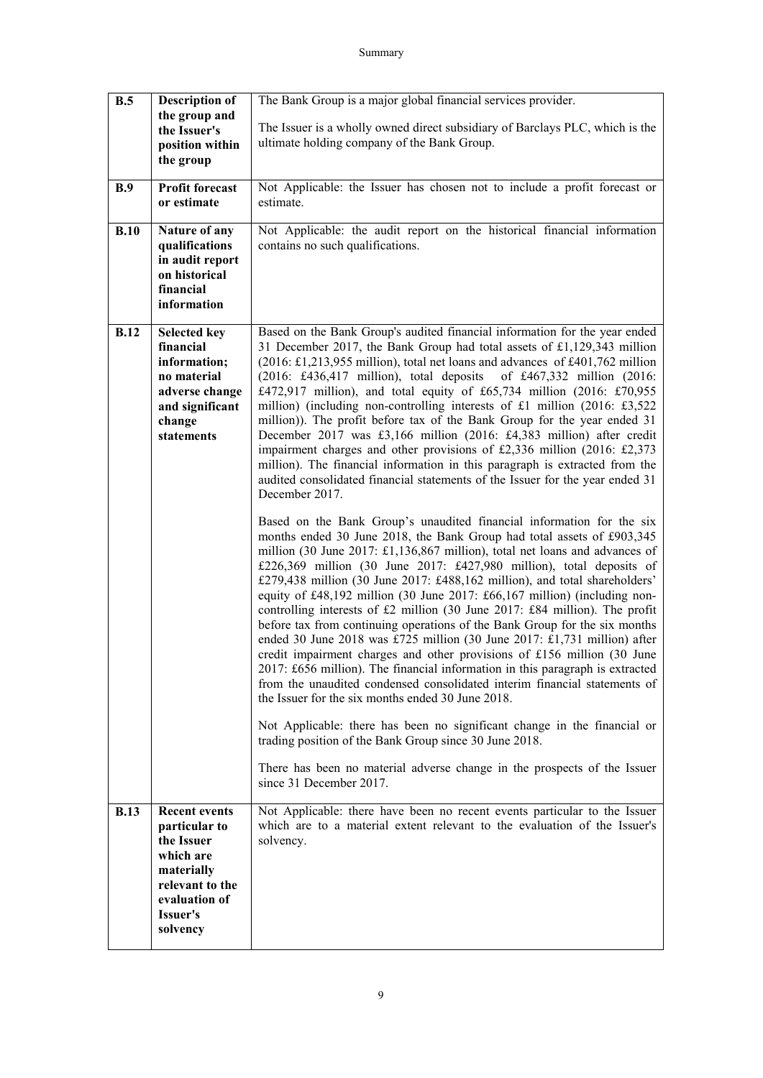| B.5         | <b>Description of</b>                                                                             | The Bank Group is a major global financial services provider.                                                                                                                                                                                                                                                                                                                                                                                                                                                                                                                                                                                                                                                                                                                                                                                         |
|-------------|---------------------------------------------------------------------------------------------------|-------------------------------------------------------------------------------------------------------------------------------------------------------------------------------------------------------------------------------------------------------------------------------------------------------------------------------------------------------------------------------------------------------------------------------------------------------------------------------------------------------------------------------------------------------------------------------------------------------------------------------------------------------------------------------------------------------------------------------------------------------------------------------------------------------------------------------------------------------|
|             | the group and                                                                                     |                                                                                                                                                                                                                                                                                                                                                                                                                                                                                                                                                                                                                                                                                                                                                                                                                                                       |
|             | the Issuer's                                                                                      | The Issuer is a wholly owned direct subsidiary of Barclays PLC, which is the<br>ultimate holding company of the Bank Group.                                                                                                                                                                                                                                                                                                                                                                                                                                                                                                                                                                                                                                                                                                                           |
|             | position within                                                                                   |                                                                                                                                                                                                                                                                                                                                                                                                                                                                                                                                                                                                                                                                                                                                                                                                                                                       |
|             | the group                                                                                         |                                                                                                                                                                                                                                                                                                                                                                                                                                                                                                                                                                                                                                                                                                                                                                                                                                                       |
| B.9         | <b>Profit forecast</b>                                                                            | Not Applicable: the Issuer has chosen not to include a profit forecast or                                                                                                                                                                                                                                                                                                                                                                                                                                                                                                                                                                                                                                                                                                                                                                             |
|             | or estimate                                                                                       | estimate.                                                                                                                                                                                                                                                                                                                                                                                                                                                                                                                                                                                                                                                                                                                                                                                                                                             |
|             |                                                                                                   |                                                                                                                                                                                                                                                                                                                                                                                                                                                                                                                                                                                                                                                                                                                                                                                                                                                       |
| B.10        | Nature of any                                                                                     | Not Applicable: the audit report on the historical financial information                                                                                                                                                                                                                                                                                                                                                                                                                                                                                                                                                                                                                                                                                                                                                                              |
|             | qualifications                                                                                    | contains no such qualifications.                                                                                                                                                                                                                                                                                                                                                                                                                                                                                                                                                                                                                                                                                                                                                                                                                      |
|             | in audit report<br>on historical                                                                  |                                                                                                                                                                                                                                                                                                                                                                                                                                                                                                                                                                                                                                                                                                                                                                                                                                                       |
|             | financial                                                                                         |                                                                                                                                                                                                                                                                                                                                                                                                                                                                                                                                                                                                                                                                                                                                                                                                                                                       |
|             | information                                                                                       |                                                                                                                                                                                                                                                                                                                                                                                                                                                                                                                                                                                                                                                                                                                                                                                                                                                       |
|             |                                                                                                   |                                                                                                                                                                                                                                                                                                                                                                                                                                                                                                                                                                                                                                                                                                                                                                                                                                                       |
| <b>B.12</b> | <b>Selected key</b>                                                                               | Based on the Bank Group's audited financial information for the year ended                                                                                                                                                                                                                                                                                                                                                                                                                                                                                                                                                                                                                                                                                                                                                                            |
|             | financial                                                                                         | 31 December 2017, the Bank Group had total assets of £1,129,343 million                                                                                                                                                                                                                                                                                                                                                                                                                                                                                                                                                                                                                                                                                                                                                                               |
|             | information;                                                                                      | (2016: £1,213,955 million), total net loans and advances of £401,762 million                                                                                                                                                                                                                                                                                                                                                                                                                                                                                                                                                                                                                                                                                                                                                                          |
|             | no material<br>adverse change                                                                     | (2016: £436,417 million), total deposits of £467,332 million (2016:<br>£472,917 million), and total equity of £65,734 million (2016: £70,955                                                                                                                                                                                                                                                                                                                                                                                                                                                                                                                                                                                                                                                                                                          |
|             | and significant                                                                                   | million) (including non-controlling interests of £1 million $(2016: £3,522)$                                                                                                                                                                                                                                                                                                                                                                                                                                                                                                                                                                                                                                                                                                                                                                          |
|             | change                                                                                            | million)). The profit before tax of the Bank Group for the year ended 31                                                                                                                                                                                                                                                                                                                                                                                                                                                                                                                                                                                                                                                                                                                                                                              |
|             | statements                                                                                        | December 2017 was £3,166 million (2016: £4,383 million) after credit                                                                                                                                                                                                                                                                                                                                                                                                                                                                                                                                                                                                                                                                                                                                                                                  |
|             |                                                                                                   | impairment charges and other provisions of £2,336 million (2016: £2,373                                                                                                                                                                                                                                                                                                                                                                                                                                                                                                                                                                                                                                                                                                                                                                               |
|             |                                                                                                   | million). The financial information in this paragraph is extracted from the                                                                                                                                                                                                                                                                                                                                                                                                                                                                                                                                                                                                                                                                                                                                                                           |
|             |                                                                                                   | audited consolidated financial statements of the Issuer for the year ended 31                                                                                                                                                                                                                                                                                                                                                                                                                                                                                                                                                                                                                                                                                                                                                                         |
|             |                                                                                                   | December 2017.                                                                                                                                                                                                                                                                                                                                                                                                                                                                                                                                                                                                                                                                                                                                                                                                                                        |
|             |                                                                                                   | Based on the Bank Group's unaudited financial information for the six<br>months ended 30 June 2018, the Bank Group had total assets of £903,345                                                                                                                                                                                                                                                                                                                                                                                                                                                                                                                                                                                                                                                                                                       |
|             |                                                                                                   | million (30 June 2017: £1,136,867 million), total net loans and advances of<br>£226,369 million (30 June 2017: £427,980 million), total deposits of<br>£279,438 million (30 June 2017: £488,162 million), and total shareholders'<br>equity of £48,192 million (30 June 2017: £66,167 million) (including non-<br>controlling interests of £2 million (30 June 2017: £84 million). The profit<br>before tax from continuing operations of the Bank Group for the six months<br>ended 30 June 2018 was £725 million (30 June 2017: £1,731 million) after<br>credit impairment charges and other provisions of £156 million (30 June<br>2017: £656 million). The financial information in this paragraph is extracted<br>from the unaudited condensed consolidated interim financial statements of<br>the Issuer for the six months ended 30 June 2018. |
|             |                                                                                                   | Not Applicable: there has been no significant change in the financial or<br>trading position of the Bank Group since 30 June 2018.                                                                                                                                                                                                                                                                                                                                                                                                                                                                                                                                                                                                                                                                                                                    |
|             |                                                                                                   | There has been no material adverse change in the prospects of the Issuer<br>since 31 December 2017.                                                                                                                                                                                                                                                                                                                                                                                                                                                                                                                                                                                                                                                                                                                                                   |
| <b>B.13</b> | <b>Recent events</b><br>particular to<br>the Issuer<br>which are<br>materially<br>relevant to the | Not Applicable: there have been no recent events particular to the Issuer<br>which are to a material extent relevant to the evaluation of the Issuer's<br>solvency.                                                                                                                                                                                                                                                                                                                                                                                                                                                                                                                                                                                                                                                                                   |
|             | evaluation of<br>Issuer's<br>solvency                                                             |                                                                                                                                                                                                                                                                                                                                                                                                                                                                                                                                                                                                                                                                                                                                                                                                                                                       |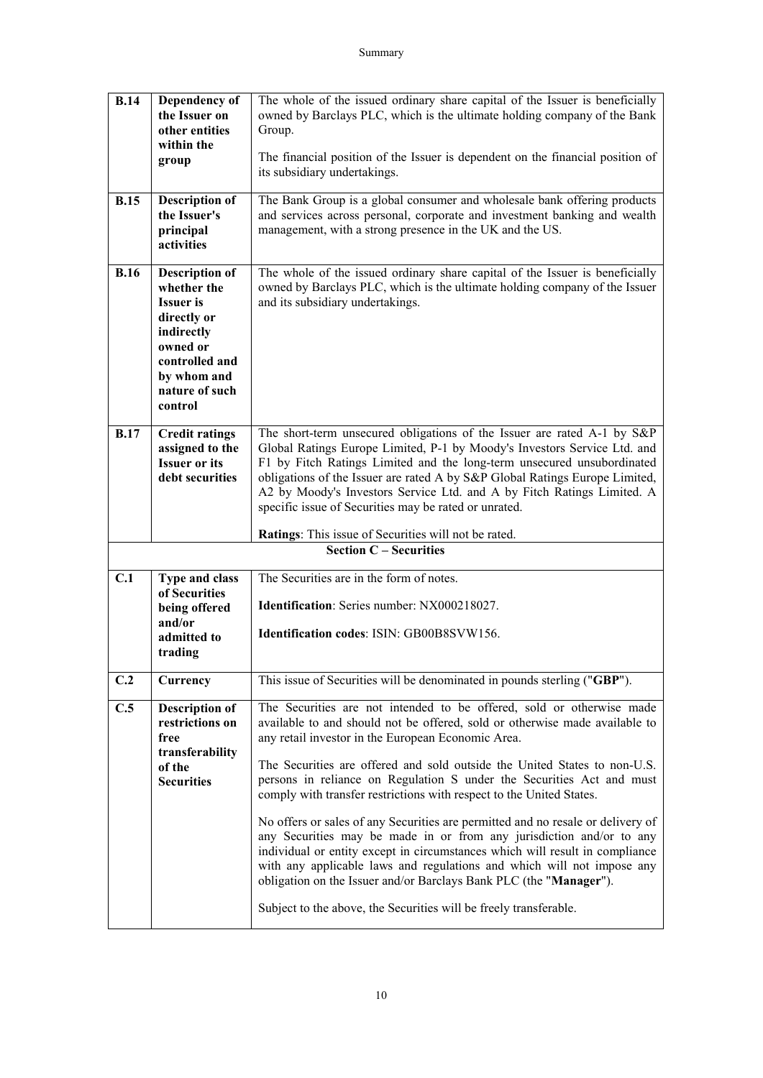| <b>B.14</b> | Dependency of<br>the Issuer on<br>other entities<br>within the<br>group                                                                                         | The whole of the issued ordinary share capital of the Issuer is beneficially<br>owned by Barclays PLC, which is the ultimate holding company of the Bank<br>Group.<br>The financial position of the Issuer is dependent on the financial position of<br>its subsidiary undertakings.                                                                                                                                                                                                                    |  |
|-------------|-----------------------------------------------------------------------------------------------------------------------------------------------------------------|---------------------------------------------------------------------------------------------------------------------------------------------------------------------------------------------------------------------------------------------------------------------------------------------------------------------------------------------------------------------------------------------------------------------------------------------------------------------------------------------------------|--|
| B.15        | <b>Description of</b><br>the Issuer's<br>principal<br>activities                                                                                                | The Bank Group is a global consumer and wholesale bank offering products<br>and services across personal, corporate and investment banking and wealth<br>management, with a strong presence in the UK and the US.                                                                                                                                                                                                                                                                                       |  |
| <b>B.16</b> | <b>Description of</b><br>whether the<br><b>Issuer</b> is<br>directly or<br>indirectly<br>owned or<br>controlled and<br>by whom and<br>nature of such<br>control | The whole of the issued ordinary share capital of the Issuer is beneficially<br>owned by Barclays PLC, which is the ultimate holding company of the Issuer<br>and its subsidiary undertakings.                                                                                                                                                                                                                                                                                                          |  |
| <b>B.17</b> | <b>Credit ratings</b><br>assigned to the<br><b>Issuer or its</b><br>debt securities                                                                             | The short-term unsecured obligations of the Issuer are rated A-1 by S&P<br>Global Ratings Europe Limited, P-1 by Moody's Investors Service Ltd. and<br>F1 by Fitch Ratings Limited and the long-term unsecured unsubordinated<br>obligations of the Issuer are rated A by S&P Global Ratings Europe Limited,<br>A2 by Moody's Investors Service Ltd. and A by Fitch Ratings Limited. A<br>specific issue of Securities may be rated or unrated.<br>Ratings: This issue of Securities will not be rated. |  |
|             |                                                                                                                                                                 | <b>Section C - Securities</b>                                                                                                                                                                                                                                                                                                                                                                                                                                                                           |  |
| C.1         | Type and class<br>of Securities                                                                                                                                 | The Securities are in the form of notes.                                                                                                                                                                                                                                                                                                                                                                                                                                                                |  |
|             | being offered                                                                                                                                                   | Identification: Series number: NX000218027.                                                                                                                                                                                                                                                                                                                                                                                                                                                             |  |
|             | and/or<br>admitted to<br>trading                                                                                                                                | <b>Identification codes: ISIN: GB00B8SVW156.</b>                                                                                                                                                                                                                                                                                                                                                                                                                                                        |  |
| C.2         | Currency                                                                                                                                                        | This issue of Securities will be denominated in pounds sterling ("GBP").                                                                                                                                                                                                                                                                                                                                                                                                                                |  |
| C.5         | <b>Description of</b><br>restrictions on<br>free<br>transferability                                                                                             | The Securities are not intended to be offered, sold or otherwise made<br>available to and should not be offered, sold or otherwise made available to<br>any retail investor in the European Economic Area.                                                                                                                                                                                                                                                                                              |  |
|             | of the<br><b>Securities</b>                                                                                                                                     | The Securities are offered and sold outside the United States to non-U.S.<br>persons in reliance on Regulation S under the Securities Act and must<br>comply with transfer restrictions with respect to the United States.                                                                                                                                                                                                                                                                              |  |
|             |                                                                                                                                                                 | No offers or sales of any Securities are permitted and no resale or delivery of<br>any Securities may be made in or from any jurisdiction and/or to any<br>individual or entity except in circumstances which will result in compliance<br>with any applicable laws and regulations and which will not impose any<br>obligation on the Issuer and/or Barclays Bank PLC (the "Manager").                                                                                                                 |  |
|             |                                                                                                                                                                 | Subject to the above, the Securities will be freely transferable.                                                                                                                                                                                                                                                                                                                                                                                                                                       |  |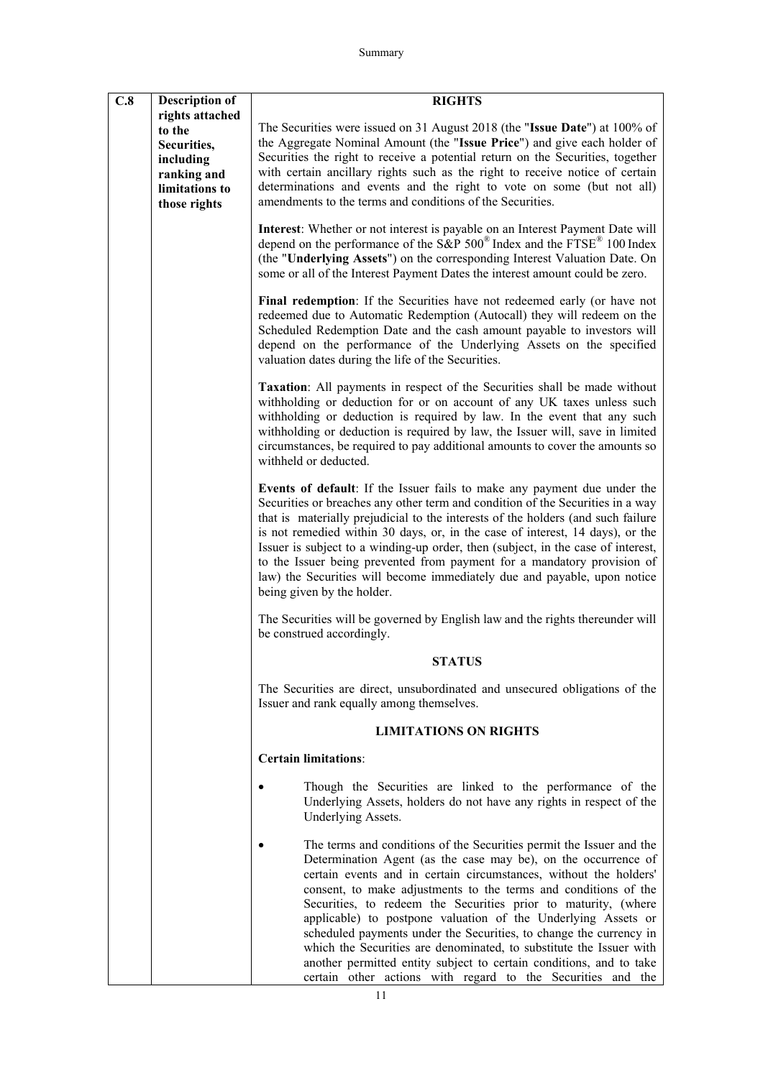| C.8 | <b>Description of</b>                                                                                  | <b>RIGHTS</b>                                                                                                                                                                                                                                                                                                                                                                                                                                                                                                                                                                                                                                                                                        |
|-----|--------------------------------------------------------------------------------------------------------|------------------------------------------------------------------------------------------------------------------------------------------------------------------------------------------------------------------------------------------------------------------------------------------------------------------------------------------------------------------------------------------------------------------------------------------------------------------------------------------------------------------------------------------------------------------------------------------------------------------------------------------------------------------------------------------------------|
|     | rights attached<br>to the<br>Securities,<br>including<br>ranking and<br>limitations to<br>those rights | The Securities were issued on 31 August 2018 (the "Issue Date") at 100% of<br>the Aggregate Nominal Amount (the "Issue Price") and give each holder of<br>Securities the right to receive a potential return on the Securities, together<br>with certain ancillary rights such as the right to receive notice of certain<br>determinations and events and the right to vote on some (but not all)<br>amendments to the terms and conditions of the Securities.                                                                                                                                                                                                                                       |
|     |                                                                                                        | Interest: Whether or not interest is payable on an Interest Payment Date will<br>depend on the performance of the S&P $500^{\circ}$ Index and the FTSE <sup>®</sup> 100 Index<br>(the "Underlying Assets") on the corresponding Interest Valuation Date. On<br>some or all of the Interest Payment Dates the interest amount could be zero.                                                                                                                                                                                                                                                                                                                                                          |
|     |                                                                                                        | Final redemption: If the Securities have not redeemed early (or have not<br>redeemed due to Automatic Redemption (Autocall) they will redeem on the<br>Scheduled Redemption Date and the cash amount payable to investors will<br>depend on the performance of the Underlying Assets on the specified<br>valuation dates during the life of the Securities.                                                                                                                                                                                                                                                                                                                                          |
|     |                                                                                                        | Taxation: All payments in respect of the Securities shall be made without<br>withholding or deduction for or on account of any UK taxes unless such<br>withholding or deduction is required by law. In the event that any such<br>withholding or deduction is required by law, the Issuer will, save in limited<br>circumstances, be required to pay additional amounts to cover the amounts so<br>withheld or deducted.                                                                                                                                                                                                                                                                             |
|     |                                                                                                        | Events of default: If the Issuer fails to make any payment due under the<br>Securities or breaches any other term and condition of the Securities in a way<br>that is materially prejudicial to the interests of the holders (and such failure<br>is not remedied within 30 days, or, in the case of interest, 14 days), or the<br>Issuer is subject to a winding-up order, then (subject, in the case of interest,<br>to the Issuer being prevented from payment for a mandatory provision of<br>law) the Securities will become immediately due and payable, upon notice<br>being given by the holder.                                                                                             |
|     |                                                                                                        | The Securities will be governed by English law and the rights thereunder will<br>be construed accordingly.                                                                                                                                                                                                                                                                                                                                                                                                                                                                                                                                                                                           |
|     |                                                                                                        | <b>STATUS</b>                                                                                                                                                                                                                                                                                                                                                                                                                                                                                                                                                                                                                                                                                        |
|     |                                                                                                        | The Securities are direct, unsubordinated and unsecured obligations of the<br>Issuer and rank equally among themselves.                                                                                                                                                                                                                                                                                                                                                                                                                                                                                                                                                                              |
|     |                                                                                                        | <b>LIMITATIONS ON RIGHTS</b>                                                                                                                                                                                                                                                                                                                                                                                                                                                                                                                                                                                                                                                                         |
|     |                                                                                                        | <b>Certain limitations:</b>                                                                                                                                                                                                                                                                                                                                                                                                                                                                                                                                                                                                                                                                          |
|     |                                                                                                        | Though the Securities are linked to the performance of the<br>Underlying Assets, holders do not have any rights in respect of the<br>Underlying Assets.                                                                                                                                                                                                                                                                                                                                                                                                                                                                                                                                              |
|     |                                                                                                        | The terms and conditions of the Securities permit the Issuer and the<br>Determination Agent (as the case may be), on the occurrence of<br>certain events and in certain circumstances, without the holders'<br>consent, to make adjustments to the terms and conditions of the<br>Securities, to redeem the Securities prior to maturity, (where<br>applicable) to postpone valuation of the Underlying Assets or<br>scheduled payments under the Securities, to change the currency in<br>which the Securities are denominated, to substitute the Issuer with<br>another permitted entity subject to certain conditions, and to take<br>certain other actions with regard to the Securities and the |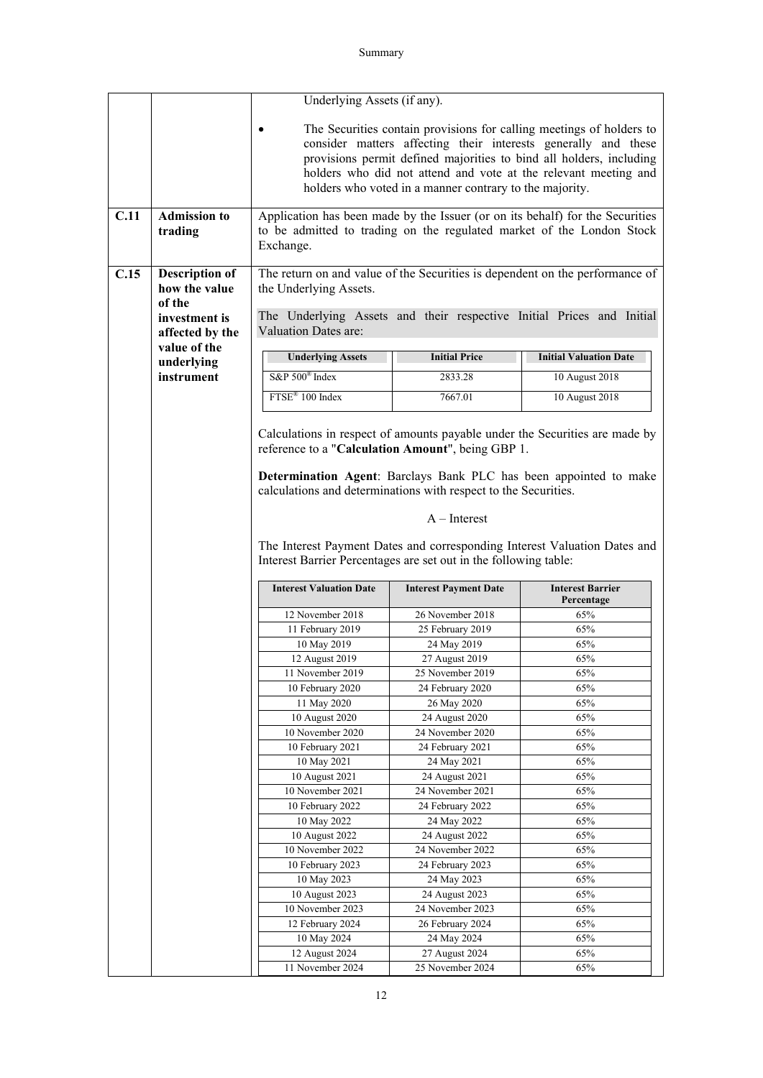|      |                                | Underlying Assets (if any).                                                                                                                                         |                                 |                                                                             |  |
|------|--------------------------------|---------------------------------------------------------------------------------------------------------------------------------------------------------------------|---------------------------------|-----------------------------------------------------------------------------|--|
|      |                                | The Securities contain provisions for calling meetings of holders to<br>consider matters affecting their interests generally and these                              |                                 |                                                                             |  |
|      |                                |                                                                                                                                                                     |                                 |                                                                             |  |
|      |                                |                                                                                                                                                                     |                                 |                                                                             |  |
|      |                                | provisions permit defined majorities to bind all holders, including                                                                                                 |                                 |                                                                             |  |
|      |                                | holders who did not attend and vote at the relevant meeting and                                                                                                     |                                 |                                                                             |  |
|      |                                | holders who voted in a manner contrary to the majority.                                                                                                             |                                 |                                                                             |  |
| C.11 | <b>Admission to</b><br>trading | Application has been made by the Issuer (or on its behalf) for the Securities<br>to be admitted to trading on the regulated market of the London Stock<br>Exchange. |                                 |                                                                             |  |
| C.15 | <b>Description of</b>          | The return on and value of the Securities is dependent on the performance of                                                                                        |                                 |                                                                             |  |
|      | how the value                  | the Underlying Assets.                                                                                                                                              |                                 |                                                                             |  |
|      | of the                         |                                                                                                                                                                     |                                 |                                                                             |  |
|      | investment is                  | The Underlying Assets and their respective Initial Prices and Initial                                                                                               |                                 |                                                                             |  |
|      | affected by the                | Valuation Dates are:                                                                                                                                                |                                 |                                                                             |  |
|      | value of the                   |                                                                                                                                                                     |                                 |                                                                             |  |
|      | underlying                     | <b>Underlying Assets</b>                                                                                                                                            | <b>Initial Price</b>            | <b>Initial Valuation Date</b>                                               |  |
|      | instrument                     | S&P 500 <sup>®</sup> Index                                                                                                                                          | 2833.28                         | 10 August 2018                                                              |  |
|      |                                | FTSE <sup>®</sup> 100 Index                                                                                                                                         | 7667.01                         | 10 August 2018                                                              |  |
|      |                                |                                                                                                                                                                     |                                 |                                                                             |  |
|      |                                | reference to a "Calculation Amount", being GBP 1.                                                                                                                   |                                 | Calculations in respect of amounts payable under the Securities are made by |  |
|      |                                | calculations and determinations with respect to the Securities.                                                                                                     |                                 | Determination Agent: Barclays Bank PLC has been appointed to make           |  |
|      |                                |                                                                                                                                                                     | $A$ – Interest                  |                                                                             |  |
|      |                                |                                                                                                                                                                     |                                 |                                                                             |  |
|      |                                | The Interest Payment Dates and corresponding Interest Valuation Dates and<br>Interest Barrier Percentages are set out in the following table:                       |                                 |                                                                             |  |
|      |                                |                                                                                                                                                                     |                                 |                                                                             |  |
|      |                                | <b>Interest Valuation Date</b><br><b>Interest Payment Date</b><br><b>Interest Barrier</b><br>Percentage                                                             |                                 |                                                                             |  |
|      |                                | 12 November 2018                                                                                                                                                    | 26 November 2018                | 65%                                                                         |  |
|      |                                | 11 February 2019                                                                                                                                                    | 25 February 2019                | 65%                                                                         |  |
|      |                                | 10 May 2019                                                                                                                                                         | 24 May 2019                     | 65%                                                                         |  |
|      |                                | 12 August 2019                                                                                                                                                      | 27 August 2019                  | 65%                                                                         |  |
|      |                                | 11 November 2019                                                                                                                                                    | 25 November 2019                | 65%                                                                         |  |
|      |                                | 10 February 2020                                                                                                                                                    | 24 February 2020                | 65%                                                                         |  |
|      |                                | 11 May 2020                                                                                                                                                         | 26 May 2020                     | 65%                                                                         |  |
|      |                                | 10 August 2020                                                                                                                                                      | 24 August 2020                  | 65%                                                                         |  |
|      |                                | 10 November 2020                                                                                                                                                    | 24 November 2020                | 65%                                                                         |  |
|      |                                | 10 February 2021<br>10 May 2021                                                                                                                                     | 24 February 2021<br>24 May 2021 | 65%<br>65%                                                                  |  |
|      |                                | 10 August 2021                                                                                                                                                      | 24 August 2021                  | 65%                                                                         |  |
|      |                                | 10 November 2021                                                                                                                                                    | 24 November 2021                | 65%                                                                         |  |
|      |                                | 10 February 2022                                                                                                                                                    | 24 February 2022                | 65%                                                                         |  |
|      |                                | 10 May 2022                                                                                                                                                         | 24 May 2022                     | 65%                                                                         |  |
|      |                                | 10 August 2022                                                                                                                                                      | 24 August 2022                  | 65%                                                                         |  |
|      |                                | 10 November 2022                                                                                                                                                    | 24 November 2022                | 65%                                                                         |  |
|      |                                | 10 February 2023                                                                                                                                                    | 24 February 2023                | 65%                                                                         |  |
|      |                                | 10 May 2023                                                                                                                                                         | 24 May 2023                     | 65%                                                                         |  |
|      |                                | 10 August 2023                                                                                                                                                      | 24 August 2023                  | 65%                                                                         |  |
|      |                                | 10 November 2023                                                                                                                                                    | 24 November 2023                | 65%                                                                         |  |
|      |                                | 12 February 2024                                                                                                                                                    | 26 February 2024                | 65%                                                                         |  |
|      |                                | 10 May 2024                                                                                                                                                         | 24 May 2024                     | 65%                                                                         |  |
|      |                                | 12 August 2024                                                                                                                                                      | 27 August 2024                  | 65%                                                                         |  |
|      |                                | 11 November 2024                                                                                                                                                    | 25 November 2024                | 65%                                                                         |  |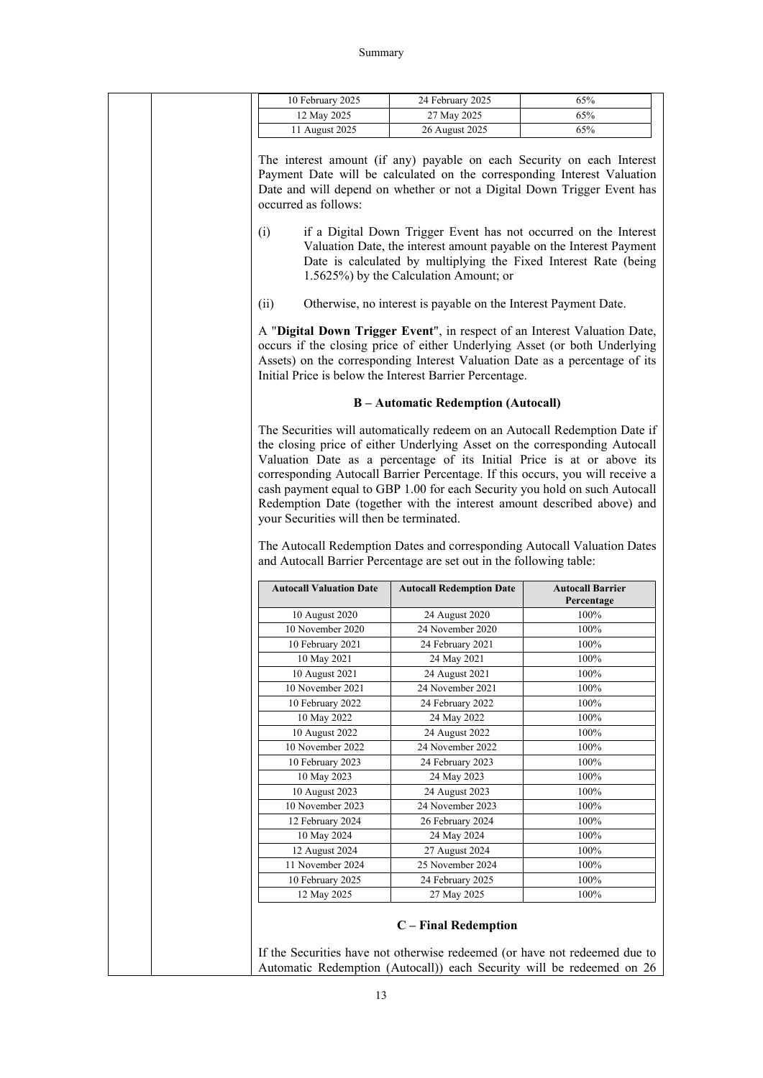| 12 May 2025<br>11 August 2025  | 10 February 2025                                                                                                | 24 February 2025 | 65%                                                                                                                                                                                                                                                                                                                                                                                                                                                                                                                                                      |
|--------------------------------|-----------------------------------------------------------------------------------------------------------------|------------------|----------------------------------------------------------------------------------------------------------------------------------------------------------------------------------------------------------------------------------------------------------------------------------------------------------------------------------------------------------------------------------------------------------------------------------------------------------------------------------------------------------------------------------------------------------|
|                                | 27 May 2025                                                                                                     |                  | 65%                                                                                                                                                                                                                                                                                                                                                                                                                                                                                                                                                      |
|                                | 26 August 2025                                                                                                  |                  | 65%                                                                                                                                                                                                                                                                                                                                                                                                                                                                                                                                                      |
| occurred as follows:           |                                                                                                                 |                  | The interest amount (if any) payable on each Security on each Interest<br>Payment Date will be calculated on the corresponding Interest Valuation<br>Date and will depend on whether or not a Digital Down Trigger Event has                                                                                                                                                                                                                                                                                                                             |
|                                | 1.5625%) by the Calculation Amount; or                                                                          |                  | if a Digital Down Trigger Event has not occurred on the Interest<br>Valuation Date, the interest amount payable on the Interest Payment<br>Date is calculated by multiplying the Fixed Interest Rate (being                                                                                                                                                                                                                                                                                                                                              |
|                                | Otherwise, no interest is payable on the Interest Payment Date.                                                 |                  |                                                                                                                                                                                                                                                                                                                                                                                                                                                                                                                                                          |
|                                | Initial Price is below the Interest Barrier Percentage.                                                         |                  | A "Digital Down Trigger Event", in respect of an Interest Valuation Date,<br>occurs if the closing price of either Underlying Asset (or both Underlying<br>Assets) on the corresponding Interest Valuation Date as a percentage of its                                                                                                                                                                                                                                                                                                                   |
|                                | <b>B</b> – Automatic Redemption (Autocall)                                                                      |                  |                                                                                                                                                                                                                                                                                                                                                                                                                                                                                                                                                          |
|                                | your Securities will then be terminated.<br>and Autocall Barrier Percentage are set out in the following table: |                  | The Securities will automatically redeem on an Autocall Redemption Date if<br>the closing price of either Underlying Asset on the corresponding Autocall<br>Valuation Date as a percentage of its Initial Price is at or above its<br>corresponding Autocall Barrier Percentage. If this occurs, you will receive a<br>cash payment equal to GBP 1.00 for each Security you hold on such Autocall<br>Redemption Date (together with the interest amount described above) and<br>The Autocall Redemption Dates and corresponding Autocall Valuation Dates |
| <b>Autocall Valuation Date</b> | <b>Autocall Redemption Date</b>                                                                                 |                  | <b>Autocall Barrier</b><br>Percentage                                                                                                                                                                                                                                                                                                                                                                                                                                                                                                                    |
| 10 August 2020                 | 24 August 2020                                                                                                  |                  | 100%                                                                                                                                                                                                                                                                                                                                                                                                                                                                                                                                                     |
| 10 November 2020               | 24 November 2020                                                                                                |                  | 100%                                                                                                                                                                                                                                                                                                                                                                                                                                                                                                                                                     |
| 10 February 2021               | 24 February 2021                                                                                                |                  | 100%                                                                                                                                                                                                                                                                                                                                                                                                                                                                                                                                                     |
| 10 May 2021                    | 24 May 2021                                                                                                     |                  | 100%                                                                                                                                                                                                                                                                                                                                                                                                                                                                                                                                                     |
| 10 August 2021                 | 24 August 2021                                                                                                  |                  | 100%                                                                                                                                                                                                                                                                                                                                                                                                                                                                                                                                                     |
| 10 November 2021               | 24 November 2021                                                                                                |                  | 100%                                                                                                                                                                                                                                                                                                                                                                                                                                                                                                                                                     |
| 10 February 2022               | 24 February 2022                                                                                                |                  | 100%                                                                                                                                                                                                                                                                                                                                                                                                                                                                                                                                                     |
| 10 May 2022                    | 24 May 2022                                                                                                     |                  | 100%                                                                                                                                                                                                                                                                                                                                                                                                                                                                                                                                                     |
| 10 August 2022                 | 24 August 2022                                                                                                  |                  | 100%                                                                                                                                                                                                                                                                                                                                                                                                                                                                                                                                                     |
|                                | 24 November 2022                                                                                                |                  | 100%                                                                                                                                                                                                                                                                                                                                                                                                                                                                                                                                                     |
| 10 November 2022               | 24 February 2023                                                                                                |                  | $100\%$<br>100%                                                                                                                                                                                                                                                                                                                                                                                                                                                                                                                                          |
| 10 February 2023               |                                                                                                                 |                  |                                                                                                                                                                                                                                                                                                                                                                                                                                                                                                                                                          |
| 10 May 2023                    | 24 May 2023                                                                                                     |                  |                                                                                                                                                                                                                                                                                                                                                                                                                                                                                                                                                          |
| 10 August 2023                 | 24 August 2023                                                                                                  |                  | 100%                                                                                                                                                                                                                                                                                                                                                                                                                                                                                                                                                     |
| 10 November 2023               | 24 November 2023                                                                                                |                  | 100%                                                                                                                                                                                                                                                                                                                                                                                                                                                                                                                                                     |
| 12 February 2024               | 26 February 2024                                                                                                |                  | 100%                                                                                                                                                                                                                                                                                                                                                                                                                                                                                                                                                     |
| 10 May 2024                    | 24 May 2024                                                                                                     |                  | 100%                                                                                                                                                                                                                                                                                                                                                                                                                                                                                                                                                     |
| 12 August 2024                 | 27 August 2024                                                                                                  |                  | 100%                                                                                                                                                                                                                                                                                                                                                                                                                                                                                                                                                     |
| 11 November 2024               | 25 November 2024                                                                                                |                  | 100%                                                                                                                                                                                                                                                                                                                                                                                                                                                                                                                                                     |
| 10 February 2025               | 24 February 2025                                                                                                |                  | $100\%$                                                                                                                                                                                                                                                                                                                                                                                                                                                                                                                                                  |
| 12 May 2025                    | 27 May 2025                                                                                                     |                  | 100%                                                                                                                                                                                                                                                                                                                                                                                                                                                                                                                                                     |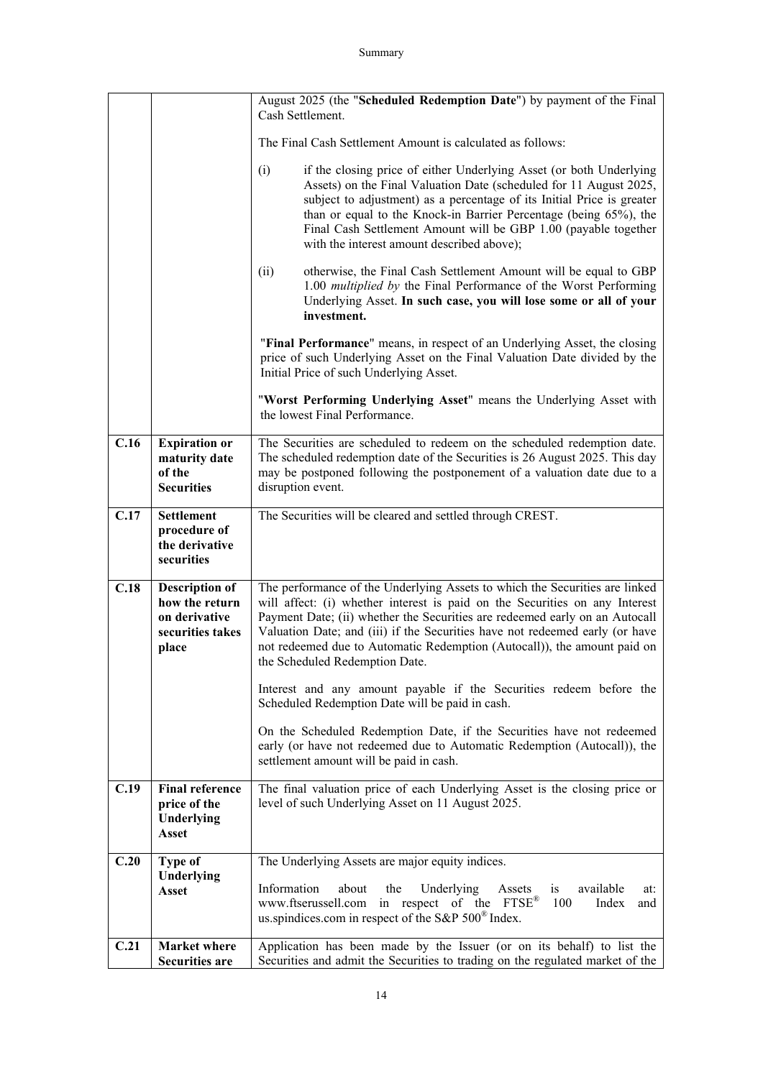|      |                                                                                       | August 2025 (the "Scheduled Redemption Date") by payment of the Final<br>Cash Settlement.                                                                                                                                                                                                                                                                                                                                               |  |
|------|---------------------------------------------------------------------------------------|-----------------------------------------------------------------------------------------------------------------------------------------------------------------------------------------------------------------------------------------------------------------------------------------------------------------------------------------------------------------------------------------------------------------------------------------|--|
|      |                                                                                       | The Final Cash Settlement Amount is calculated as follows:                                                                                                                                                                                                                                                                                                                                                                              |  |
|      |                                                                                       | if the closing price of either Underlying Asset (or both Underlying<br>(i)<br>Assets) on the Final Valuation Date (scheduled for 11 August 2025,<br>subject to adjustment) as a percentage of its Initial Price is greater<br>than or equal to the Knock-in Barrier Percentage (being 65%), the<br>Final Cash Settlement Amount will be GBP 1.00 (payable together<br>with the interest amount described above);                        |  |
|      |                                                                                       | otherwise, the Final Cash Settlement Amount will be equal to GBP<br>(ii)<br>1.00 multiplied by the Final Performance of the Worst Performing<br>Underlying Asset. In such case, you will lose some or all of your<br>investment.                                                                                                                                                                                                        |  |
|      |                                                                                       | "Final Performance" means, in respect of an Underlying Asset, the closing<br>price of such Underlying Asset on the Final Valuation Date divided by the<br>Initial Price of such Underlying Asset.                                                                                                                                                                                                                                       |  |
|      |                                                                                       | "Worst Performing Underlying Asset" means the Underlying Asset with<br>the lowest Final Performance.                                                                                                                                                                                                                                                                                                                                    |  |
| C.16 | <b>Expiration or</b><br>maturity date<br>of the<br><b>Securities</b>                  | The Securities are scheduled to redeem on the scheduled redemption date.<br>The scheduled redemption date of the Securities is 26 August 2025. This day<br>may be postponed following the postponement of a valuation date due to a<br>disruption event.                                                                                                                                                                                |  |
| C.17 | <b>Settlement</b><br>procedure of<br>the derivative<br>securities                     | The Securities will be cleared and settled through CREST.                                                                                                                                                                                                                                                                                                                                                                               |  |
| C.18 | <b>Description of</b><br>how the return<br>on derivative<br>securities takes<br>place | The performance of the Underlying Assets to which the Securities are linked<br>will affect: (i) whether interest is paid on the Securities on any Interest<br>Payment Date; (ii) whether the Securities are redeemed early on an Autocall<br>Valuation Date; and (iii) if the Securities have not redeemed early (or have<br>not redeemed due to Automatic Redemption (Autocall)), the amount paid on<br>the Scheduled Redemption Date. |  |
|      |                                                                                       | Interest and any amount payable if the Securities redeem before the<br>Scheduled Redemption Date will be paid in cash.                                                                                                                                                                                                                                                                                                                  |  |
|      |                                                                                       | On the Scheduled Redemption Date, if the Securities have not redeemed<br>early (or have not redeemed due to Automatic Redemption (Autocall)), the<br>settlement amount will be paid in cash.                                                                                                                                                                                                                                            |  |
| C.19 | <b>Final reference</b><br>price of the<br>Underlying<br><b>Asset</b>                  | The final valuation price of each Underlying Asset is the closing price or<br>level of such Underlying Asset on 11 August 2025.                                                                                                                                                                                                                                                                                                         |  |
| C.20 | Type of                                                                               | The Underlying Assets are major equity indices.                                                                                                                                                                                                                                                                                                                                                                                         |  |
|      | Underlying<br><b>Asset</b>                                                            | Information<br>about<br>the<br>Underlying<br>available<br>Assets<br>is<br>at:<br>www.ftserussell.com in respect of the FTSE®<br>100<br>Index<br>and<br>us spindices com in respect of the S&P 500 <sup>®</sup> Index.                                                                                                                                                                                                                   |  |
| C.21 | <b>Market where</b><br><b>Securities are</b>                                          | Application has been made by the Issuer (or on its behalf) to list the<br>Securities and admit the Securities to trading on the regulated market of the                                                                                                                                                                                                                                                                                 |  |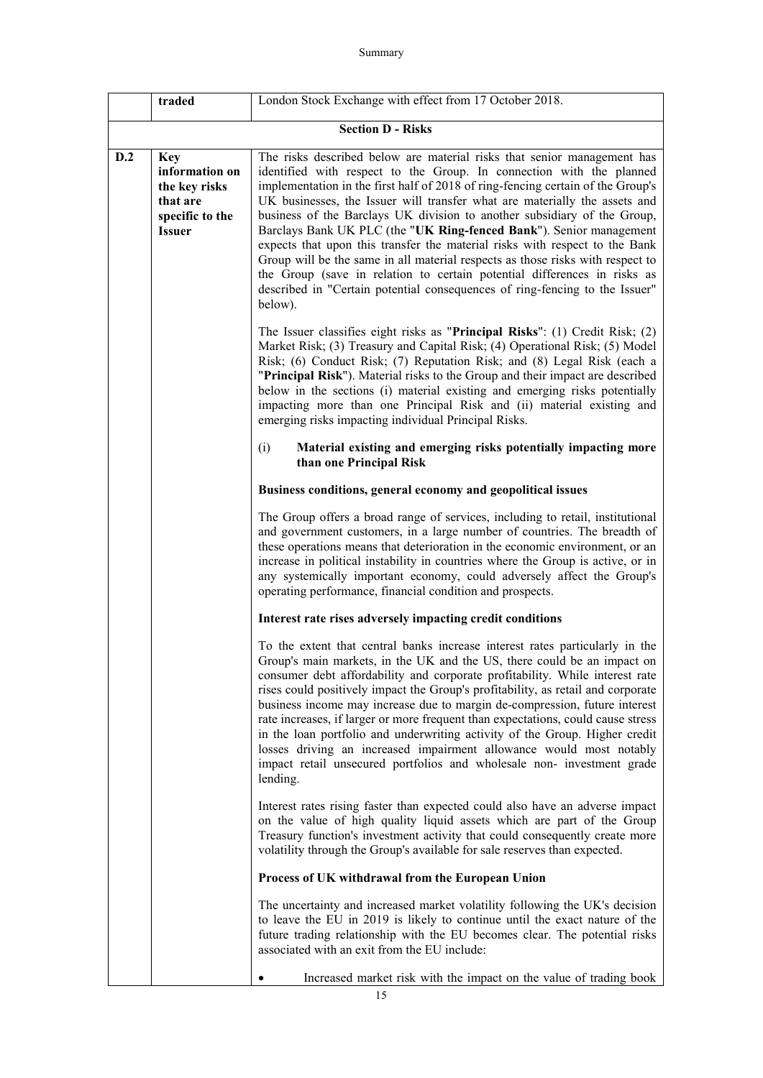# Summary

|     | traded                                                                                        | London Stock Exchange with effect from 17 October 2018.                                                                                                                                                                                                                                                                                                                                                                                                                                                                                                                                                                                                                                                                                                                                                    |  |
|-----|-----------------------------------------------------------------------------------------------|------------------------------------------------------------------------------------------------------------------------------------------------------------------------------------------------------------------------------------------------------------------------------------------------------------------------------------------------------------------------------------------------------------------------------------------------------------------------------------------------------------------------------------------------------------------------------------------------------------------------------------------------------------------------------------------------------------------------------------------------------------------------------------------------------------|--|
|     | <b>Section D - Risks</b>                                                                      |                                                                                                                                                                                                                                                                                                                                                                                                                                                                                                                                                                                                                                                                                                                                                                                                            |  |
| D.2 | <b>Key</b><br>information on<br>the key risks<br>that are<br>specific to the<br><b>Issuer</b> | The risks described below are material risks that senior management has<br>identified with respect to the Group. In connection with the planned<br>implementation in the first half of 2018 of ring-fencing certain of the Group's<br>UK businesses, the Issuer will transfer what are materially the assets and<br>business of the Barclays UK division to another subsidiary of the Group,<br>Barclays Bank UK PLC (the "UK Ring-fenced Bank"). Senior management<br>expects that upon this transfer the material risks with respect to the Bank<br>Group will be the same in all material respects as those risks with respect to<br>the Group (save in relation to certain potential differences in risks as<br>described in "Certain potential consequences of ring-fencing to the Issuer"<br>below). |  |
|     |                                                                                               | The Issuer classifies eight risks as "Principal Risks": $(1)$ Credit Risk; $(2)$<br>Market Risk; (3) Treasury and Capital Risk; (4) Operational Risk; (5) Model<br>Risk; (6) Conduct Risk; (7) Reputation Risk; and (8) Legal Risk (each a<br>"Principal Risk"). Material risks to the Group and their impact are described<br>below in the sections (i) material existing and emerging risks potentially<br>impacting more than one Principal Risk and (ii) material existing and<br>emerging risks impacting individual Principal Risks.                                                                                                                                                                                                                                                                 |  |
|     |                                                                                               | (i)<br>Material existing and emerging risks potentially impacting more<br>than one Principal Risk                                                                                                                                                                                                                                                                                                                                                                                                                                                                                                                                                                                                                                                                                                          |  |
|     |                                                                                               | Business conditions, general economy and geopolitical issues                                                                                                                                                                                                                                                                                                                                                                                                                                                                                                                                                                                                                                                                                                                                               |  |
|     |                                                                                               | The Group offers a broad range of services, including to retail, institutional<br>and government customers, in a large number of countries. The breadth of<br>these operations means that deterioration in the economic environment, or an<br>increase in political instability in countries where the Group is active, or in<br>any systemically important economy, could adversely affect the Group's<br>operating performance, financial condition and prospects.                                                                                                                                                                                                                                                                                                                                       |  |
|     |                                                                                               | Interest rate rises adversely impacting credit conditions                                                                                                                                                                                                                                                                                                                                                                                                                                                                                                                                                                                                                                                                                                                                                  |  |
|     |                                                                                               | To the extent that central banks increase interest rates particularly in the<br>Group's main markets, in the UK and the US, there could be an impact on<br>consumer debt affordability and corporate profitability. While interest rate<br>rises could positively impact the Group's profitability, as retail and corporate<br>business income may increase due to margin de-compression, future interest<br>rate increases, if larger or more frequent than expectations, could cause stress<br>in the loan portfolio and underwriting activity of the Group. Higher credit<br>losses driving an increased impairment allowance would most notably<br>impact retail unsecured portfolios and wholesale non-investment grade<br>lending.                                                                   |  |
|     |                                                                                               | Interest rates rising faster than expected could also have an adverse impact<br>on the value of high quality liquid assets which are part of the Group<br>Treasury function's investment activity that could consequently create more<br>volatility through the Group's available for sale reserves than expected.                                                                                                                                                                                                                                                                                                                                                                                                                                                                                         |  |
|     |                                                                                               | Process of UK withdrawal from the European Union                                                                                                                                                                                                                                                                                                                                                                                                                                                                                                                                                                                                                                                                                                                                                           |  |
|     |                                                                                               | The uncertainty and increased market volatility following the UK's decision<br>to leave the EU in 2019 is likely to continue until the exact nature of the<br>future trading relationship with the EU becomes clear. The potential risks<br>associated with an exit from the EU include:                                                                                                                                                                                                                                                                                                                                                                                                                                                                                                                   |  |
|     |                                                                                               | Increased market risk with the impact on the value of trading book                                                                                                                                                                                                                                                                                                                                                                                                                                                                                                                                                                                                                                                                                                                                         |  |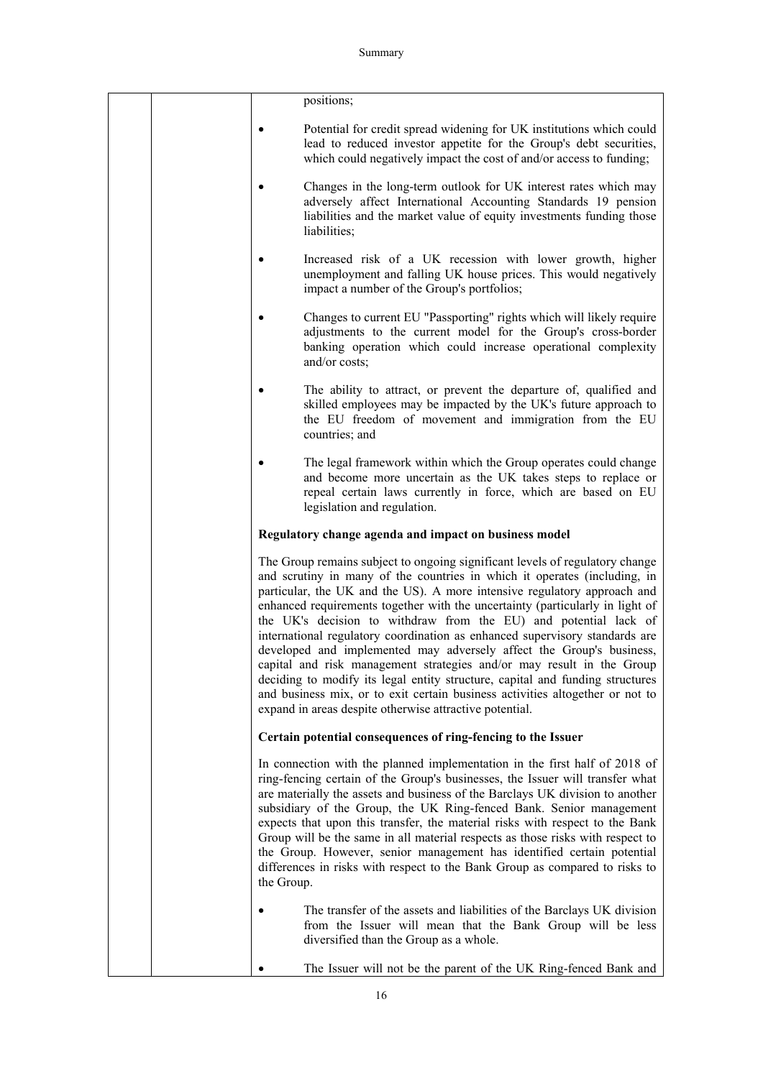|            | positions;                                                                                                                                                                                                                                                                                                                                                                                                                                                                                                                                                                                                                                                                                                                                                                                                                                              |
|------------|---------------------------------------------------------------------------------------------------------------------------------------------------------------------------------------------------------------------------------------------------------------------------------------------------------------------------------------------------------------------------------------------------------------------------------------------------------------------------------------------------------------------------------------------------------------------------------------------------------------------------------------------------------------------------------------------------------------------------------------------------------------------------------------------------------------------------------------------------------|
|            | Potential for credit spread widening for UK institutions which could<br>lead to reduced investor appetite for the Group's debt securities,<br>which could negatively impact the cost of and/or access to funding;                                                                                                                                                                                                                                                                                                                                                                                                                                                                                                                                                                                                                                       |
|            | Changes in the long-term outlook for UK interest rates which may<br>adversely affect International Accounting Standards 19 pension<br>liabilities and the market value of equity investments funding those<br>liabilities;                                                                                                                                                                                                                                                                                                                                                                                                                                                                                                                                                                                                                              |
|            | Increased risk of a UK recession with lower growth, higher<br>unemployment and falling UK house prices. This would negatively<br>impact a number of the Group's portfolios;                                                                                                                                                                                                                                                                                                                                                                                                                                                                                                                                                                                                                                                                             |
|            | Changes to current EU "Passporting" rights which will likely require<br>adjustments to the current model for the Group's cross-border<br>banking operation which could increase operational complexity<br>and/or costs;                                                                                                                                                                                                                                                                                                                                                                                                                                                                                                                                                                                                                                 |
|            | The ability to attract, or prevent the departure of, qualified and<br>skilled employees may be impacted by the UK's future approach to<br>the EU freedom of movement and immigration from the EU<br>countries; and                                                                                                                                                                                                                                                                                                                                                                                                                                                                                                                                                                                                                                      |
|            | The legal framework within which the Group operates could change<br>and become more uncertain as the UK takes steps to replace or<br>repeal certain laws currently in force, which are based on EU<br>legislation and regulation.                                                                                                                                                                                                                                                                                                                                                                                                                                                                                                                                                                                                                       |
|            | Regulatory change agenda and impact on business model                                                                                                                                                                                                                                                                                                                                                                                                                                                                                                                                                                                                                                                                                                                                                                                                   |
|            | The Group remains subject to ongoing significant levels of regulatory change<br>and scrutiny in many of the countries in which it operates (including, in<br>particular, the UK and the US). A more intensive regulatory approach and<br>enhanced requirements together with the uncertainty (particularly in light of<br>the UK's decision to withdraw from the EU) and potential lack of<br>international regulatory coordination as enhanced supervisory standards are<br>developed and implemented may adversely affect the Group's business,<br>capital and risk management strategies and/or may result in the Group<br>deciding to modify its legal entity structure, capital and funding structures<br>and business mix, or to exit certain business activities altogether or not to<br>expand in areas despite otherwise attractive potential. |
|            | Certain potential consequences of ring-fencing to the Issuer                                                                                                                                                                                                                                                                                                                                                                                                                                                                                                                                                                                                                                                                                                                                                                                            |
| the Group. | In connection with the planned implementation in the first half of 2018 of<br>ring-fencing certain of the Group's businesses, the Issuer will transfer what<br>are materially the assets and business of the Barclays UK division to another<br>subsidiary of the Group, the UK Ring-fenced Bank. Senior management<br>expects that upon this transfer, the material risks with respect to the Bank<br>Group will be the same in all material respects as those risks with respect to<br>the Group. However, senior management has identified certain potential<br>differences in risks with respect to the Bank Group as compared to risks to                                                                                                                                                                                                          |
|            | The transfer of the assets and liabilities of the Barclays UK division<br>from the Issuer will mean that the Bank Group will be less<br>diversified than the Group as a whole.                                                                                                                                                                                                                                                                                                                                                                                                                                                                                                                                                                                                                                                                          |
|            | The Issuer will not be the parent of the UK Ring-fenced Bank and                                                                                                                                                                                                                                                                                                                                                                                                                                                                                                                                                                                                                                                                                                                                                                                        |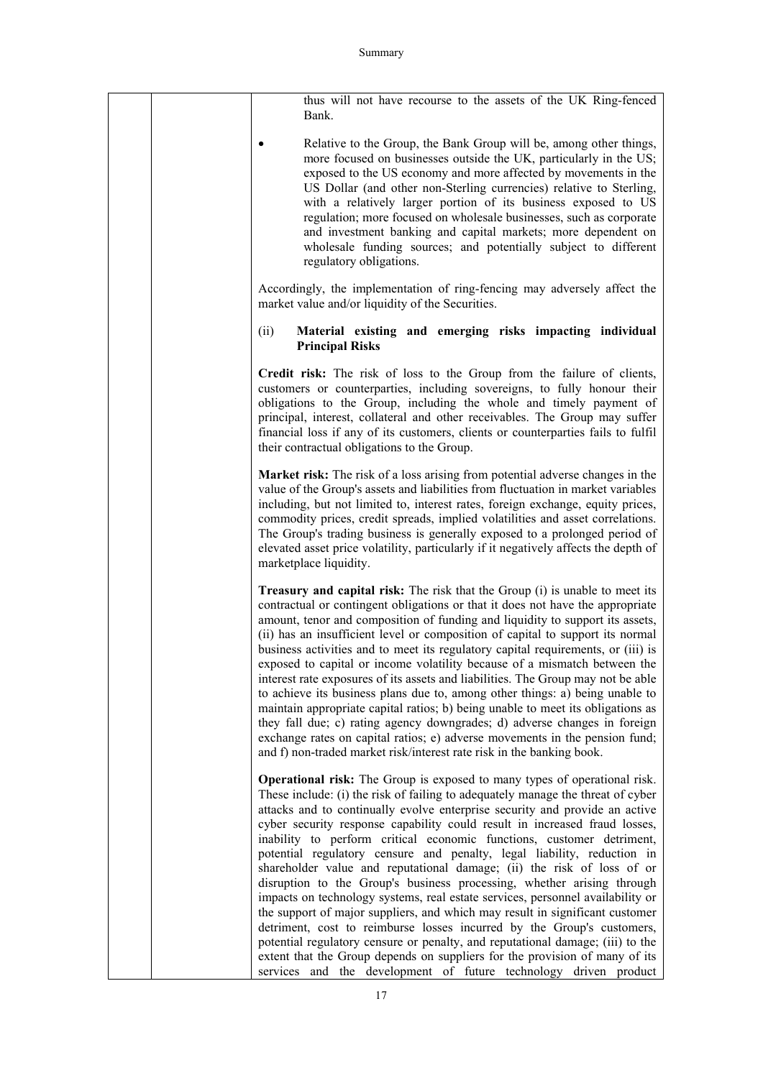| thus will not have recourse to the assets of the UK Ring-fenced<br>Bank.                                                                                                                                                                                                                                                                                                                                                                                                                                                                                                                                                                                                                                                                                                                                                                                                                                                                                                                                                                                                                                           |
|--------------------------------------------------------------------------------------------------------------------------------------------------------------------------------------------------------------------------------------------------------------------------------------------------------------------------------------------------------------------------------------------------------------------------------------------------------------------------------------------------------------------------------------------------------------------------------------------------------------------------------------------------------------------------------------------------------------------------------------------------------------------------------------------------------------------------------------------------------------------------------------------------------------------------------------------------------------------------------------------------------------------------------------------------------------------------------------------------------------------|
| Relative to the Group, the Bank Group will be, among other things,<br>more focused on businesses outside the UK, particularly in the US;<br>exposed to the US economy and more affected by movements in the<br>US Dollar (and other non-Sterling currencies) relative to Sterling,<br>with a relatively larger portion of its business exposed to US<br>regulation; more focused on wholesale businesses, such as corporate<br>and investment banking and capital markets; more dependent on<br>wholesale funding sources; and potentially subject to different<br>regulatory obligations.                                                                                                                                                                                                                                                                                                                                                                                                                                                                                                                         |
| Accordingly, the implementation of ring-fencing may adversely affect the<br>market value and/or liquidity of the Securities.                                                                                                                                                                                                                                                                                                                                                                                                                                                                                                                                                                                                                                                                                                                                                                                                                                                                                                                                                                                       |
| (ii)<br>Material existing and emerging risks impacting individual<br><b>Principal Risks</b>                                                                                                                                                                                                                                                                                                                                                                                                                                                                                                                                                                                                                                                                                                                                                                                                                                                                                                                                                                                                                        |
| Credit risk: The risk of loss to the Group from the failure of clients,<br>customers or counterparties, including sovereigns, to fully honour their<br>obligations to the Group, including the whole and timely payment of<br>principal, interest, collateral and other receivables. The Group may suffer<br>financial loss if any of its customers, clients or counterparties fails to fulfil<br>their contractual obligations to the Group.                                                                                                                                                                                                                                                                                                                                                                                                                                                                                                                                                                                                                                                                      |
| Market risk: The risk of a loss arising from potential adverse changes in the<br>value of the Group's assets and liabilities from fluctuation in market variables<br>including, but not limited to, interest rates, foreign exchange, equity prices,<br>commodity prices, credit spreads, implied volatilities and asset correlations.<br>The Group's trading business is generally exposed to a prolonged period of<br>elevated asset price volatility, particularly if it negatively affects the depth of<br>marketplace liquidity.                                                                                                                                                                                                                                                                                                                                                                                                                                                                                                                                                                              |
| <b>Treasury and capital risk:</b> The risk that the Group (i) is unable to meet its<br>contractual or contingent obligations or that it does not have the appropriate<br>amount, tenor and composition of funding and liquidity to support its assets,<br>(ii) has an insufficient level or composition of capital to support its normal<br>business activities and to meet its regulatory capital requirements, or (iii) is<br>exposed to capital or income volatility because of a mismatch between the<br>interest rate exposures of its assets and liabilities. The Group may not be able<br>to achieve its business plans due to, among other things: a) being unable to<br>maintain appropriate capital ratios; b) being unable to meet its obligations as<br>they fall due; c) rating agency downgrades; d) adverse changes in foreign<br>exchange rates on capital ratios; e) adverse movements in the pension fund;<br>and f) non-traded market risk/interest rate risk in the banking book.                                                                                                              |
| Operational risk: The Group is exposed to many types of operational risk.<br>These include: (i) the risk of failing to adequately manage the threat of cyber<br>attacks and to continually evolve enterprise security and provide an active<br>cyber security response capability could result in increased fraud losses,<br>inability to perform critical economic functions, customer detriment,<br>potential regulatory censure and penalty, legal liability, reduction in<br>shareholder value and reputational damage; (ii) the risk of loss of or<br>disruption to the Group's business processing, whether arising through<br>impacts on technology systems, real estate services, personnel availability or<br>the support of major suppliers, and which may result in significant customer<br>detriment, cost to reimburse losses incurred by the Group's customers,<br>potential regulatory censure or penalty, and reputational damage; (iii) to the<br>extent that the Group depends on suppliers for the provision of many of its<br>services and the development of future technology driven product |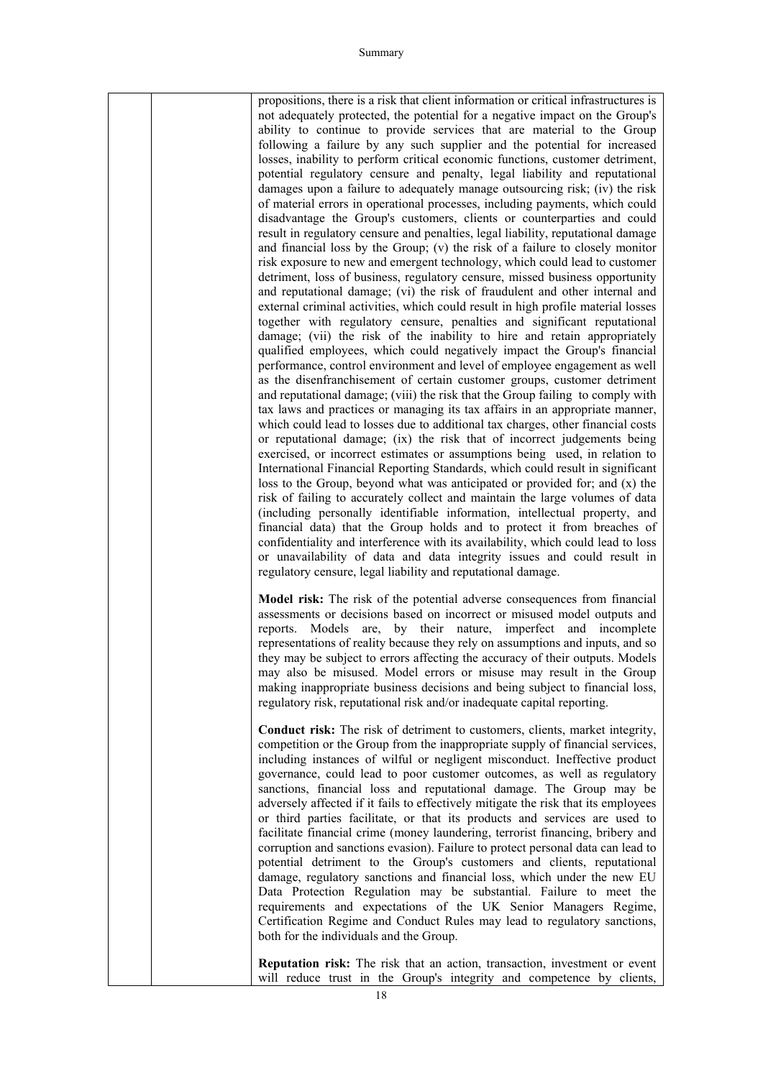| propositions, there is a risk that client information or critical infrastructures is   |
|----------------------------------------------------------------------------------------|
| not adequately protected, the potential for a negative impact on the Group's           |
| ability to continue to provide services that are material to the Group                 |
| following a failure by any such supplier and the potential for increased               |
| losses, inability to perform critical economic functions, customer detriment,          |
| potential regulatory censure and penalty, legal liability and reputational             |
| damages upon a failure to adequately manage outsourcing risk; (iv) the risk            |
| of material errors in operational processes, including payments, which could           |
| disadvantage the Group's customers, clients or counterparties and could                |
| result in regulatory censure and penalties, legal liability, reputational damage       |
| and financial loss by the Group; (v) the risk of a failure to closely monitor          |
| risk exposure to new and emergent technology, which could lead to customer             |
| detriment, loss of business, regulatory censure, missed business opportunity           |
| and reputational damage; (vi) the risk of fraudulent and other internal and            |
| external criminal activities, which could result in high profile material losses       |
| together with regulatory censure, penalties and significant reputational               |
| damage; (vii) the risk of the inability to hire and retain appropriately               |
| qualified employees, which could negatively impact the Group's financial               |
| performance, control environment and level of employee engagement as well              |
| as the disenfranchisement of certain customer groups, customer detriment               |
| and reputational damage; (viii) the risk that the Group failing to comply with         |
| tax laws and practices or managing its tax affairs in an appropriate manner,           |
| which could lead to losses due to additional tax charges, other financial costs        |
| or reputational damage; (ix) the risk that of incorrect judgements being               |
| exercised, or incorrect estimates or assumptions being used, in relation to            |
| International Financial Reporting Standards, which could result in significant         |
| loss to the Group, beyond what was anticipated or provided for; and $(x)$ the          |
| risk of failing to accurately collect and maintain the large volumes of data           |
| (including personally identifiable information, intellectual property, and             |
| financial data) that the Group holds and to protect it from breaches of                |
| confidentiality and interference with its availability, which could lead to loss       |
| or unavailability of data and data integrity issues and could result in                |
| regulatory censure, legal liability and reputational damage.                           |
|                                                                                        |
| Model risk: The risk of the potential adverse consequences from financial              |
| assessments or decisions based on incorrect or misused model outputs and               |
| by<br>nature,<br>imperfect<br>reports.<br>Models<br>are,<br>their<br>and<br>incomplete |
| representations of reality because they rely on assumptions and inputs, and so         |
| they may be subject to errors affecting the accuracy of their outputs. Models          |
| may also be misused. Model errors or misuse may result in the Group                    |

**Conduct risk:** The risk of detriment to customers, clients, market integrity, competition or the Group from the inappropriate supply of financial services, including instances of wilful or negligent misconduct. Ineffective product governance, could lead to poor customer outcomes, as well as regulatory sanctions, financial loss and reputational damage. The Group may be adversely affected if it fails to effectively mitigate the risk that its employees or third parties facilitate, or that its products and services are used to facilitate financial crime (money laundering, terrorist financing, bribery and corruption and sanctions evasion). Failure to protect personal data can lead to potential detriment to the Group's customers and clients, reputational damage, regulatory sanctions and financial loss, which under the new EU Data Protection Regulation may be substantial. Failure to meet the requirements and expectations of the UK Senior Managers Regime, Certification Regime and Conduct Rules may lead to regulatory sanctions, both for the individuals and the Group.

making inappropriate business decisions and being subject to financial loss,

regulatory risk, reputational risk and/or inadequate capital reporting.

**Reputation risk:** The risk that an action, transaction, investment or event will reduce trust in the Group's integrity and competence by clients,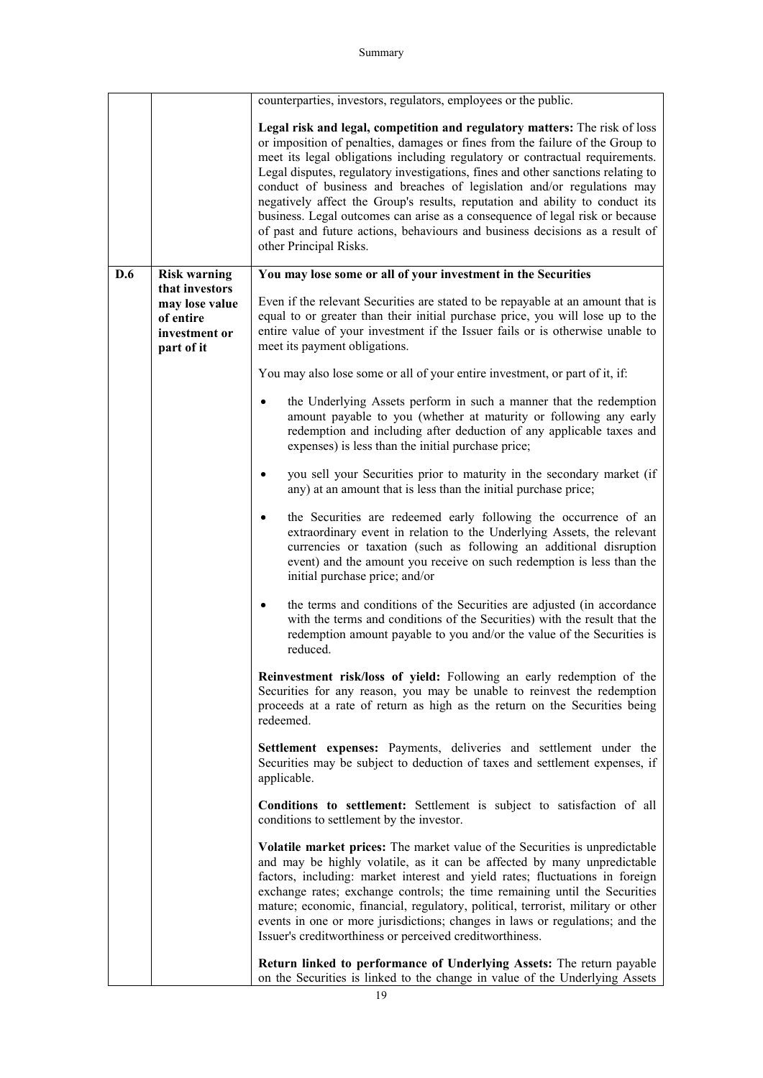|     |                                                                              | counterparties, investors, regulators, employees or the public.                                                                                                                                                                                                                                                                                                                                                                                                                                                                                                                                                                                                                     |  |
|-----|------------------------------------------------------------------------------|-------------------------------------------------------------------------------------------------------------------------------------------------------------------------------------------------------------------------------------------------------------------------------------------------------------------------------------------------------------------------------------------------------------------------------------------------------------------------------------------------------------------------------------------------------------------------------------------------------------------------------------------------------------------------------------|--|
|     |                                                                              | Legal risk and legal, competition and regulatory matters: The risk of loss<br>or imposition of penalties, damages or fines from the failure of the Group to<br>meet its legal obligations including regulatory or contractual requirements.<br>Legal disputes, regulatory investigations, fines and other sanctions relating to<br>conduct of business and breaches of legislation and/or regulations may<br>negatively affect the Group's results, reputation and ability to conduct its<br>business. Legal outcomes can arise as a consequence of legal risk or because<br>of past and future actions, behaviours and business decisions as a result of<br>other Principal Risks. |  |
| D.6 | <b>Risk warning</b>                                                          | You may lose some or all of your investment in the Securities                                                                                                                                                                                                                                                                                                                                                                                                                                                                                                                                                                                                                       |  |
|     | that investors<br>may lose value<br>of entire<br>investment or<br>part of it | Even if the relevant Securities are stated to be repayable at an amount that is<br>equal to or greater than their initial purchase price, you will lose up to the<br>entire value of your investment if the Issuer fails or is otherwise unable to<br>meet its payment obligations.                                                                                                                                                                                                                                                                                                                                                                                                 |  |
|     |                                                                              | You may also lose some or all of your entire investment, or part of it, if:                                                                                                                                                                                                                                                                                                                                                                                                                                                                                                                                                                                                         |  |
|     |                                                                              | the Underlying Assets perform in such a manner that the redemption<br>amount payable to you (whether at maturity or following any early<br>redemption and including after deduction of any applicable taxes and<br>expenses) is less than the initial purchase price;                                                                                                                                                                                                                                                                                                                                                                                                               |  |
|     |                                                                              | you sell your Securities prior to maturity in the secondary market (if<br>any) at an amount that is less than the initial purchase price;                                                                                                                                                                                                                                                                                                                                                                                                                                                                                                                                           |  |
|     |                                                                              | the Securities are redeemed early following the occurrence of an<br>extraordinary event in relation to the Underlying Assets, the relevant<br>currencies or taxation (such as following an additional disruption<br>event) and the amount you receive on such redemption is less than the<br>initial purchase price; and/or                                                                                                                                                                                                                                                                                                                                                         |  |
|     |                                                                              | the terms and conditions of the Securities are adjusted (in accordance<br>٠<br>with the terms and conditions of the Securities) with the result that the<br>redemption amount payable to you and/or the value of the Securities is<br>reduced.                                                                                                                                                                                                                                                                                                                                                                                                                                      |  |
|     |                                                                              | Reinvestment risk/loss of yield: Following an early redemption of the<br>Securities for any reason, you may be unable to reinvest the redemption<br>proceeds at a rate of return as high as the return on the Securities being<br>redeemed.                                                                                                                                                                                                                                                                                                                                                                                                                                         |  |
|     |                                                                              | Settlement expenses: Payments, deliveries and settlement under the<br>Securities may be subject to deduction of taxes and settlement expenses, if<br>applicable.                                                                                                                                                                                                                                                                                                                                                                                                                                                                                                                    |  |
|     |                                                                              | Conditions to settlement: Settlement is subject to satisfaction of all<br>conditions to settlement by the investor.                                                                                                                                                                                                                                                                                                                                                                                                                                                                                                                                                                 |  |
|     |                                                                              | <b>Volatile market prices:</b> The market value of the Securities is unpredictable<br>and may be highly volatile, as it can be affected by many unpredictable<br>factors, including: market interest and yield rates; fluctuations in foreign<br>exchange rates; exchange controls; the time remaining until the Securities<br>mature; economic, financial, regulatory, political, terrorist, military or other<br>events in one or more jurisdictions; changes in laws or regulations; and the<br>Issuer's creditworthiness or perceived creditworthiness.                                                                                                                         |  |
|     |                                                                              | Return linked to performance of Underlying Assets: The return payable<br>on the Securities is linked to the change in value of the Underlying Assets                                                                                                                                                                                                                                                                                                                                                                                                                                                                                                                                |  |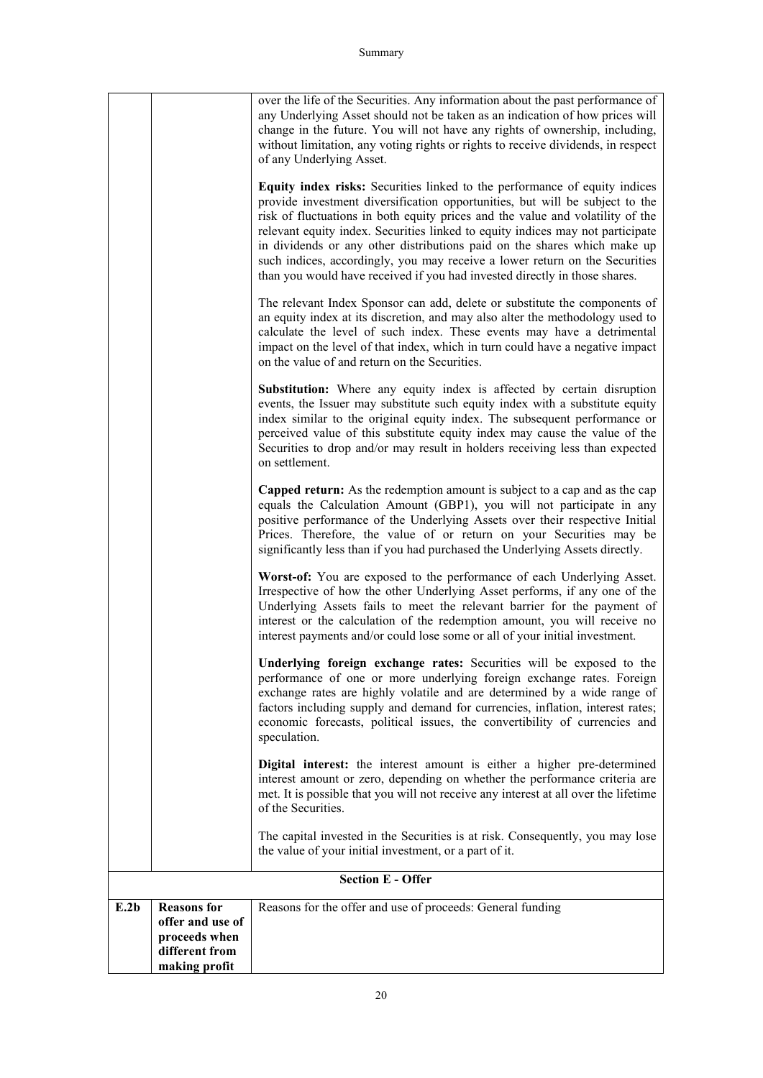|      |                                                                                            | over the life of the Securities. Any information about the past performance of<br>any Underlying Asset should not be taken as an indication of how prices will<br>change in the future. You will not have any rights of ownership, including,<br>without limitation, any voting rights or rights to receive dividends, in respect<br>of any Underlying Asset.<br>Equity index risks: Securities linked to the performance of equity indices<br>provide investment diversification opportunities, but will be subject to the<br>risk of fluctuations in both equity prices and the value and volatility of the<br>relevant equity index. Securities linked to equity indices may not participate<br>in dividends or any other distributions paid on the shares which make up<br>such indices, accordingly, you may receive a lower return on the Securities<br>than you would have received if you had invested directly in those shares.<br>The relevant Index Sponsor can add, delete or substitute the components of |
|------|--------------------------------------------------------------------------------------------|------------------------------------------------------------------------------------------------------------------------------------------------------------------------------------------------------------------------------------------------------------------------------------------------------------------------------------------------------------------------------------------------------------------------------------------------------------------------------------------------------------------------------------------------------------------------------------------------------------------------------------------------------------------------------------------------------------------------------------------------------------------------------------------------------------------------------------------------------------------------------------------------------------------------------------------------------------------------------------------------------------------------|
|      |                                                                                            | an equity index at its discretion, and may also alter the methodology used to<br>calculate the level of such index. These events may have a detrimental<br>impact on the level of that index, which in turn could have a negative impact<br>on the value of and return on the Securities.                                                                                                                                                                                                                                                                                                                                                                                                                                                                                                                                                                                                                                                                                                                              |
|      |                                                                                            | <b>Substitution:</b> Where any equity index is affected by certain disruption<br>events, the Issuer may substitute such equity index with a substitute equity<br>index similar to the original equity index. The subsequent performance or<br>perceived value of this substitute equity index may cause the value of the<br>Securities to drop and/or may result in holders receiving less than expected<br>on settlement.                                                                                                                                                                                                                                                                                                                                                                                                                                                                                                                                                                                             |
|      |                                                                                            | <b>Capped return:</b> As the redemption amount is subject to a cap and as the cap<br>equals the Calculation Amount (GBP1), you will not participate in any<br>positive performance of the Underlying Assets over their respective Initial<br>Prices. Therefore, the value of or return on your Securities may be<br>significantly less than if you had purchased the Underlying Assets directly.                                                                                                                                                                                                                                                                                                                                                                                                                                                                                                                                                                                                                       |
|      |                                                                                            | Worst-of: You are exposed to the performance of each Underlying Asset.<br>Irrespective of how the other Underlying Asset performs, if any one of the<br>Underlying Assets fails to meet the relevant barrier for the payment of<br>interest or the calculation of the redemption amount, you will receive no<br>interest payments and/or could lose some or all of your initial investment.                                                                                                                                                                                                                                                                                                                                                                                                                                                                                                                                                                                                                            |
|      |                                                                                            | Underlying foreign exchange rates: Securities will be exposed to the<br>performance of one or more underlying foreign exchange rates. Foreign<br>exchange rates are highly volatile and are determined by a wide range of<br>factors including supply and demand for currencies, inflation, interest rates;<br>economic forecasts, political issues, the convertibility of currencies and<br>speculation.                                                                                                                                                                                                                                                                                                                                                                                                                                                                                                                                                                                                              |
|      |                                                                                            | Digital interest: the interest amount is either a higher pre-determined<br>interest amount or zero, depending on whether the performance criteria are<br>met. It is possible that you will not receive any interest at all over the lifetime<br>of the Securities.                                                                                                                                                                                                                                                                                                                                                                                                                                                                                                                                                                                                                                                                                                                                                     |
|      |                                                                                            | The capital invested in the Securities is at risk. Consequently, you may lose<br>the value of your initial investment, or a part of it.                                                                                                                                                                                                                                                                                                                                                                                                                                                                                                                                                                                                                                                                                                                                                                                                                                                                                |
|      |                                                                                            | <b>Section E - Offer</b>                                                                                                                                                                                                                                                                                                                                                                                                                                                                                                                                                                                                                                                                                                                                                                                                                                                                                                                                                                                               |
| E.2b | <b>Reasons</b> for<br>offer and use of<br>proceeds when<br>different from<br>making profit | Reasons for the offer and use of proceeds: General funding                                                                                                                                                                                                                                                                                                                                                                                                                                                                                                                                                                                                                                                                                                                                                                                                                                                                                                                                                             |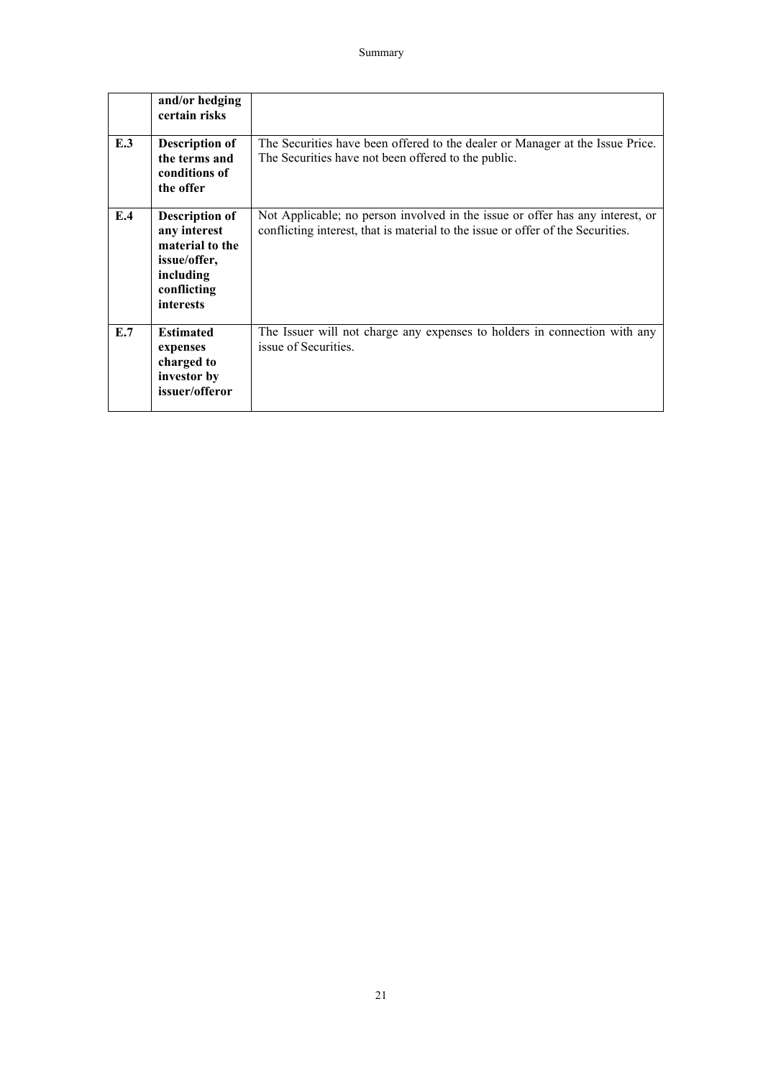|     | and/or hedging<br>certain risks                                                                                          |                                                                                                                                                                  |
|-----|--------------------------------------------------------------------------------------------------------------------------|------------------------------------------------------------------------------------------------------------------------------------------------------------------|
| E.3 | <b>Description of</b><br>the terms and<br>conditions of<br>the offer                                                     | The Securities have been offered to the dealer or Manager at the Issue Price.<br>The Securities have not been offered to the public.                             |
| E.4 | <b>Description of</b><br>any interest<br>material to the<br>issue/offer,<br>including<br>conflicting<br><i>interests</i> | Not Applicable; no person involved in the issue or offer has any interest, or<br>conflicting interest, that is material to the issue or offer of the Securities. |
| E.7 | <b>Estimated</b><br>expenses<br>charged to<br>investor by<br>issuer/offeror                                              | The Issuer will not charge any expenses to holders in connection with any<br>issue of Securities.                                                                |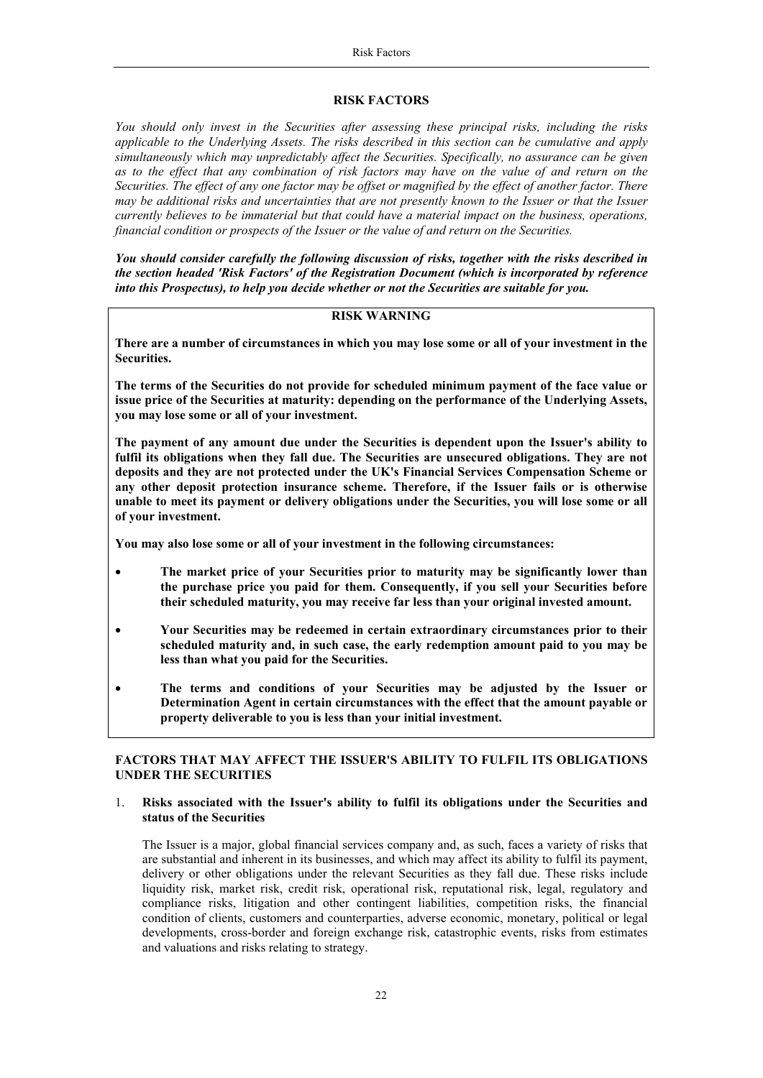#### **RISK FACTORS**

*You should only invest in the Securities after assessing these principal risks, including the risks applicable to the Underlying Assets. The risks described in this section can be cumulative and apply simultaneously which may unpredictably affect the Securities. Specifically, no assurance can be given as to the effect that any combination of risk factors may have on the value of and return on the Securities. The effect of any one factor may be offset or magnified by the effect of another factor. There may be additional risks and uncertainties that are not presently known to the Issuer or that the Issuer currently believes to be immaterial but that could have a material impact on the business, operations, financial condition or prospects of the Issuer or the value of and return on the Securities.* 

*You should consider carefully the following discussion of risks, together with the risks described in the section headed 'Risk Factors' of the Registration Document (which is incorporated by reference into this Prospectus), to help you decide whether or not the Securities are suitable for you.*

## <span id="page-21-0"></span>**RISK WARNING**

**There are a number of circumstances in which you may lose some or all of your investment in the Securities.**

**The terms of the Securities do not provide for scheduled minimum payment of the face value or issue price of the Securities at maturity: depending on the performance of the Underlying Assets, you may lose some or all of your investment.**

**The payment of any amount due under the Securities is dependent upon the Issuer's ability to fulfil its obligations when they fall due. The Securities are unsecured obligations. They are not deposits and they are not protected under the UK's Financial Services Compensation Scheme or any other deposit protection insurance scheme. Therefore, if the Issuer fails or is otherwise unable to meet its payment or delivery obligations under the Securities, you will lose some or all of your investment.** 

**You may also lose some or all of your investment in the following circumstances:**

- **The market price of your Securities prior to maturity may be significantly lower than the purchase price you paid for them. Consequently, if you sell your Securities before their scheduled maturity, you may receive far less than your original invested amount.**
- **Your Securities may be redeemed in certain extraordinary circumstances prior to their scheduled maturity and, in such case, the early redemption amount paid to you may be less than what you paid for the Securities.**
- **The terms and conditions of your Securities may be adjusted by the Issuer or Determination Agent in certain circumstances with the effect that the amount payable or property deliverable to you is less than your initial investment.**

## **FACTORS THAT MAY AFFECT THE ISSUER'S ABILITY TO FULFIL ITS OBLIGATIONS UNDER THE SECURITIES**

#### 1. **Risks associated with the Issuer's ability to fulfil its obligations under the Securities and status of the Securities**

The Issuer is a major, global financial services company and, as such, faces a variety of risks that are substantial and inherent in its businesses, and which may affect its ability to fulfil its payment, delivery or other obligations under the relevant Securities as they fall due. These risks include liquidity risk, market risk, credit risk, operational risk, reputational risk, legal, regulatory and compliance risks, litigation and other contingent liabilities, competition risks, the financial condition of clients, customers and counterparties, adverse economic, monetary, political or legal developments, cross-border and foreign exchange risk, catastrophic events, risks from estimates and valuations and risks relating to strategy.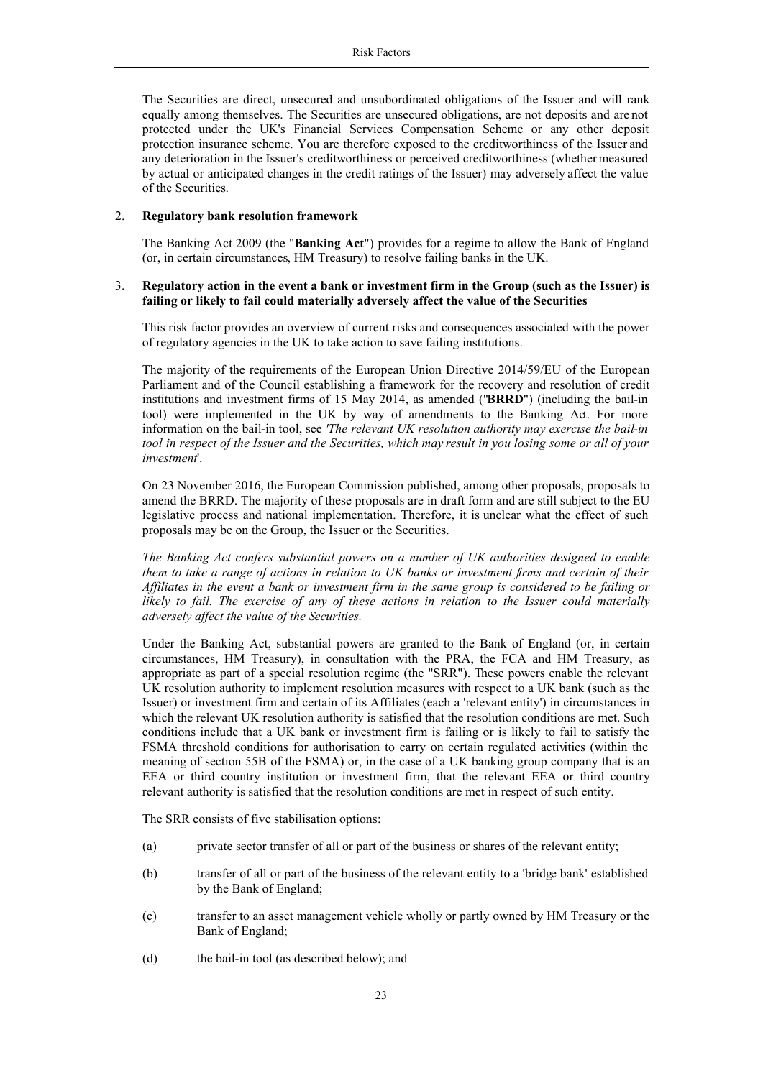The Securities are direct, unsecured and unsubordinated obligations of the Issuer and will rank equally among themselves. The Securities are unsecured obligations, are not deposits and are not protected under the UK's Financial Services Compensation Scheme or any other deposit protection insurance scheme. You are therefore exposed to the creditworthiness of the Issuer and any deterioration in the Issuer's creditworthiness or perceived creditworthiness (whether measured by actual or anticipated changes in the credit ratings of the Issuer) may adversely affect the value of the Securities.

## 2. **Regulatory bank resolution framework**

The Banking Act 2009 (the "**Banking Act**") provides for a regime to allow the Bank of England (or, in certain circumstances, HM Treasury) to resolve failing banks in the UK.

## 3. **Regulatory action in the event a bank or investment firm in the Group (such as the Issuer) is failing or likely to fail could materially adversely affect the value of the Securities**

This risk factor provides an overview of current risks and consequences associated with the power of regulatory agencies in the UK to take action to save failing institutions.

The majority of the requirements of the European Union Directive 2014/59/EU of the European Parliament and of the Council establishing a framework for the recovery and resolution of credit institutions and investment firms of 15 May 2014, as amended ("**BRRD**") (including the bail-in tool) were implemented in the UK by way of amendments to the Banking Act. For more information on the bail-in tool, see *'The relevant UK resolution authority may exercise the bail-in tool in respect of the Issuer and the Securities, which may result in you losing some or all of your investment*'.

On 23 November 2016, the European Commission published, among other proposals, proposals to amend the BRRD. The majority of these proposals are in draft form and are still subject to the EU legislative process and national implementation. Therefore, it is unclear what the effect of such proposals may be on the Group, the Issuer or the Securities.

*The Banking Act confers substantial powers on a number of UK authorities designed to enable them to take a range of actions in relation to UK banks or investment firms and certain of their Affiliates in the event a bank or investment firm in the same group is considered to be failing or likely to fail. The exercise of any of these actions in relation to the Issuer could materially adversely affect the value of the Securities.*

Under the Banking Act, substantial powers are granted to the Bank of England (or, in certain circumstances, HM Treasury), in consultation with the PRA, the FCA and HM Treasury, as appropriate as part of a special resolution regime (the "SRR"). These powers enable the relevant UK resolution authority to implement resolution measures with respect to a UK bank (such as the Issuer) or investment firm and certain of its Affiliates (each a 'relevant entity') in circumstances in which the relevant UK resolution authority is satisfied that the resolution conditions are met. Such conditions include that a UK bank or investment firm is failing or is likely to fail to satisfy the FSMA threshold conditions for authorisation to carry on certain regulated activities (within the meaning of section 55B of the FSMA) or, in the case of a UK banking group company that is an EEA or third country institution or investment firm, that the relevant EEA or third country relevant authority is satisfied that the resolution conditions are met in respect of such entity.

The SRR consists of five stabilisation options:

- (a) private sector transfer of all or part of the business or shares of the relevant entity;
- (b) transfer of all or part of the business of the relevant entity to a 'bridge bank' established by the Bank of England;
- (c) transfer to an asset management vehicle wholly or partly owned by HM Treasury or the Bank of England;
- (d) the bail-in tool (as described below); and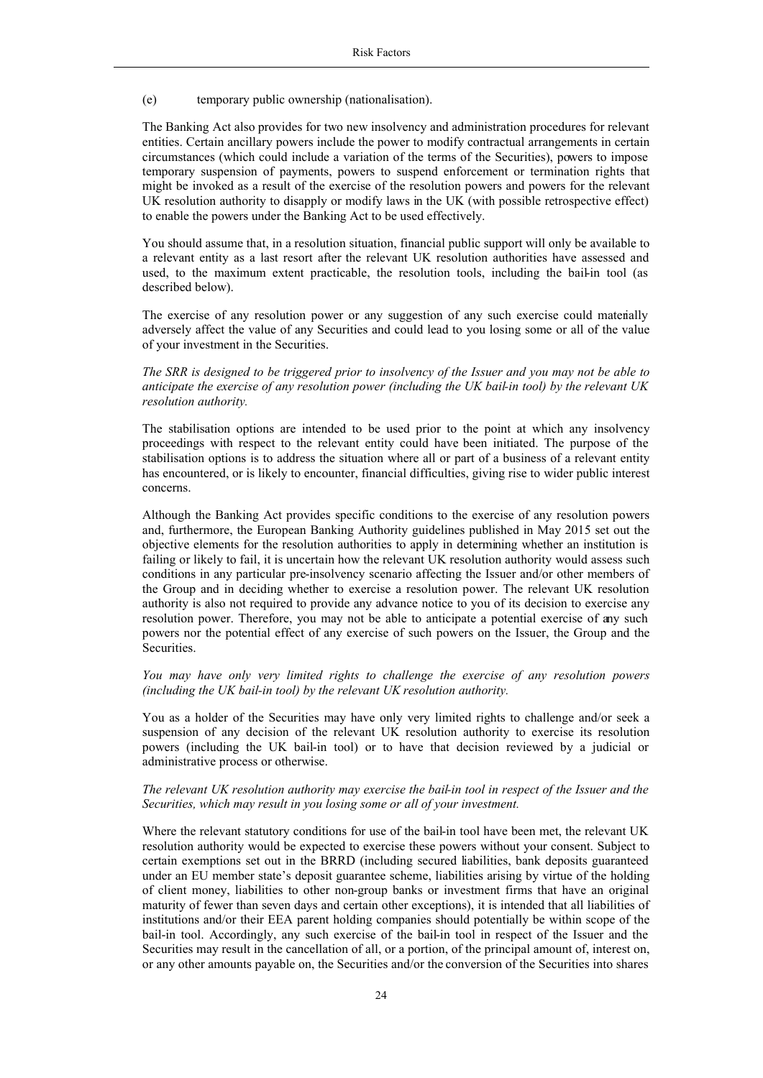#### (e) temporary public ownership (nationalisation).

The Banking Act also provides for two new insolvency and administration procedures for relevant entities. Certain ancillary powers include the power to modify contractual arrangements in certain circumstances (which could include a variation of the terms of the Securities), powers to impose temporary suspension of payments, powers to suspend enforcement or termination rights that might be invoked as a result of the exercise of the resolution powers and powers for the relevant UK resolution authority to disapply or modify laws in the UK (with possible retrospective effect) to enable the powers under the Banking Act to be used effectively.

You should assume that, in a resolution situation, financial public support will only be available to a relevant entity as a last resort after the relevant UK resolution authorities have assessed and used, to the maximum extent practicable, the resolution tools, including the bail-in tool (as described below).

The exercise of any resolution power or any suggestion of any such exercise could materially adversely affect the value of any Securities and could lead to you losing some or all of the value of your investment in the Securities.

*The SRR is designed to be triggered prior to insolvency of the Issuer and you may not be able to anticipate the exercise of any resolution power (including the UK bail-in tool) by the relevant UK resolution authority.*

The stabilisation options are intended to be used prior to the point at which any insolvency proceedings with respect to the relevant entity could have been initiated. The purpose of the stabilisation options is to address the situation where all or part of a business of a relevant entity has encountered, or is likely to encounter, financial difficulties, giving rise to wider public interest concerns.

Although the Banking Act provides specific conditions to the exercise of any resolution powers and, furthermore, the European Banking Authority guidelines published in May 2015 set out the objective elements for the resolution authorities to apply in determining whether an institution is failing or likely to fail, it is uncertain how the relevant UK resolution authority would assess such conditions in any particular pre-insolvency scenario affecting the Issuer and/or other members of the Group and in deciding whether to exercise a resolution power. The relevant UK resolution authority is also not required to provide any advance notice to you of its decision to exercise any resolution power. Therefore, you may not be able to anticipate a potential exercise of any such powers nor the potential effect of any exercise of such powers on the Issuer, the Group and the **Securities** 

## *You may have only very limited rights to challenge the exercise of any resolution powers (including the UK bail-in tool) by the relevant UK resolution authority.*

You as a holder of the Securities may have only very limited rights to challenge and/or seek a suspension of any decision of the relevant UK resolution authority to exercise its resolution powers (including the UK bail-in tool) or to have that decision reviewed by a judicial or administrative process or otherwise.

#### *The relevant UK resolution authority may exercise the bail-in tool in respect of the Issuer and the Securities, which may result in you losing some or all of your investment.*

Where the relevant statutory conditions for use of the bail-in tool have been met, the relevant UK resolution authority would be expected to exercise these powers without your consent. Subject to certain exemptions set out in the BRRD (including secured liabilities, bank deposits guaranteed under an EU member state's deposit guarantee scheme, liabilities arising by virtue of the holding of client money, liabilities to other non-group banks or investment firms that have an original maturity of fewer than seven days and certain other exceptions), it is intended that all liabilities of institutions and/or their EEA parent holding companies should potentially be within scope of the bail-in tool. Accordingly, any such exercise of the bail-in tool in respect of the Issuer and the Securities may result in the cancellation of all, or a portion, of the principal amount of, interest on, or any other amounts payable on, the Securities and/or the conversion of the Securities into shares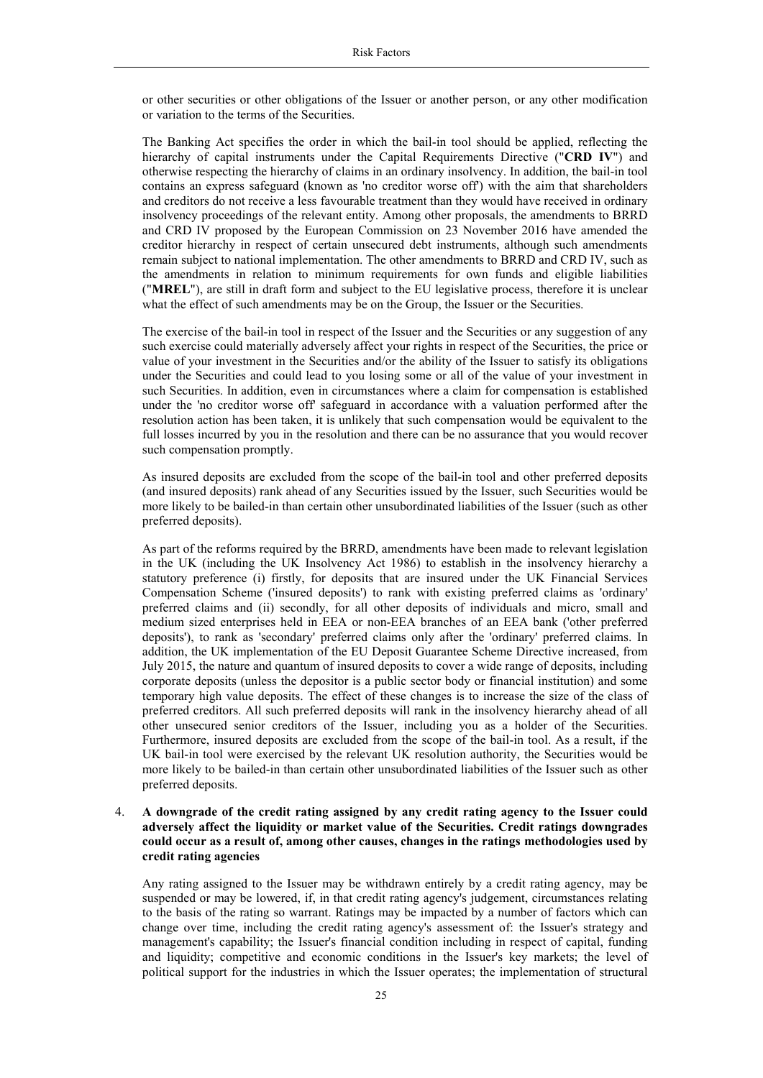or other securities or other obligations of the Issuer or another person, or any other modification or variation to the terms of the Securities.

The Banking Act specifies the order in which the bail-in tool should be applied, reflecting the hierarchy of capital instruments under the Capital Requirements Directive ("**CRD IV**") and otherwise respecting the hierarchy of claims in an ordinary insolvency. In addition, the bail-in tool contains an express safeguard (known as 'no creditor worse off') with the aim that shareholders and creditors do not receive a less favourable treatment than they would have received in ordinary insolvency proceedings of the relevant entity. Among other proposals, the amendments to BRRD and CRD IV proposed by the European Commission on 23 November 2016 have amended the creditor hierarchy in respect of certain unsecured debt instruments, although such amendments remain subject to national implementation. The other amendments to BRRD and CRD IV, such as the amendments in relation to minimum requirements for own funds and eligible liabilities ("**MREL**"), are still in draft form and subject to the EU legislative process, therefore it is unclear what the effect of such amendments may be on the Group, the Issuer or the Securities.

The exercise of the bail-in tool in respect of the Issuer and the Securities or any suggestion of any such exercise could materially adversely affect your rights in respect of the Securities, the price or value of your investment in the Securities and/or the ability of the Issuer to satisfy its obligations under the Securities and could lead to you losing some or all of the value of your investment in such Securities. In addition, even in circumstances where a claim for compensation is established under the 'no creditor worse off' safeguard in accordance with a valuation performed after the resolution action has been taken, it is unlikely that such compensation would be equivalent to the full losses incurred by you in the resolution and there can be no assurance that you would recover such compensation promptly.

As insured deposits are excluded from the scope of the bail-in tool and other preferred deposits (and insured deposits) rank ahead of any Securities issued by the Issuer, such Securities would be more likely to be bailed-in than certain other unsubordinated liabilities of the Issuer (such as other preferred deposits).

As part of the reforms required by the BRRD, amendments have been made to relevant legislation in the UK (including the UK Insolvency Act 1986) to establish in the insolvency hierarchy a statutory preference (i) firstly, for deposits that are insured under the UK Financial Services Compensation Scheme ('insured deposits') to rank with existing preferred claims as 'ordinary' preferred claims and (ii) secondly, for all other deposits of individuals and micro, small and medium sized enterprises held in EEA or non-EEA branches of an EEA bank ('other preferred deposits'), to rank as 'secondary' preferred claims only after the 'ordinary' preferred claims. In addition, the UK implementation of the EU Deposit Guarantee Scheme Directive increased, from July 2015, the nature and quantum of insured deposits to cover a wide range of deposits, including corporate deposits (unless the depositor is a public sector body or financial institution) and some temporary high value deposits. The effect of these changes is to increase the size of the class of preferred creditors. All such preferred deposits will rank in the insolvency hierarchy ahead of all other unsecured senior creditors of the Issuer, including you as a holder of the Securities. Furthermore, insured deposits are excluded from the scope of the bail-in tool. As a result, if the UK bail-in tool were exercised by the relevant UK resolution authority, the Securities would be more likely to be bailed-in than certain other unsubordinated liabilities of the Issuer such as other preferred deposits.

## 4. **A downgrade of the credit rating assigned by any credit rating agency to the Issuer could adversely affect the liquidity or market value of the Securities. Credit ratings downgrades could occur as a result of, among other causes, changes in the ratings methodologies used by credit rating agencies**

Any rating assigned to the Issuer may be withdrawn entirely by a credit rating agency, may be suspended or may be lowered, if, in that credit rating agency's judgement, circumstances relating to the basis of the rating so warrant. Ratings may be impacted by a number of factors which can change over time, including the credit rating agency's assessment of: the Issuer's strategy and management's capability; the Issuer's financial condition including in respect of capital, funding and liquidity; competitive and economic conditions in the Issuer's key markets; the level of political support for the industries in which the Issuer operates; the implementation of structural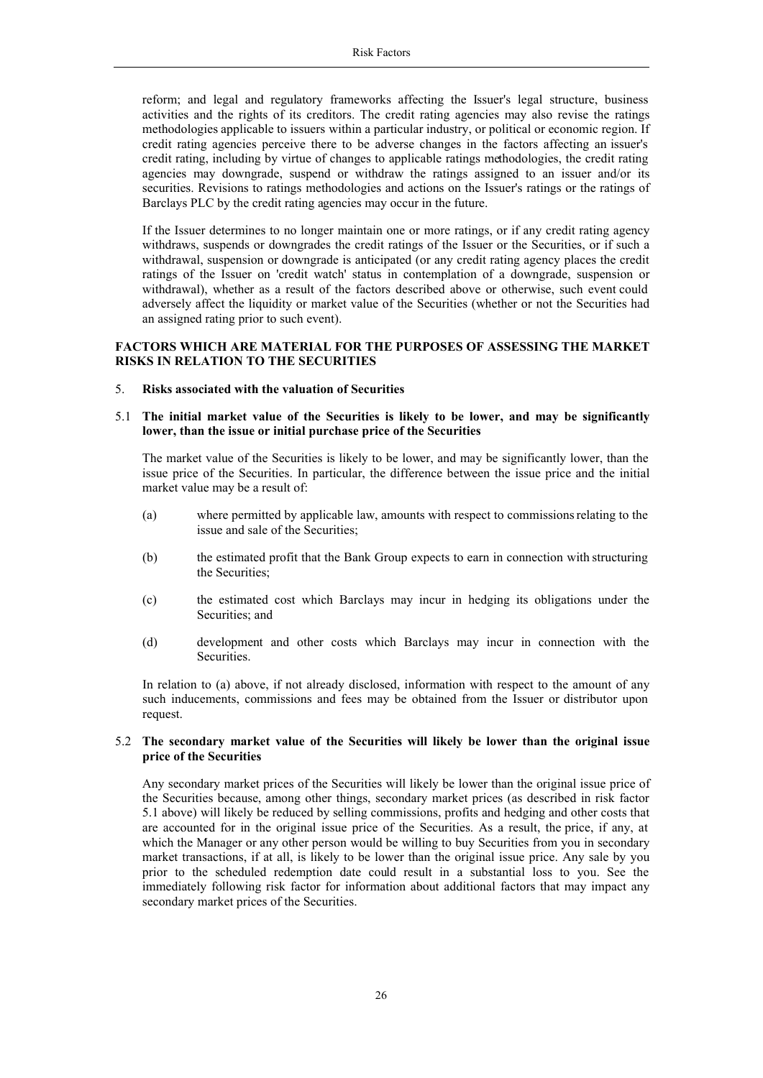reform; and legal and regulatory frameworks affecting the Issuer's legal structure, business activities and the rights of its creditors. The credit rating agencies may also revise the ratings methodologies applicable to issuers within a particular industry, or political or economic region. If credit rating agencies perceive there to be adverse changes in the factors affecting an issuer's credit rating, including by virtue of changes to applicable ratings methodologies, the credit rating agencies may downgrade, suspend or withdraw the ratings assigned to an issuer and/or its securities. Revisions to ratings methodologies and actions on the Issuer's ratings or the ratings of Barclays PLC by the credit rating agencies may occur in the future.

If the Issuer determines to no longer maintain one or more ratings, or if any credit rating agency withdraws, suspends or downgrades the credit ratings of the Issuer or the Securities, or if such a withdrawal, suspension or downgrade is anticipated (or any credit rating agency places the credit ratings of the Issuer on 'credit watch' status in contemplation of a downgrade, suspension or withdrawal), whether as a result of the factors described above or otherwise, such event could adversely affect the liquidity or market value of the Securities (whether or not the Securities had an assigned rating prior to such event).

# **FACTORS WHICH ARE MATERIAL FOR THE PURPOSES OF ASSESSING THE MARKET RISKS IN RELATION TO THE SECURITIES**

- 5. **Risks associated with the valuation of Securities**
- 5.1 **The initial market value of the Securities is likely to be lower, and may be significantly lower, than the issue or initial purchase price of the Securities**

The market value of the Securities is likely to be lower, and may be significantly lower, than the issue price of the Securities. In particular, the difference between the issue price and the initial market value may be a result of:

- (a) where permitted by applicable law, amounts with respect to commissionsrelating to the issue and sale of the Securities;
- (b) the estimated profit that the Bank Group expects to earn in connection with structuring the Securities;
- (c) the estimated cost which Barclays may incur in hedging its obligations under the Securities; and
- (d) development and other costs which Barclays may incur in connection with the Securities.

In relation to (a) above, if not already disclosed, information with respect to the amount of any such inducements, commissions and fees may be obtained from the Issuer or distributor upon request.

## 5.2 **The secondary market value of the Securities will likely be lower than the original issue price of the Securities**

Any secondary market prices of the Securities will likely be lower than the original issue price of the Securities because, among other things, secondary market prices (as described in risk factor 5.1 above) will likely be reduced by selling commissions, profits and hedging and other costs that are accounted for in the original issue price of the Securities. As a result, the price, if any, at which the Manager or any other person would be willing to buy Securities from you in secondary market transactions, if at all, is likely to be lower than the original issue price. Any sale by you prior to the scheduled redemption date could result in a substantial loss to you. See the immediately following risk factor for information about additional factors that may impact any secondary market prices of the Securities.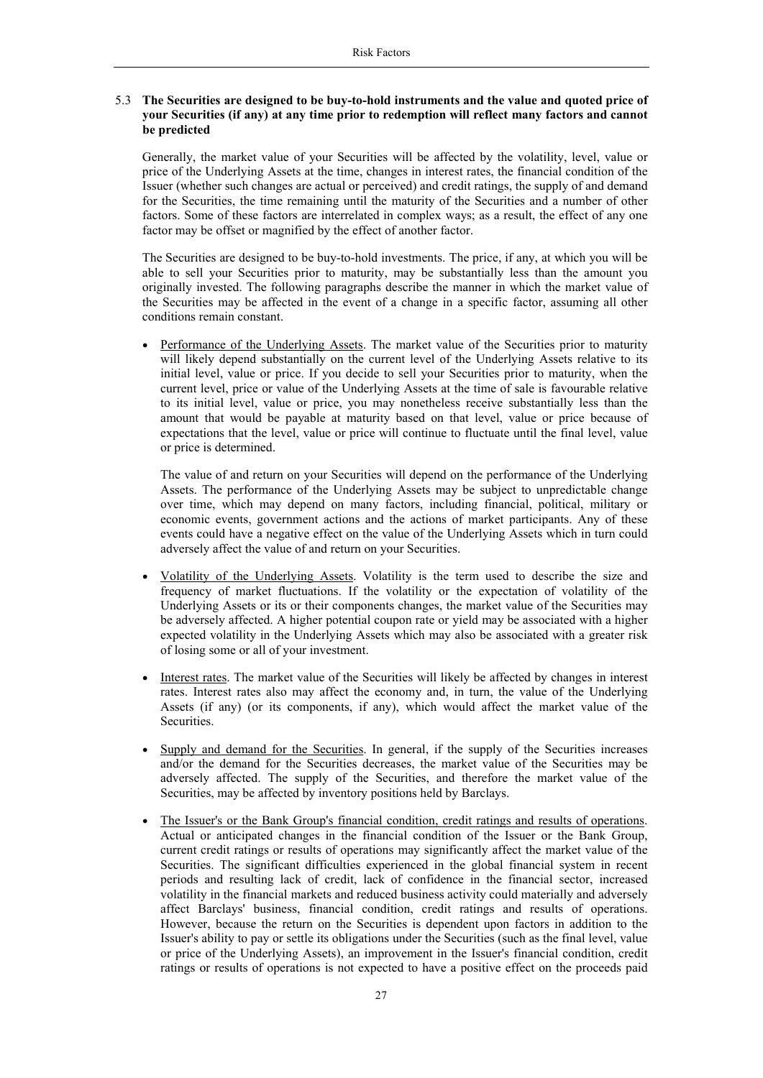## 5.3 **The Securities are designed to be buy-to-hold instruments and the value and quoted price of your Securities (if any) at any time prior to redemption will reflect many factors and cannot be predicted**

Generally, the market value of your Securities will be affected by the volatility, level, value or price of the Underlying Assets at the time, changes in interest rates, the financial condition of the Issuer (whether such changes are actual or perceived) and credit ratings, the supply of and demand for the Securities, the time remaining until the maturity of the Securities and a number of other factors. Some of these factors are interrelated in complex ways; as a result, the effect of any one factor may be offset or magnified by the effect of another factor.

The Securities are designed to be buy-to-hold investments. The price, if any, at which you will be able to sell your Securities prior to maturity, may be substantially less than the amount you originally invested. The following paragraphs describe the manner in which the market value of the Securities may be affected in the event of a change in a specific factor, assuming all other conditions remain constant.

 Performance of the Underlying Assets. The market value of the Securities prior to maturity will likely depend substantially on the current level of the Underlying Assets relative to its initial level, value or price. If you decide to sell your Securities prior to maturity, when the current level, price or value of the Underlying Assets at the time of sale is favourable relative to its initial level, value or price, you may nonetheless receive substantially less than the amount that would be payable at maturity based on that level, value or price because of expectations that the level, value or price will continue to fluctuate until the final level, value or price is determined.

The value of and return on your Securities will depend on the performance of the Underlying Assets. The performance of the Underlying Assets may be subject to unpredictable change over time, which may depend on many factors, including financial, political, military or economic events, government actions and the actions of market participants. Any of these events could have a negative effect on the value of the Underlying Assets which in turn could adversely affect the value of and return on your Securities.

- Volatility of the Underlying Assets. Volatility is the term used to describe the size and frequency of market fluctuations. If the volatility or the expectation of volatility of the Underlying Assets or its or their components changes, the market value of the Securities may be adversely affected. A higher potential coupon rate or yield may be associated with a higher expected volatility in the Underlying Assets which may also be associated with a greater risk of losing some or all of your investment.
- Interest rates. The market value of the Securities will likely be affected by changes in interest rates. Interest rates also may affect the economy and, in turn, the value of the Underlying Assets (if any) (or its components, if any), which would affect the market value of the Securities.
- Supply and demand for the Securities. In general, if the supply of the Securities increases and/or the demand for the Securities decreases, the market value of the Securities may be adversely affected. The supply of the Securities, and therefore the market value of the Securities, may be affected by inventory positions held by Barclays.
- The Issuer's or the Bank Group's financial condition, credit ratings and results of operations. Actual or anticipated changes in the financial condition of the Issuer or the Bank Group, current credit ratings or results of operations may significantly affect the market value of the Securities. The significant difficulties experienced in the global financial system in recent periods and resulting lack of credit, lack of confidence in the financial sector, increased volatility in the financial markets and reduced business activity could materially and adversely affect Barclays' business, financial condition, credit ratings and results of operations. However, because the return on the Securities is dependent upon factors in addition to the Issuer's ability to pay or settle its obligations under the Securities (such as the final level, value or price of the Underlying Assets), an improvement in the Issuer's financial condition, credit ratings or results of operations is not expected to have a positive effect on the proceeds paid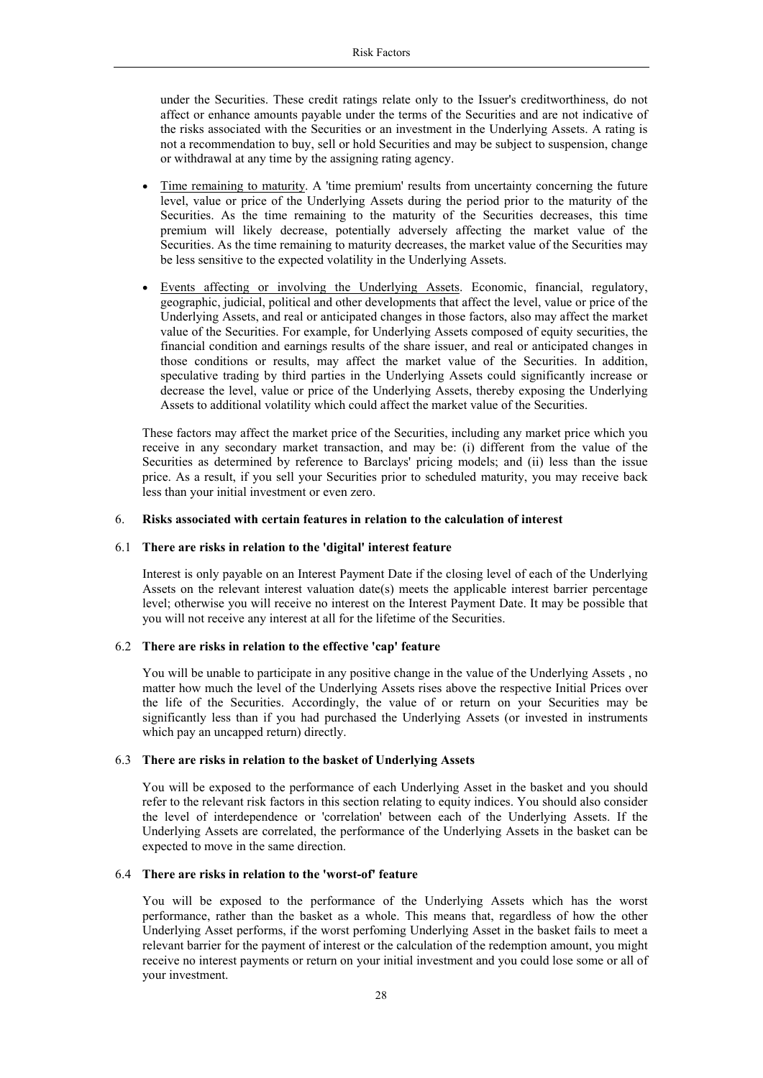under the Securities. These credit ratings relate only to the Issuer's creditworthiness, do not affect or enhance amounts payable under the terms of the Securities and are not indicative of the risks associated with the Securities or an investment in the Underlying Assets. A rating is not a recommendation to buy, sell or hold Securities and may be subject to suspension, change or withdrawal at any time by the assigning rating agency.

- Time remaining to maturity. A 'time premium' results from uncertainty concerning the future level, value or price of the Underlying Assets during the period prior to the maturity of the Securities. As the time remaining to the maturity of the Securities decreases, this time premium will likely decrease, potentially adversely affecting the market value of the Securities. As the time remaining to maturity decreases, the market value of the Securities may be less sensitive to the expected volatility in the Underlying Assets.
- Events affecting or involving the Underlying Assets. Economic, financial, regulatory, geographic, judicial, political and other developments that affect the level, value or price of the Underlying Assets, and real or anticipated changes in those factors, also may affect the market value of the Securities. For example, for Underlying Assets composed of equity securities, the financial condition and earnings results of the share issuer, and real or anticipated changes in those conditions or results, may affect the market value of the Securities. In addition, speculative trading by third parties in the Underlying Assets could significantly increase or decrease the level, value or price of the Underlying Assets, thereby exposing the Underlying Assets to additional volatility which could affect the market value of the Securities.

These factors may affect the market price of the Securities, including any market price which you receive in any secondary market transaction, and may be: (i) different from the value of the Securities as determined by reference to Barclays' pricing models; and (ii) less than the issue price. As a result, if you sell your Securities prior to scheduled maturity, you may receive back less than your initial investment or even zero.

#### 6. **Risks associated with certain features in relation to the calculation of interest**

## 6.1 **There are risks in relation to the 'digital' interest feature**

Interest is only payable on an Interest Payment Date if the closing level of each of the Underlying Assets on the relevant interest valuation date(s) meets the applicable interest barrier percentage level; otherwise you will receive no interest on the Interest Payment Date. It may be possible that you will not receive any interest at all for the lifetime of the Securities.

#### 6.2 **There are risks in relation to the effective 'cap' feature**

You will be unable to participate in any positive change in the value of the Underlying Assets , no matter how much the level of the Underlying Assets rises above the respective Initial Prices over the life of the Securities. Accordingly, the value of or return on your Securities may be significantly less than if you had purchased the Underlying Assets (or invested in instruments which pay an uncapped return) directly.

#### 6.3 **There are risks in relation to the basket of Underlying Assets**

You will be exposed to the performance of each Underlying Asset in the basket and you should refer to the relevant risk factors in this section relating to equity indices. You should also consider the level of interdependence or 'correlation' between each of the Underlying Assets. If the Underlying Assets are correlated, the performance of the Underlying Assets in the basket can be expected to move in the same direction.

## 6.4 **There are risks in relation to the 'worst-of' feature**

You will be exposed to the performance of the Underlying Assets which has the worst performance, rather than the basket as a whole. This means that, regardless of how the other Underlying Asset performs, if the worst perfoming Underlying Asset in the basket fails to meet a relevant barrier for the payment of interest or the calculation of the redemption amount, you might receive no interest payments or return on your initial investment and you could lose some or all of your investment.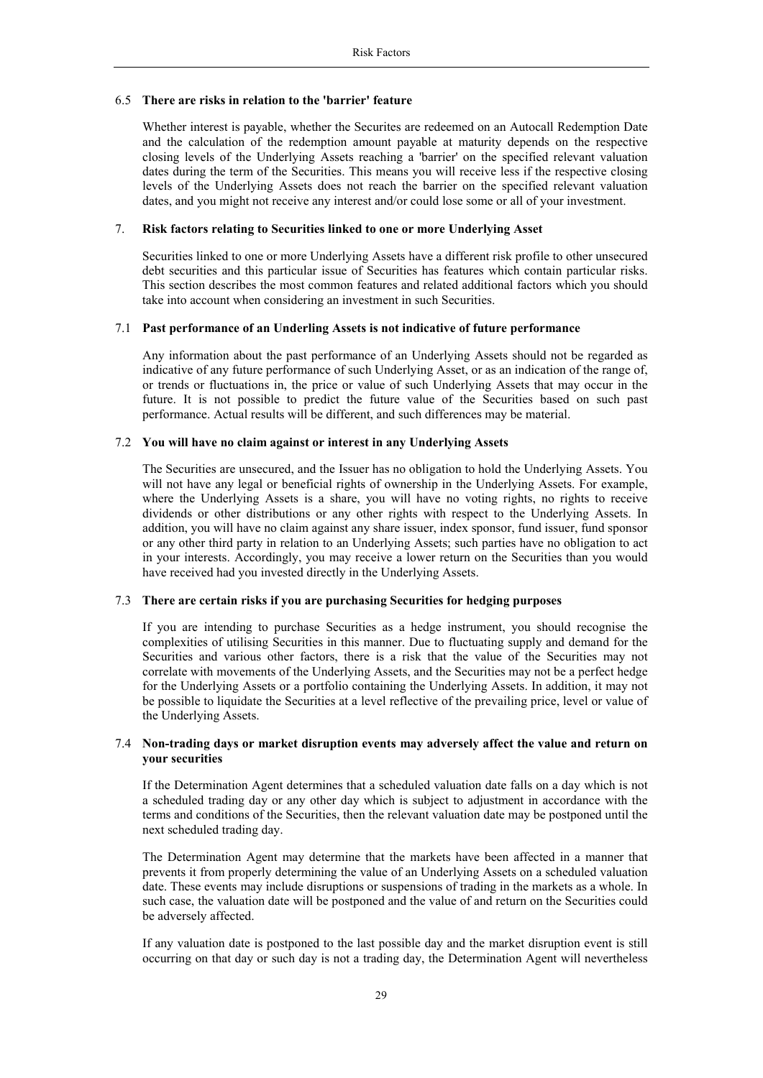#### 6.5 **There are risks in relation to the 'barrier' feature**

Whether interest is payable, whether the Securites are redeemed on an Autocall Redemption Date and the calculation of the redemption amount payable at maturity depends on the respective closing levels of the Underlying Assets reaching a 'barrier' on the specified relevant valuation dates during the term of the Securities. This means you will receive less if the respective closing levels of the Underlying Assets does not reach the barrier on the specified relevant valuation dates, and you might not receive any interest and/or could lose some or all of your investment.

#### 7. **Risk factors relating to Securities linked to one or more Underlying Asset**

Securities linked to one or more Underlying Assets have a different risk profile to other unsecured debt securities and this particular issue of Securities has features which contain particular risks. This section describes the most common features and related additional factors which you should take into account when considering an investment in such Securities.

## 7.1 **Past performance of an Underling Assets is not indicative of future performance**

Any information about the past performance of an Underlying Assets should not be regarded as indicative of any future performance of such Underlying Asset, or as an indication of the range of, or trends or fluctuations in, the price or value of such Underlying Assets that may occur in the future. It is not possible to predict the future value of the Securities based on such past performance. Actual results will be different, and such differences may be material.

## 7.2 **You will have no claim against or interest in any Underlying Assets**

The Securities are unsecured, and the Issuer has no obligation to hold the Underlying Assets. You will not have any legal or beneficial rights of ownership in the Underlying Assets. For example, where the Underlying Assets is a share, you will have no voting rights, no rights to receive dividends or other distributions or any other rights with respect to the Underlying Assets. In addition, you will have no claim against any share issuer, index sponsor, fund issuer, fund sponsor or any other third party in relation to an Underlying Assets; such parties have no obligation to act in your interests. Accordingly, you may receive a lower return on the Securities than you would have received had you invested directly in the Underlying Assets.

# 7.3 **There are certain risks if you are purchasing Securities for hedging purposes**

If you are intending to purchase Securities as a hedge instrument, you should recognise the complexities of utilising Securities in this manner. Due to fluctuating supply and demand for the Securities and various other factors, there is a risk that the value of the Securities may not correlate with movements of the Underlying Assets, and the Securities may not be a perfect hedge for the Underlying Assets or a portfolio containing the Underlying Assets. In addition, it may not be possible to liquidate the Securities at a level reflective of the prevailing price, level or value of the Underlying Assets.

#### 7.4 **Non-trading days or market disruption events may adversely affect the value and return on your securities**

If the Determination Agent determines that a scheduled valuation date falls on a day which is not a scheduled trading day or any other day which is subject to adjustment in accordance with the terms and conditions of the Securities, then the relevant valuation date may be postponed until the next scheduled trading day.

The Determination Agent may determine that the markets have been affected in a manner that prevents it from properly determining the value of an Underlying Assets on a scheduled valuation date. These events may include disruptions or suspensions of trading in the markets as a whole. In such case, the valuation date will be postponed and the value of and return on the Securities could be adversely affected.

If any valuation date is postponed to the last possible day and the market disruption event is still occurring on that day or such day is not a trading day, the Determination Agent will nevertheless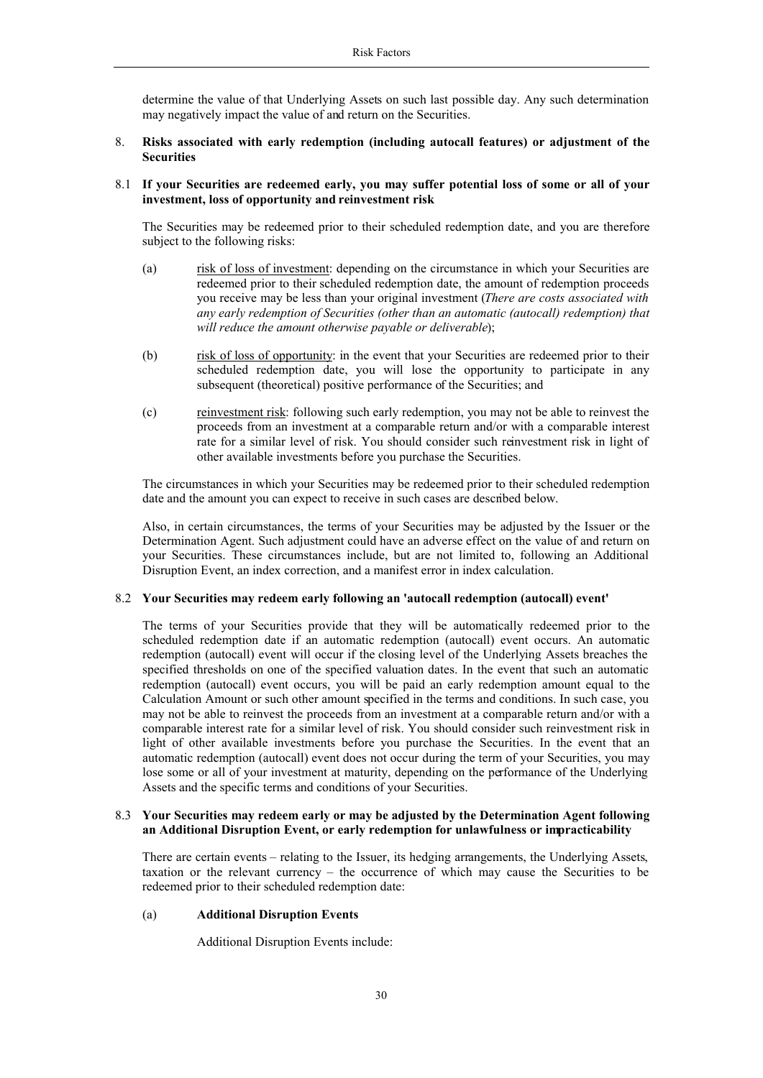determine the value of that Underlying Assets on such last possible day. Any such determination may negatively impact the value of and return on the Securities.

## 8. **Risks associated with early redemption (including autocall features) or adjustment of the Securities**

## 8.1 **If your Securities are redeemed early, you may suffer potential loss of some or all of your investment, loss of opportunity and reinvestment risk**

The Securities may be redeemed prior to their scheduled redemption date, and you are therefore subject to the following risks:

- (a) risk of loss of investment: depending on the circumstance in which your Securities are redeemed prior to their scheduled redemption date, the amount of redemption proceeds you receive may be less than your original investment (*There are costs associated with any early redemption of Securities (other than an automatic (autocall) redemption) that will reduce the amount otherwise payable or deliverable*);
- (b) risk of loss of opportunity: in the event that your Securities are redeemed prior to their scheduled redemption date, you will lose the opportunity to participate in any subsequent (theoretical) positive performance of the Securities; and
- (c) reinvestment risk: following such early redemption, you may not be able to reinvest the proceeds from an investment at a comparable return and/or with a comparable interest rate for a similar level of risk. You should consider such reinvestment risk in light of other available investments before you purchase the Securities.

The circumstances in which your Securities may be redeemed prior to their scheduled redemption date and the amount you can expect to receive in such cases are described below.

Also, in certain circumstances, the terms of your Securities may be adjusted by the Issuer or the Determination Agent. Such adjustment could have an adverse effect on the value of and return on your Securities. These circumstances include, but are not limited to, following an Additional Disruption Event, an index correction, and a manifest error in index calculation.

## 8.2 **Your Securities may redeem early following an 'autocall redemption (autocall) event'**

The terms of your Securities provide that they will be automatically redeemed prior to the scheduled redemption date if an automatic redemption (autocall) event occurs. An automatic redemption (autocall) event will occur if the closing level of the Underlying Assets breaches the specified thresholds on one of the specified valuation dates. In the event that such an automatic redemption (autocall) event occurs, you will be paid an early redemption amount equal to the Calculation Amount or such other amount specified in the terms and conditions. In such case, you may not be able to reinvest the proceeds from an investment at a comparable return and/or with a comparable interest rate for a similar level of risk. You should consider such reinvestment risk in light of other available investments before you purchase the Securities. In the event that an automatic redemption (autocall) event does not occur during the term of your Securities, you may lose some or all of your investment at maturity, depending on the performance of the Underlying Assets and the specific terms and conditions of your Securities.

## 8.3 **Your Securities may redeem early or may be adjusted by the Determination Agent following an Additional Disruption Event, or early redemption for unlawfulness or impracticability**

There are certain events – relating to the Issuer, its hedging arrangements, the Underlying Assets, taxation or the relevant currency – the occurrence of which may cause the Securities to be redeemed prior to their scheduled redemption date:

## (a) **Additional Disruption Events**

Additional Disruption Events include: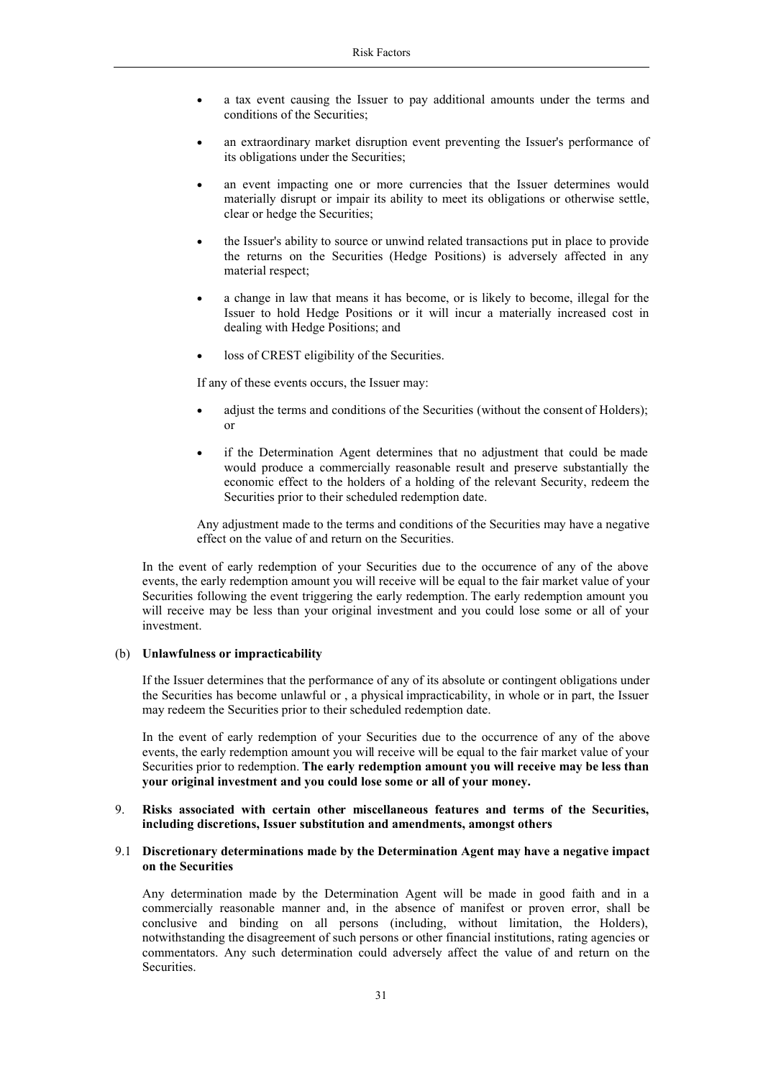- a tax event causing the Issuer to pay additional amounts under the terms and conditions of the Securities;
- an extraordinary market disruption event preventing the Issuer's performance of its obligations under the Securities;
- an event impacting one or more currencies that the Issuer determines would materially disrupt or impair its ability to meet its obligations or otherwise settle, clear or hedge the Securities;
- the Issuer's ability to source or unwind related transactions put in place to provide the returns on the Securities (Hedge Positions) is adversely affected in any material respect;
- a change in law that means it has become, or is likely to become, illegal for the Issuer to hold Hedge Positions or it will incur a materially increased cost in dealing with Hedge Positions; and
- loss of CREST eligibility of the Securities.

If any of these events occurs, the Issuer may:

- adjust the terms and conditions of the Securities (without the consent of Holders); or
- if the Determination Agent determines that no adjustment that could be made would produce a commercially reasonable result and preserve substantially the economic effect to the holders of a holding of the relevant Security, redeem the Securities prior to their scheduled redemption date.

Any adjustment made to the terms and conditions of the Securities may have a negative effect on the value of and return on the Securities.

In the event of early redemption of your Securities due to the occurrence of any of the above events, the early redemption amount you will receive will be equal to the fair market value of your Securities following the event triggering the early redemption. The early redemption amount you will receive may be less than your original investment and you could lose some or all of your investment.

#### (b) **Unlawfulness or impracticability**

If the Issuer determines that the performance of any of its absolute or contingent obligations under the Securities has become unlawful or , a physical impracticability, in whole or in part, the Issuer may redeem the Securities prior to their scheduled redemption date.

In the event of early redemption of your Securities due to the occurrence of any of the above events, the early redemption amount you will receive will be equal to the fair market value of your Securities prior to redemption. **The early redemption amount you will receive may be less than your original investment and you could lose some or all of your money.**

## 9. **Risks associated with certain other miscellaneous features and terms of the Securities, including discretions, Issuer substitution and amendments, amongst others**

## 9.1 **Discretionary determinations made by the Determination Agent may have a negative impact on the Securities**

Any determination made by the Determination Agent will be made in good faith and in a commercially reasonable manner and, in the absence of manifest or proven error, shall be conclusive and binding on all persons (including, without limitation, the Holders), notwithstanding the disagreement of such persons or other financial institutions, rating agencies or commentators. Any such determination could adversely affect the value of and return on the Securities.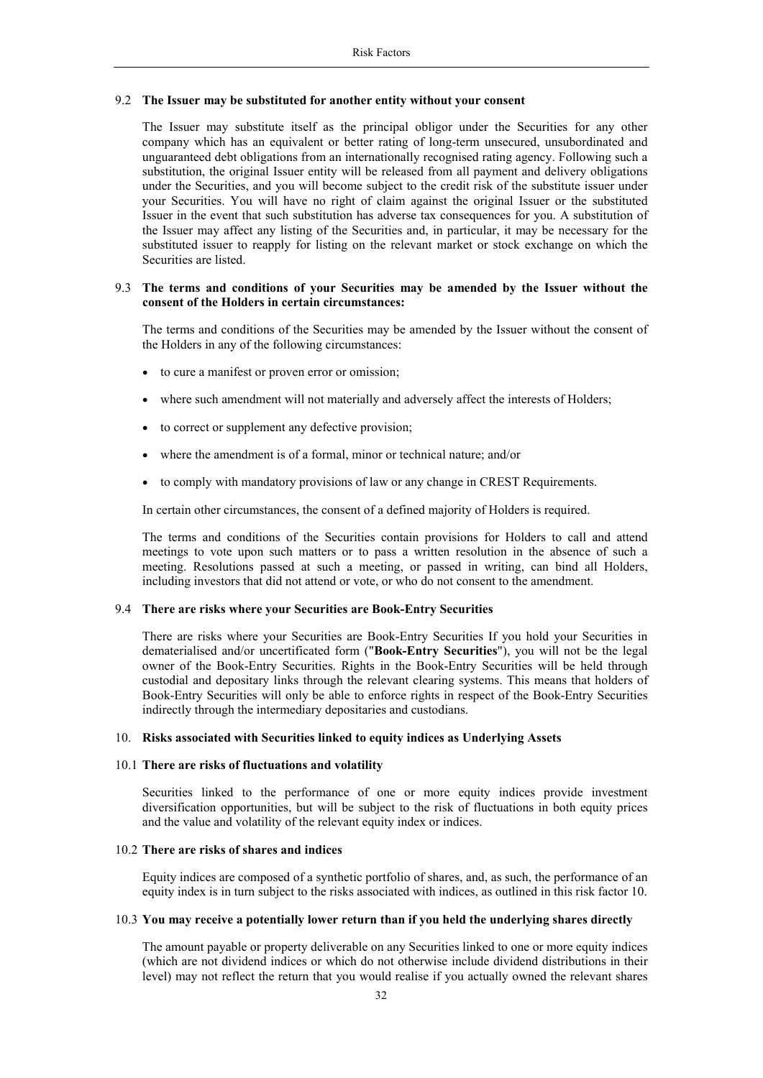#### 9.2 **The Issuer may be substituted for another entity without your consent**

The Issuer may substitute itself as the principal obligor under the Securities for any other company which has an equivalent or better rating of long-term unsecured, unsubordinated and unguaranteed debt obligations from an internationally recognised rating agency. Following such a substitution, the original Issuer entity will be released from all payment and delivery obligations under the Securities, and you will become subject to the credit risk of the substitute issuer under your Securities. You will have no right of claim against the original Issuer or the substituted Issuer in the event that such substitution has adverse tax consequences for you. A substitution of the Issuer may affect any listing of the Securities and, in particular, it may be necessary for the substituted issuer to reapply for listing on the relevant market or stock exchange on which the Securities are listed.

## 9.3 **The terms and conditions of your Securities may be amended by the Issuer without the consent of the Holders in certain circumstances:**

The terms and conditions of the Securities may be amended by the Issuer without the consent of the Holders in any of the following circumstances:

- to cure a manifest or proven error or omission;
- where such amendment will not materially and adversely affect the interests of Holders;
- to correct or supplement any defective provision;
- where the amendment is of a formal, minor or technical nature; and/or
- to comply with mandatory provisions of law or any change in CREST Requirements.

In certain other circumstances, the consent of a defined majority of Holders is required.

The terms and conditions of the Securities contain provisions for Holders to call and attend meetings to vote upon such matters or to pass a written resolution in the absence of such a meeting. Resolutions passed at such a meeting, or passed in writing, can bind all Holders, including investors that did not attend or vote, or who do not consent to the amendment.

## 9.4 **There are risks where your Securities are Book-Entry Securities**

There are risks where your Securities are Book-Entry Securities If you hold your Securities in dematerialised and/or uncertificated form ("**Book-Entry Securities**"), you will not be the legal owner of the Book-Entry Securities. Rights in the Book-Entry Securities will be held through custodial and depositary links through the relevant clearing systems. This means that holders of Book-Entry Securities will only be able to enforce rights in respect of the Book-Entry Securities indirectly through the intermediary depositaries and custodians.

#### 10. **Risks associated with Securities linked to equity indices as Underlying Assets**

# 10.1 **There are risks of fluctuations and volatility**

Securities linked to the performance of one or more equity indices provide investment diversification opportunities, but will be subject to the risk of fluctuations in both equity prices and the value and volatility of the relevant equity index or indices.

#### 10.2 **There are risks of shares and indices**

Equity indices are composed of a synthetic portfolio of shares, and, as such, the performance of an equity index is in turn subject to the risks associated with indices, as outlined in this risk factor 10.

#### 10.3 **You may receive a potentially lower return than if you held the underlying shares directly**

The amount payable or property deliverable on any Securities linked to one or more equity indices (which are not dividend indices or which do not otherwise include dividend distributions in their level) may not reflect the return that you would realise if you actually owned the relevant shares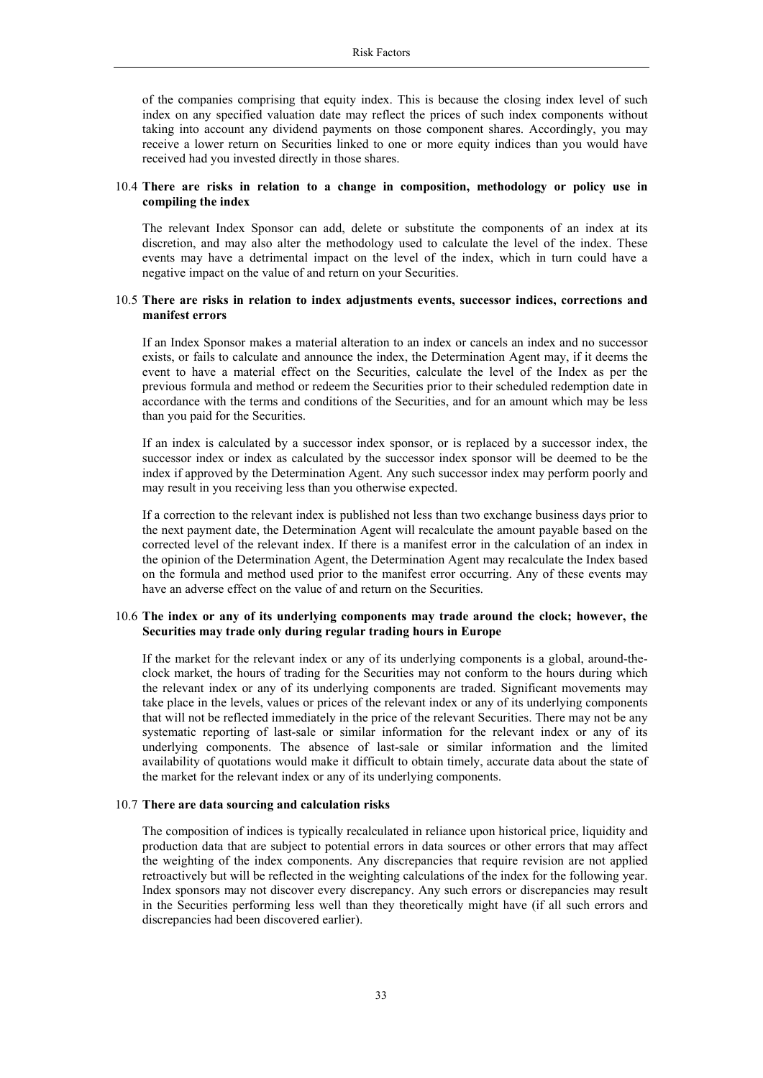of the companies comprising that equity index. This is because the closing index level of such index on any specified valuation date may reflect the prices of such index components without taking into account any dividend payments on those component shares. Accordingly, you may receive a lower return on Securities linked to one or more equity indices than you would have received had you invested directly in those shares.

#### 10.4 **There are risks in relation to a change in composition, methodology or policy use in compiling the index**

The relevant Index Sponsor can add, delete or substitute the components of an index at its discretion, and may also alter the methodology used to calculate the level of the index. These events may have a detrimental impact on the level of the index, which in turn could have a negative impact on the value of and return on your Securities.

## 10.5 **There are risks in relation to index adjustments events, successor indices, corrections and manifest errors**

If an Index Sponsor makes a material alteration to an index or cancels an index and no successor exists, or fails to calculate and announce the index, the Determination Agent may, if it deems the event to have a material effect on the Securities, calculate the level of the Index as per the previous formula and method or redeem the Securities prior to their scheduled redemption date in accordance with the terms and conditions of the Securities, and for an amount which may be less than you paid for the Securities.

If an index is calculated by a successor index sponsor, or is replaced by a successor index, the successor index or index as calculated by the successor index sponsor will be deemed to be the index if approved by the Determination Agent. Any such successor index may perform poorly and may result in you receiving less than you otherwise expected.

If a correction to the relevant index is published not less than two exchange business days prior to the next payment date, the Determination Agent will recalculate the amount payable based on the corrected level of the relevant index. If there is a manifest error in the calculation of an index in the opinion of the Determination Agent, the Determination Agent may recalculate the Index based on the formula and method used prior to the manifest error occurring. Any of these events may have an adverse effect on the value of and return on the Securities.

#### 10.6 **The index or any of its underlying components may trade around the clock; however, the Securities may trade only during regular trading hours in Europe**

If the market for the relevant index or any of its underlying components is a global, around-theclock market, the hours of trading for the Securities may not conform to the hours during which the relevant index or any of its underlying components are traded. Significant movements may take place in the levels, values or prices of the relevant index or any of its underlying components that will not be reflected immediately in the price of the relevant Securities. There may not be any systematic reporting of last-sale or similar information for the relevant index or any of its underlying components. The absence of last-sale or similar information and the limited availability of quotations would make it difficult to obtain timely, accurate data about the state of the market for the relevant index or any of its underlying components.

#### 10.7 **There are data sourcing and calculation risks**

The composition of indices is typically recalculated in reliance upon historical price, liquidity and production data that are subject to potential errors in data sources or other errors that may affect the weighting of the index components. Any discrepancies that require revision are not applied retroactively but will be reflected in the weighting calculations of the index for the following year. Index sponsors may not discover every discrepancy. Any such errors or discrepancies may result in the Securities performing less well than they theoretically might have (if all such errors and discrepancies had been discovered earlier).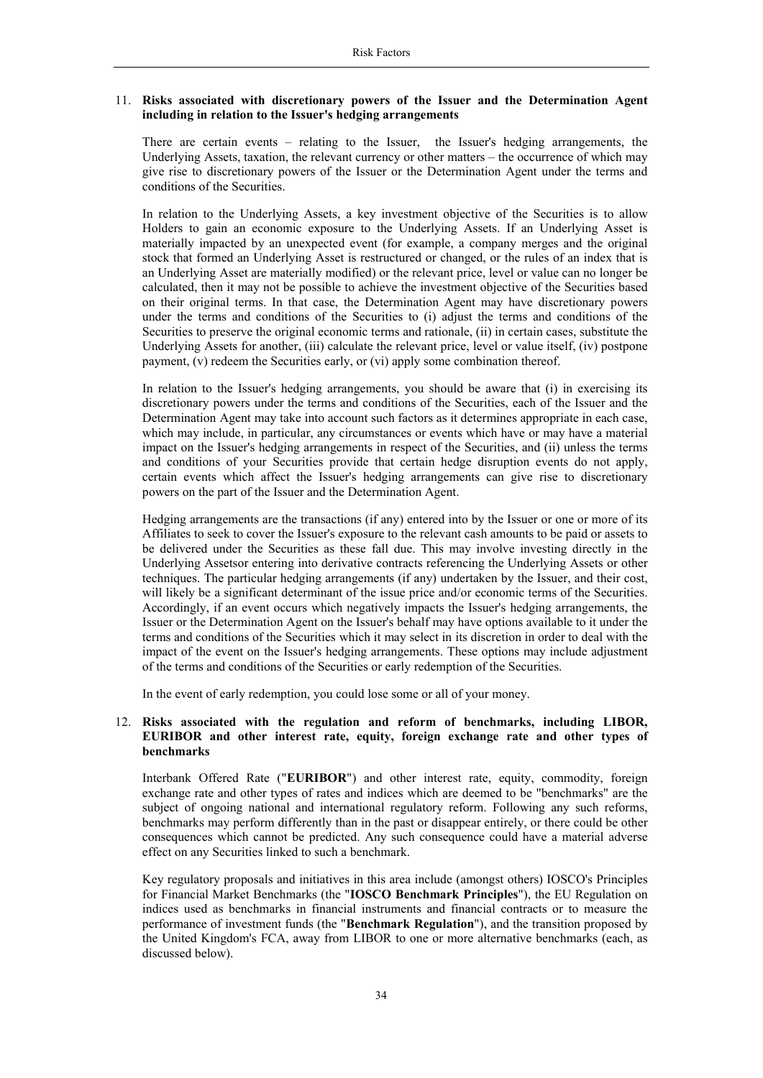## 11. **Risks associated with discretionary powers of the Issuer and the Determination Agent including in relation to the Issuer's hedging arrangements**

There are certain events – relating to the Issuer, the Issuer's hedging arrangements, the Underlying Assets, taxation, the relevant currency or other matters – the occurrence of which may give rise to discretionary powers of the Issuer or the Determination Agent under the terms and conditions of the Securities.

In relation to the Underlying Assets, a key investment objective of the Securities is to allow Holders to gain an economic exposure to the Underlying Assets. If an Underlying Asset is materially impacted by an unexpected event (for example, a company merges and the original stock that formed an Underlying Asset is restructured or changed, or the rules of an index that is an Underlying Asset are materially modified) or the relevant price, level or value can no longer be calculated, then it may not be possible to achieve the investment objective of the Securities based on their original terms. In that case, the Determination Agent may have discretionary powers under the terms and conditions of the Securities to (i) adjust the terms and conditions of the Securities to preserve the original economic terms and rationale, (ii) in certain cases, substitute the Underlying Assets for another, (iii) calculate the relevant price, level or value itself, (iv) postpone payment, (v) redeem the Securities early, or (vi) apply some combination thereof.

In relation to the Issuer's hedging arrangements, you should be aware that (i) in exercising its discretionary powers under the terms and conditions of the Securities, each of the Issuer and the Determination Agent may take into account such factors as it determines appropriate in each case, which may include, in particular, any circumstances or events which have or may have a material impact on the Issuer's hedging arrangements in respect of the Securities, and (ii) unless the terms and conditions of your Securities provide that certain hedge disruption events do not apply, certain events which affect the Issuer's hedging arrangements can give rise to discretionary powers on the part of the Issuer and the Determination Agent.

Hedging arrangements are the transactions (if any) entered into by the Issuer or one or more of its Affiliates to seek to cover the Issuer's exposure to the relevant cash amounts to be paid or assets to be delivered under the Securities as these fall due. This may involve investing directly in the Underlying Assetsor entering into derivative contracts referencing the Underlying Assets or other techniques. The particular hedging arrangements (if any) undertaken by the Issuer, and their cost, will likely be a significant determinant of the issue price and/or economic terms of the Securities. Accordingly, if an event occurs which negatively impacts the Issuer's hedging arrangements, the Issuer or the Determination Agent on the Issuer's behalf may have options available to it under the terms and conditions of the Securities which it may select in its discretion in order to deal with the impact of the event on the Issuer's hedging arrangements. These options may include adjustment of the terms and conditions of the Securities or early redemption of the Securities.

In the event of early redemption, you could lose some or all of your money.

## 12. **Risks associated with the regulation and reform of benchmarks, including LIBOR, EURIBOR and other interest rate, equity, foreign exchange rate and other types of benchmarks**

Interbank Offered Rate ("**EURIBOR**") and other interest rate, equity, commodity, foreign exchange rate and other types of rates and indices which are deemed to be "benchmarks" are the subject of ongoing national and international regulatory reform. Following any such reforms, benchmarks may perform differently than in the past or disappear entirely, or there could be other consequences which cannot be predicted. Any such consequence could have a material adverse effect on any Securities linked to such a benchmark.

Key regulatory proposals and initiatives in this area include (amongst others) IOSCO's Principles for Financial Market Benchmarks (the "**IOSCO Benchmark Principles**"), the EU Regulation on indices used as benchmarks in financial instruments and financial contracts or to measure the performance of investment funds (the "**Benchmark Regulation**"), and the transition proposed by the United Kingdom's FCA, away from LIBOR to one or more alternative benchmarks (each, as discussed below).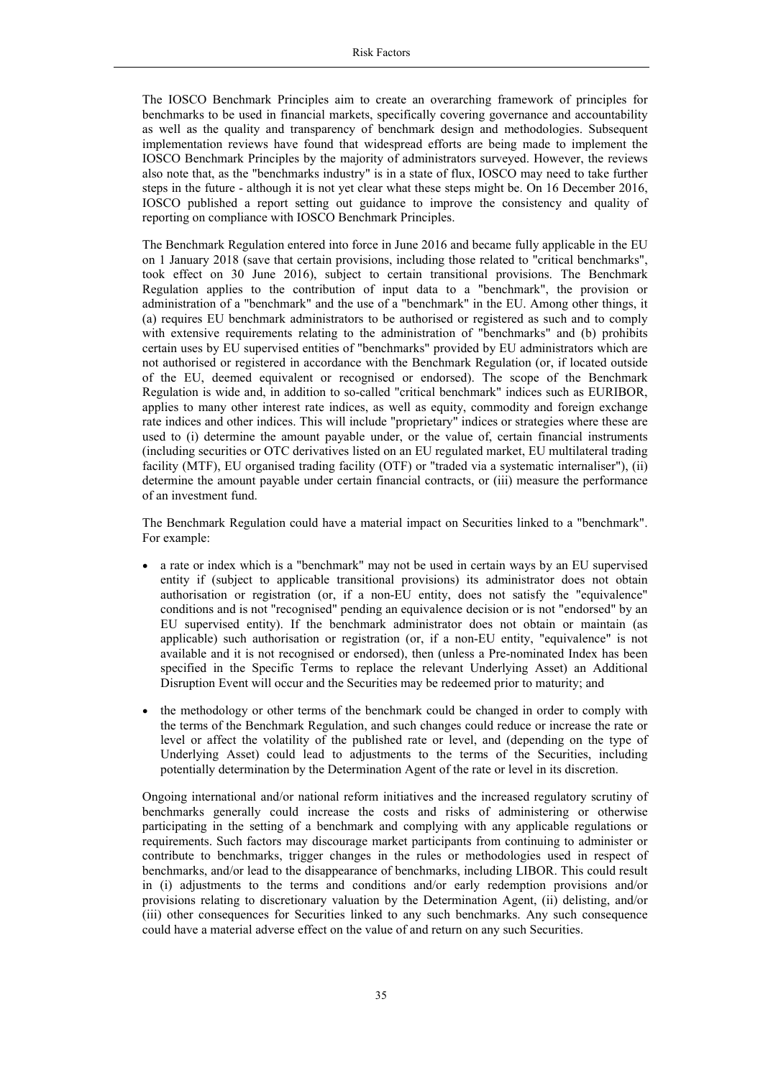The IOSCO Benchmark Principles aim to create an overarching framework of principles for benchmarks to be used in financial markets, specifically covering governance and accountability as well as the quality and transparency of benchmark design and methodologies. Subsequent implementation reviews have found that widespread efforts are being made to implement the IOSCO Benchmark Principles by the majority of administrators surveyed. However, the reviews also note that, as the "benchmarks industry" is in a state of flux, IOSCO may need to take further steps in the future - although it is not yet clear what these steps might be. On 16 December 2016, IOSCO published a report setting out guidance to improve the consistency and quality of reporting on compliance with IOSCO Benchmark Principles.

The Benchmark Regulation entered into force in June 2016 and became fully applicable in the EU on 1 January 2018 (save that certain provisions, including those related to "critical benchmarks", took effect on 30 June 2016), subject to certain transitional provisions. The Benchmark Regulation applies to the contribution of input data to a "benchmark", the provision or administration of a "benchmark" and the use of a "benchmark" in the EU. Among other things, it (a) requires EU benchmark administrators to be authorised or registered as such and to comply with extensive requirements relating to the administration of "benchmarks" and (b) prohibits certain uses by EU supervised entities of "benchmarks" provided by EU administrators which are not authorised or registered in accordance with the Benchmark Regulation (or, if located outside of the EU, deemed equivalent or recognised or endorsed). The scope of the Benchmark Regulation is wide and, in addition to so-called "critical benchmark" indices such as EURIBOR, applies to many other interest rate indices, as well as equity, commodity and foreign exchange rate indices and other indices. This will include "proprietary" indices or strategies where these are used to (i) determine the amount payable under, or the value of, certain financial instruments (including securities or OTC derivatives listed on an EU regulated market, EU multilateral trading facility (MTF), EU organised trading facility (OTF) or "traded via a systematic internaliser"), (ii) determine the amount payable under certain financial contracts, or (iii) measure the performance of an investment fund.

The Benchmark Regulation could have a material impact on Securities linked to a "benchmark". For example:

- a rate or index which is a "benchmark" may not be used in certain ways by an EU supervised entity if (subject to applicable transitional provisions) its administrator does not obtain authorisation or registration (or, if a non-EU entity, does not satisfy the "equivalence" conditions and is not "recognised" pending an equivalence decision or is not "endorsed" by an EU supervised entity). If the benchmark administrator does not obtain or maintain (as applicable) such authorisation or registration (or, if a non-EU entity, "equivalence" is not available and it is not recognised or endorsed), then (unless a Pre-nominated Index has been specified in the Specific Terms to replace the relevant Underlying Asset) an Additional Disruption Event will occur and the Securities may be redeemed prior to maturity; and
- the methodology or other terms of the benchmark could be changed in order to comply with the terms of the Benchmark Regulation, and such changes could reduce or increase the rate or level or affect the volatility of the published rate or level, and (depending on the type of Underlying Asset) could lead to adjustments to the terms of the Securities, including potentially determination by the Determination Agent of the rate or level in its discretion.

Ongoing international and/or national reform initiatives and the increased regulatory scrutiny of benchmarks generally could increase the costs and risks of administering or otherwise participating in the setting of a benchmark and complying with any applicable regulations or requirements. Such factors may discourage market participants from continuing to administer or contribute to benchmarks, trigger changes in the rules or methodologies used in respect of benchmarks, and/or lead to the disappearance of benchmarks, including LIBOR. This could result in (i) adjustments to the terms and conditions and/or early redemption provisions and/or provisions relating to discretionary valuation by the Determination Agent, (ii) delisting, and/or (iii) other consequences for Securities linked to any such benchmarks. Any such consequence could have a material adverse effect on the value of and return on any such Securities.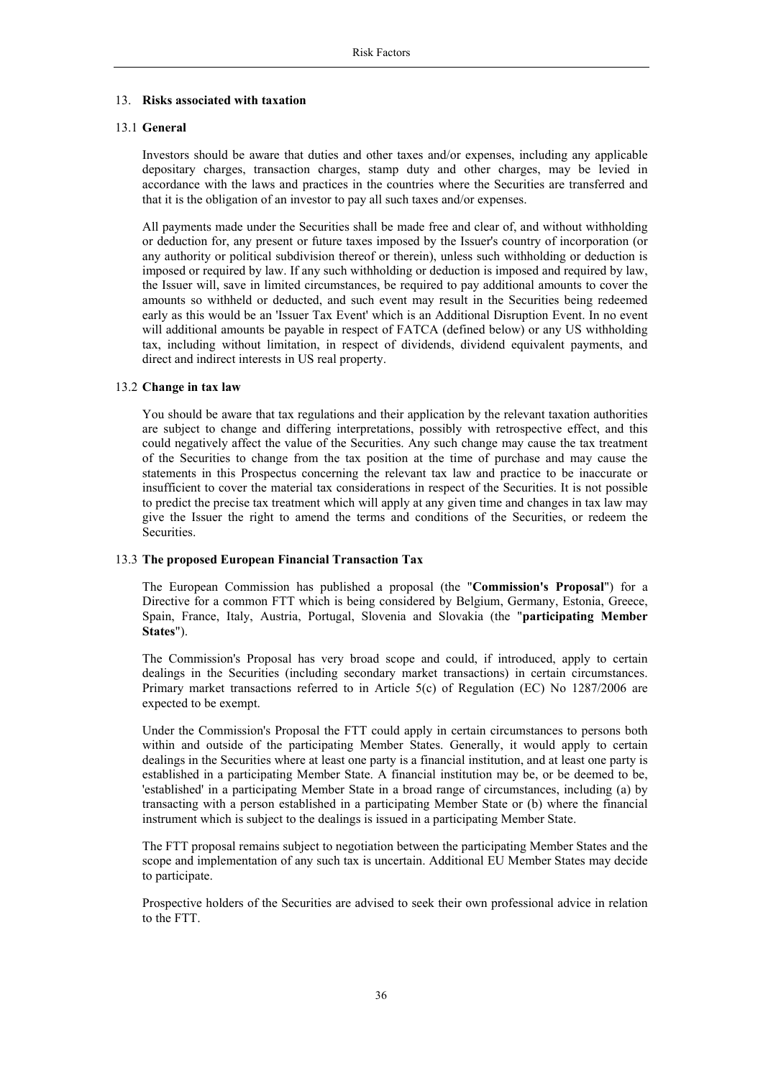## 13. **Risks associated with taxation**

## 13.1 **General**

Investors should be aware that duties and other taxes and/or expenses, including any applicable depositary charges, transaction charges, stamp duty and other charges, may be levied in accordance with the laws and practices in the countries where the Securities are transferred and that it is the obligation of an investor to pay all such taxes and/or expenses.

All payments made under the Securities shall be made free and clear of, and without withholding or deduction for, any present or future taxes imposed by the Issuer's country of incorporation (or any authority or political subdivision thereof or therein), unless such withholding or deduction is imposed or required by law. If any such withholding or deduction is imposed and required by law, the Issuer will, save in limited circumstances, be required to pay additional amounts to cover the amounts so withheld or deducted, and such event may result in the Securities being redeemed early as this would be an 'Issuer Tax Event' which is an Additional Disruption Event. In no event will additional amounts be payable in respect of FATCA (defined below) or any US withholding tax, including without limitation, in respect of dividends, dividend equivalent payments, and direct and indirect interests in US real property.

## 13.2 **Change in tax law**

You should be aware that tax regulations and their application by the relevant taxation authorities are subject to change and differing interpretations, possibly with retrospective effect, and this could negatively affect the value of the Securities. Any such change may cause the tax treatment of the Securities to change from the tax position at the time of purchase and may cause the statements in this Prospectus concerning the relevant tax law and practice to be inaccurate or insufficient to cover the material tax considerations in respect of the Securities. It is not possible to predict the precise tax treatment which will apply at any given time and changes in tax law may give the Issuer the right to amend the terms and conditions of the Securities, or redeem the Securities.

#### 13.3 **The proposed European Financial Transaction Tax**

The European Commission has published a proposal (the "**Commission's Proposal**") for a Directive for a common FTT which is being considered by Belgium, Germany, Estonia, Greece, Spain, France, Italy, Austria, Portugal, Slovenia and Slovakia (the "**participating Member States**").

The Commission's Proposal has very broad scope and could, if introduced, apply to certain dealings in the Securities (including secondary market transactions) in certain circumstances. Primary market transactions referred to in Article 5(c) of Regulation (EC) No 1287/2006 are expected to be exempt.

Under the Commission's Proposal the FTT could apply in certain circumstances to persons both within and outside of the participating Member States. Generally, it would apply to certain dealings in the Securities where at least one party is a financial institution, and at least one party is established in a participating Member State. A financial institution may be, or be deemed to be, 'established' in a participating Member State in a broad range of circumstances, including (a) by transacting with a person established in a participating Member State or (b) where the financial instrument which is subject to the dealings is issued in a participating Member State.

The FTT proposal remains subject to negotiation between the participating Member States and the scope and implementation of any such tax is uncertain. Additional EU Member States may decide to participate.

Prospective holders of the Securities are advised to seek their own professional advice in relation to the FTT.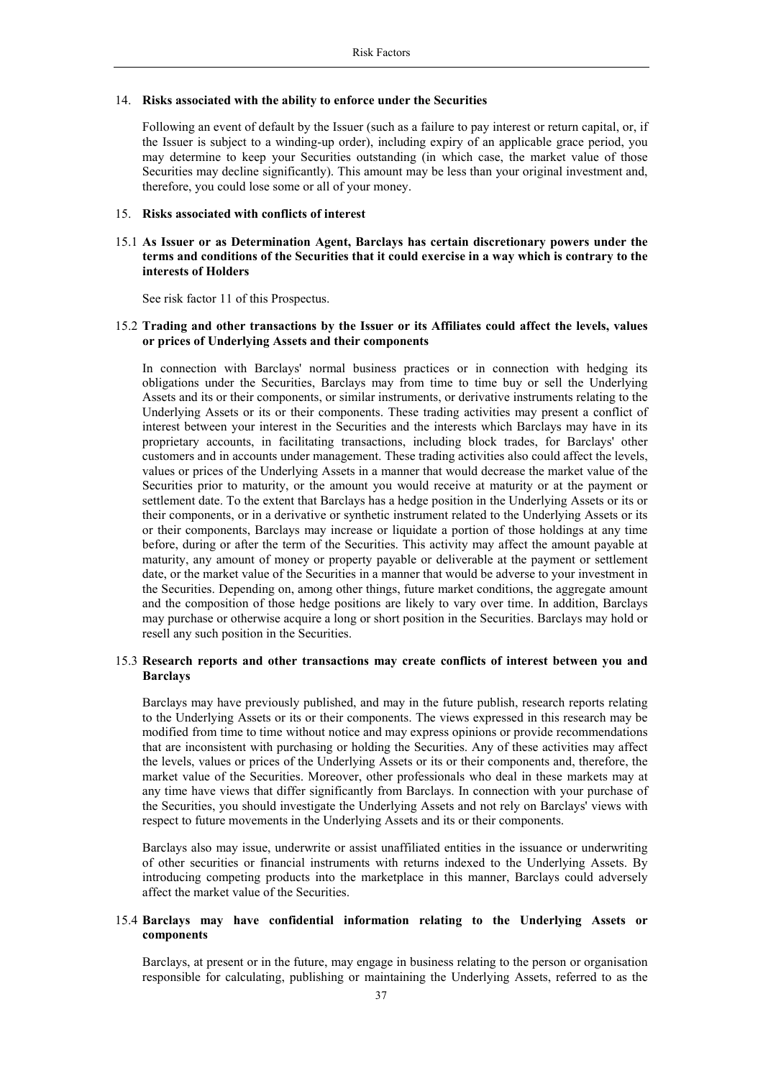#### 14. **Risks associated with the ability to enforce under the Securities**

Following an event of default by the Issuer (such as a failure to pay interest or return capital, or, if the Issuer is subject to a winding-up order), including expiry of an applicable grace period, you may determine to keep your Securities outstanding (in which case, the market value of those Securities may decline significantly). This amount may be less than your original investment and, therefore, you could lose some or all of your money.

#### 15. **Risks associated with conflicts of interest**

## 15.1 **As Issuer or as Determination Agent, Barclays has certain discretionary powers under the terms and conditions of the Securities that it could exercise in a way which is contrary to the interests of Holders**

See risk factor 11 of this Prospectus.

## 15.2 **Trading and other transactions by the Issuer or its Affiliates could affect the levels, values or prices of Underlying Assets and their components**

In connection with Barclays' normal business practices or in connection with hedging its obligations under the Securities, Barclays may from time to time buy or sell the Underlying Assets and its or their components, or similar instruments, or derivative instruments relating to the Underlying Assets or its or their components. These trading activities may present a conflict of interest between your interest in the Securities and the interests which Barclays may have in its proprietary accounts, in facilitating transactions, including block trades, for Barclays' other customers and in accounts under management. These trading activities also could affect the levels, values or prices of the Underlying Assets in a manner that would decrease the market value of the Securities prior to maturity, or the amount you would receive at maturity or at the payment or settlement date. To the extent that Barclays has a hedge position in the Underlying Assets or its or their components, or in a derivative or synthetic instrument related to the Underlying Assets or its or their components, Barclays may increase or liquidate a portion of those holdings at any time before, during or after the term of the Securities. This activity may affect the amount payable at maturity, any amount of money or property payable or deliverable at the payment or settlement date, or the market value of the Securities in a manner that would be adverse to your investment in the Securities. Depending on, among other things, future market conditions, the aggregate amount and the composition of those hedge positions are likely to vary over time. In addition, Barclays may purchase or otherwise acquire a long or short position in the Securities. Barclays may hold or resell any such position in the Securities.

#### 15.3 **Research reports and other transactions may create conflicts of interest between you and Barclays**

Barclays may have previously published, and may in the future publish, research reports relating to the Underlying Assets or its or their components. The views expressed in this research may be modified from time to time without notice and may express opinions or provide recommendations that are inconsistent with purchasing or holding the Securities. Any of these activities may affect the levels, values or prices of the Underlying Assets or its or their components and, therefore, the market value of the Securities. Moreover, other professionals who deal in these markets may at any time have views that differ significantly from Barclays. In connection with your purchase of the Securities, you should investigate the Underlying Assets and not rely on Barclays' views with respect to future movements in the Underlying Assets and its or their components.

Barclays also may issue, underwrite or assist unaffiliated entities in the issuance or underwriting of other securities or financial instruments with returns indexed to the Underlying Assets. By introducing competing products into the marketplace in this manner, Barclays could adversely affect the market value of the Securities.

## 15.4 **Barclays may have confidential information relating to the Underlying Assets or components**

Barclays, at present or in the future, may engage in business relating to the person or organisation responsible for calculating, publishing or maintaining the Underlying Assets, referred to as the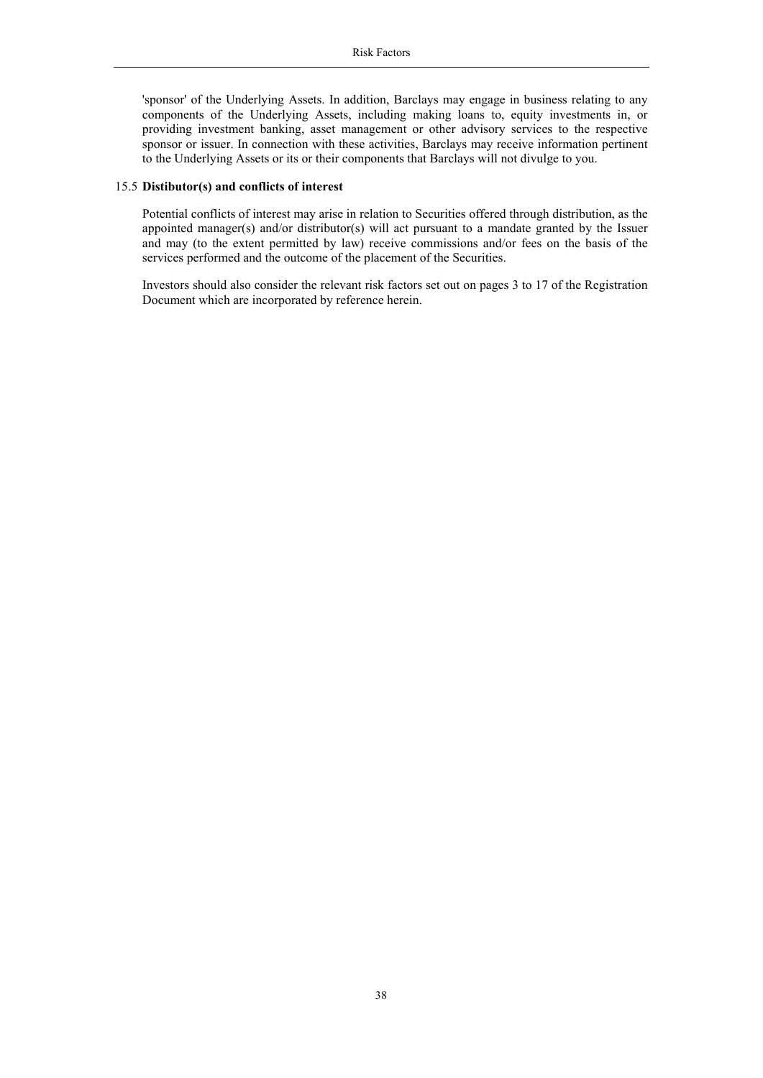'sponsor' of the Underlying Assets. In addition, Barclays may engage in business relating to any components of the Underlying Assets, including making loans to, equity investments in, or providing investment banking, asset management or other advisory services to the respective sponsor or issuer. In connection with these activities, Barclays may receive information pertinent to the Underlying Assets or its or their components that Barclays will not divulge to you.

#### 15.5 **Distibutor(s) and conflicts of interest**

Potential conflicts of interest may arise in relation to Securities offered through distribution, as the appointed manager(s) and/or distributor(s) will act pursuant to a mandate granted by the Issuer and may (to the extent permitted by law) receive commissions and/or fees on the basis of the services performed and the outcome of the placement of the Securities.

Investors should also consider the relevant risk factors set out on pages 3 to 17 of the Registration Document which are incorporated by reference herein.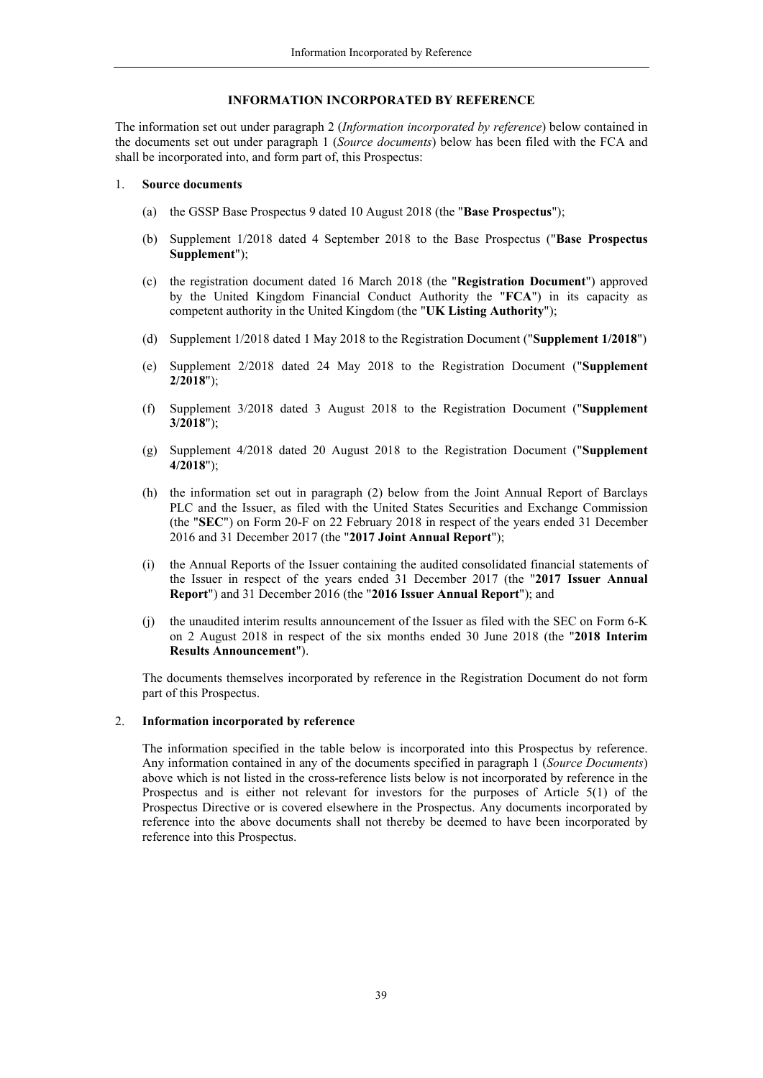## **INFORMATION INCORPORATED BY REFERENCE**

The information set out under paragraph 2 (*Information incorporated by reference*) below contained in the documents set out under paragraph 1 (*Source documents*) below has been filed with the FCA and shall be incorporated into, and form part of, this Prospectus:

#### 1. **Source documents**

- (a) the GSSP Base Prospectus 9 dated 10 August 2018 (the "**Base Prospectus**");
- (b) Supplement 1/2018 dated 4 September 2018 to the Base Prospectus ("**Base Prospectus Supplement**");
- (c) the registration document dated 16 March 2018 (the "**Registration Document**") approved by the United Kingdom Financial Conduct Authority the "**FCA**") in its capacity as competent authority in the United Kingdom (the "**UK Listing Authority**");
- <span id="page-38-0"></span>(d) Supplement 1/2018 dated 1 May 2018 to the Registration Document ("**Supplement 1/2018**")
- (e) Supplement 2/2018 dated 24 May 2018 to the Registration Document ("**Supplement 2/2018**");
- (f) Supplement 3/2018 dated 3 August 2018 to the Registration Document ("**Supplement 3/2018**");
- (g) Supplement 4/2018 dated 20 August 2018 to the Registration Document ("**Supplement 4/2018**");
- (h) the information set out in paragraph (2) below from the Joint Annual Report of Barclays PLC and the Issuer, as filed with the United States Securities and Exchange Commission (the "**SEC**") on Form 20-F on 22 February 2018 in respect of the years ended 31 December 2016 and 31 December 2017 (the "**2017 Joint Annual Report**");
- (i) the Annual Reports of the Issuer containing the audited consolidated financial statements of the Issuer in respect of the years ended 31 December 2017 (the "**2017 Issuer Annual Report**") and 31 December 2016 (the "**2016 Issuer Annual Report**"); and
- (j) the unaudited interim results announcement of the Issuer as filed with the SEC on Form 6-K on 2 August 2018 in respect of the six months ended 30 June 2018 (the "**2018 Interim Results Announcement**").

The documents themselves incorporated by reference in the Registration Document do not form part of this Prospectus.

#### 2. **Information incorporated by reference**

The information specified in the table below is incorporated into this Prospectus by reference. Any information contained in any of the documents specified in paragraph 1 (*Source Documents*) above which is not listed in the cross-reference lists below is not incorporated by reference in the Prospectus and is either not relevant for investors for the purposes of Article 5(1) of the Prospectus Directive or is covered elsewhere in the Prospectus. Any documents incorporated by reference into the above documents shall not thereby be deemed to have been incorporated by reference into this Prospectus.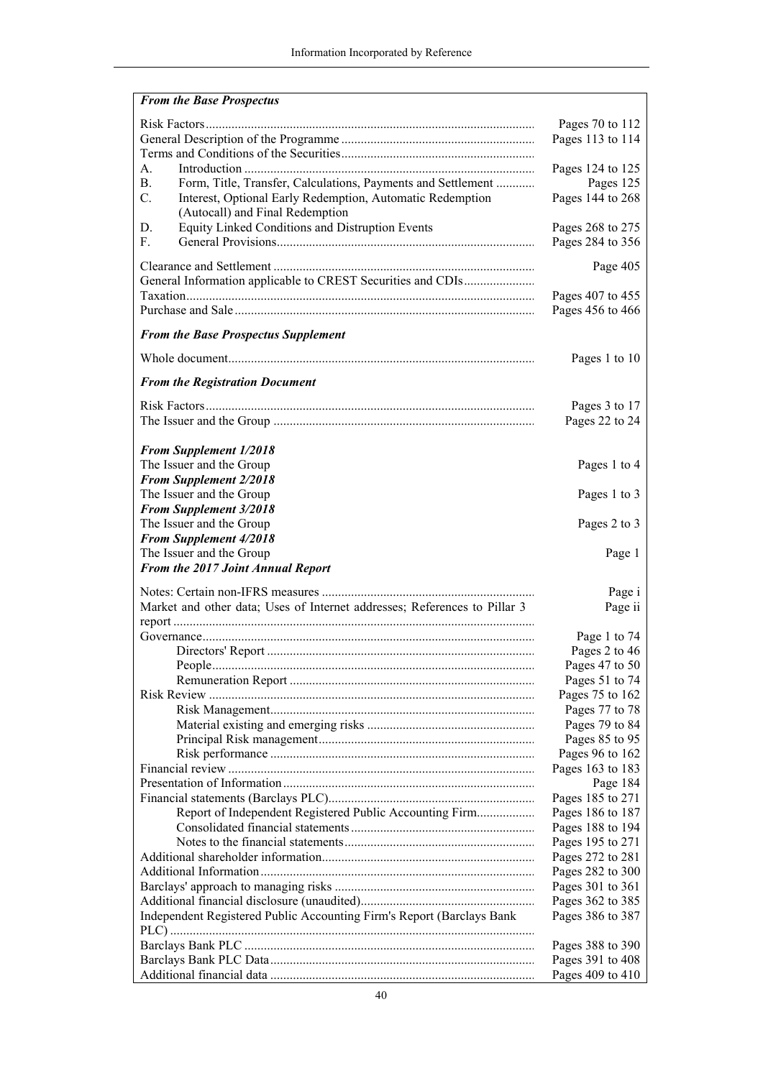| <b>From the Base Prospectus</b>                                           |                                      |
|---------------------------------------------------------------------------|--------------------------------------|
|                                                                           | Pages 70 to 112                      |
|                                                                           | Pages 113 to 114                     |
|                                                                           |                                      |
| $\mathsf{A}$ .                                                            | Pages 124 to 125                     |
| <b>B.</b><br>Form, Title, Transfer, Calculations, Payments and Settlement | Pages 125                            |
| C.<br>Interest, Optional Early Redemption, Automatic Redemption           | Pages 144 to 268                     |
| (Autocall) and Final Redemption                                           |                                      |
| Equity Linked Conditions and Distruption Events<br>D.                     | Pages 268 to 275                     |
| F.                                                                        | Pages 284 to 356                     |
|                                                                           | Page 405                             |
|                                                                           |                                      |
|                                                                           | Pages 407 to 455                     |
|                                                                           | Pages 456 to 466                     |
| <b>From the Base Prospectus Supplement</b>                                |                                      |
|                                                                           |                                      |
|                                                                           | Pages 1 to 10                        |
| <b>From the Registration Document</b>                                     |                                      |
|                                                                           | Pages 3 to 17                        |
|                                                                           | Pages 22 to 24                       |
|                                                                           |                                      |
| <b>From Supplement 1/2018</b>                                             |                                      |
| The Issuer and the Group                                                  | Pages 1 to 4                         |
| <b>From Supplement 2/2018</b>                                             |                                      |
| The Issuer and the Group                                                  | Pages 1 to 3                         |
| <b>From Supplement 3/2018</b>                                             |                                      |
| The Issuer and the Group                                                  | Pages 2 to 3                         |
| <b>From Supplement 4/2018</b><br>The Issuer and the Group                 |                                      |
| From the 2017 Joint Annual Report                                         | Page 1                               |
|                                                                           |                                      |
|                                                                           | Page i                               |
| Market and other data; Uses of Internet addresses; References to Pillar 3 | Page ii                              |
|                                                                           |                                      |
|                                                                           | Page 1 to 74                         |
|                                                                           | Pages 2 to 46                        |
|                                                                           | Pages 47 to 50<br>Pages 51 to 74     |
|                                                                           | Pages 75 to 162                      |
|                                                                           | Pages 77 to 78                       |
|                                                                           | Pages 79 to 84                       |
|                                                                           | Pages 85 to 95                       |
|                                                                           | Pages 96 to 162                      |
|                                                                           | Pages 163 to 183                     |
|                                                                           | Page 184                             |
|                                                                           | Pages 185 to 271                     |
| Report of Independent Registered Public Accounting Firm                   | Pages 186 to 187                     |
|                                                                           | Pages 188 to 194                     |
|                                                                           | Pages 195 to 271                     |
|                                                                           | Pages 272 to 281                     |
|                                                                           | Pages 282 to 300                     |
|                                                                           | Pages 301 to 361                     |
|                                                                           | Pages 362 to 385                     |
| Independent Registered Public Accounting Firm's Report (Barclays Bank     | Pages 386 to 387                     |
|                                                                           |                                      |
|                                                                           | Pages 388 to 390<br>Pages 391 to 408 |
|                                                                           | Pages 409 to 410                     |
|                                                                           |                                      |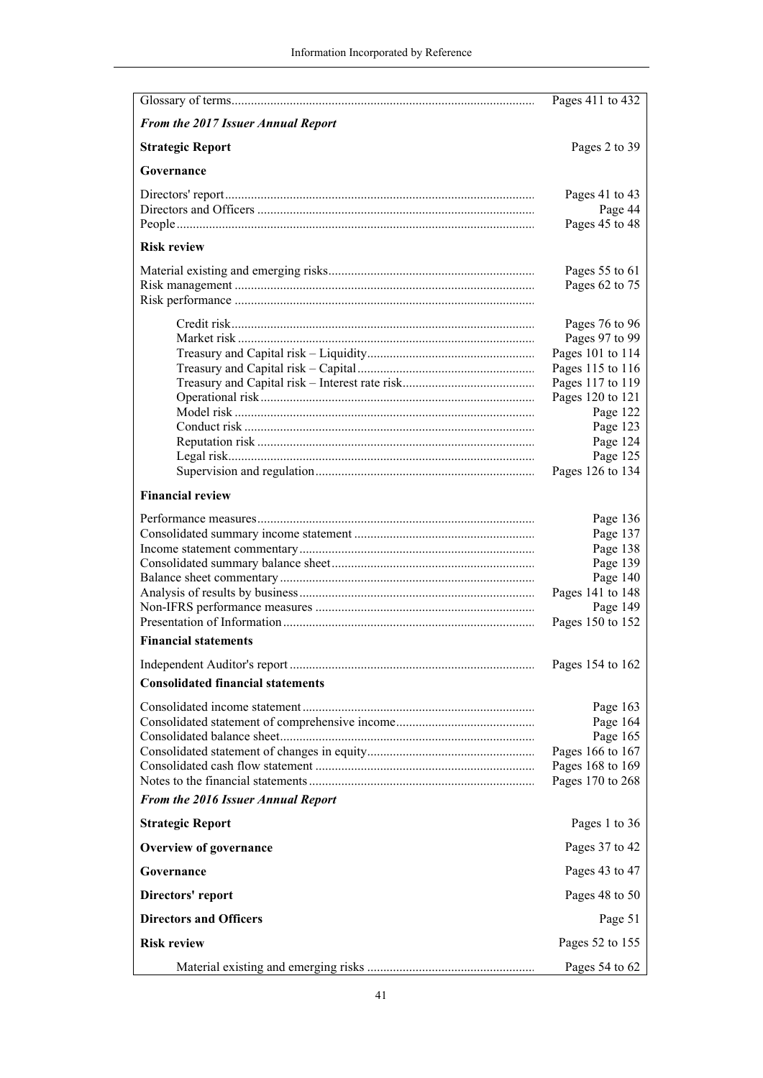|                                          | Pages 411 to 432                     |  |
|------------------------------------------|--------------------------------------|--|
| From the 2017 Issuer Annual Report       |                                      |  |
| <b>Strategic Report</b>                  | Pages 2 to 39                        |  |
| Governance                               |                                      |  |
|                                          | Pages 41 to 43                       |  |
|                                          | Page 44                              |  |
|                                          | Pages 45 to 48                       |  |
| <b>Risk review</b>                       |                                      |  |
|                                          | Pages 55 to 61<br>Pages 62 to 75     |  |
|                                          |                                      |  |
|                                          |                                      |  |
|                                          | Pages 76 to 96                       |  |
|                                          | Pages 97 to 99                       |  |
|                                          | Pages 101 to 114<br>Pages 115 to 116 |  |
|                                          | Pages 117 to 119                     |  |
|                                          | Pages 120 to 121                     |  |
|                                          | Page 122                             |  |
|                                          | Page 123                             |  |
|                                          | Page 124                             |  |
|                                          | Page 125                             |  |
|                                          | Pages 126 to 134                     |  |
| <b>Financial review</b>                  |                                      |  |
|                                          | Page 136                             |  |
|                                          | Page 137                             |  |
|                                          | Page 138                             |  |
|                                          | Page 139                             |  |
|                                          | Page 140                             |  |
|                                          | Pages 141 to 148                     |  |
|                                          | Page 149                             |  |
| <b>Financial statements</b>              | Pages 150 to 152                     |  |
|                                          | Pages 154 to 162                     |  |
| <b>Consolidated financial statements</b> |                                      |  |
|                                          |                                      |  |
|                                          | Page 163                             |  |
|                                          | Page 164<br>Page 165                 |  |
|                                          | Pages 166 to 167                     |  |
|                                          | Pages 168 to 169                     |  |
|                                          | Pages 170 to 268                     |  |
| From the 2016 Issuer Annual Report       |                                      |  |
| <b>Strategic Report</b>                  | Pages 1 to 36                        |  |
| <b>Overview of governance</b>            | Pages 37 to 42                       |  |
| Governance                               | Pages 43 to 47                       |  |
| Directors' report                        | Pages 48 to 50                       |  |
| <b>Directors and Officers</b>            | Page 51                              |  |
| <b>Risk review</b>                       | Pages 52 to 155                      |  |
|                                          | Pages $54$ to $62$                   |  |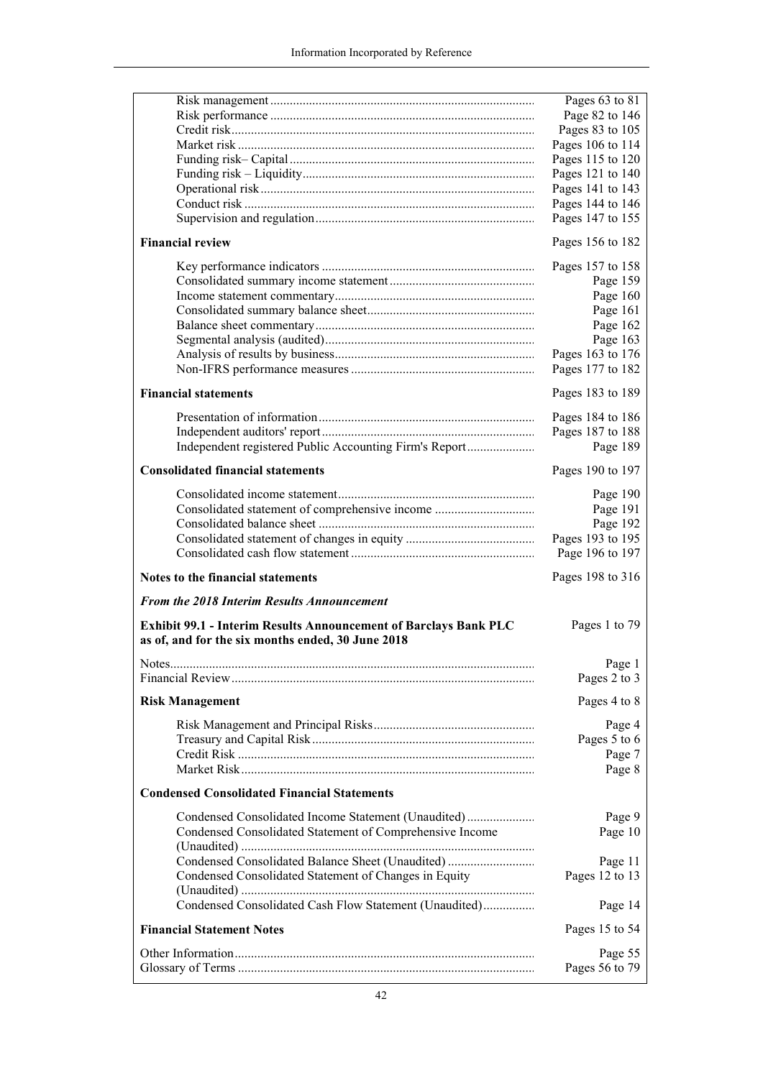|                                                                                                                       | Pages 63 to 81                       |
|-----------------------------------------------------------------------------------------------------------------------|--------------------------------------|
|                                                                                                                       | Page 82 to 146                       |
|                                                                                                                       | Pages 83 to 105                      |
|                                                                                                                       | Pages 106 to 114                     |
|                                                                                                                       | Pages 115 to 120                     |
|                                                                                                                       | Pages 121 to 140<br>Pages 141 to 143 |
|                                                                                                                       | Pages 144 to 146                     |
|                                                                                                                       | Pages 147 to 155                     |
|                                                                                                                       |                                      |
| <b>Financial review</b>                                                                                               | Pages 156 to 182                     |
|                                                                                                                       | Pages 157 to 158                     |
|                                                                                                                       | Page 159                             |
|                                                                                                                       | Page 160                             |
|                                                                                                                       | Page 161                             |
|                                                                                                                       | Page 162                             |
|                                                                                                                       | Page 163                             |
|                                                                                                                       | Pages 163 to 176                     |
|                                                                                                                       | Pages 177 to 182                     |
| <b>Financial statements</b>                                                                                           | Pages 183 to 189                     |
|                                                                                                                       | Pages 184 to 186                     |
|                                                                                                                       | Pages 187 to 188                     |
|                                                                                                                       | Page 189                             |
| <b>Consolidated financial statements</b>                                                                              | Pages 190 to 197                     |
|                                                                                                                       |                                      |
|                                                                                                                       | Page 190                             |
| Consolidated statement of comprehensive income                                                                        | Page 191                             |
|                                                                                                                       | Page 192                             |
|                                                                                                                       |                                      |
|                                                                                                                       | Pages 193 to 195                     |
|                                                                                                                       | Page 196 to 197                      |
| Notes to the financial statements                                                                                     | Pages 198 to 316                     |
| From the 2018 Interim Results Announcement                                                                            |                                      |
| Exhibit 99.1 - Interim Results Announcement of Barclays Bank PLC<br>as of, and for the six months ended, 30 June 2018 | Pages 1 to 79                        |
|                                                                                                                       |                                      |
|                                                                                                                       | Page 1                               |
|                                                                                                                       | Pages 2 to 3                         |
| <b>Risk Management</b>                                                                                                | Pages 4 to 8                         |
|                                                                                                                       | Page 4                               |
|                                                                                                                       | Pages 5 to 6                         |
|                                                                                                                       | Page 7                               |
|                                                                                                                       | Page 8                               |
| <b>Condensed Consolidated Financial Statements</b>                                                                    |                                      |
| Condensed Consolidated Income Statement (Unaudited)                                                                   | Page 9                               |
| Condensed Consolidated Statement of Comprehensive Income                                                              | Page 10                              |
|                                                                                                                       |                                      |
| Condensed Consolidated Balance Sheet (Unaudited)                                                                      | Page 11                              |
| Condensed Consolidated Statement of Changes in Equity                                                                 | Pages 12 to 13                       |
|                                                                                                                       |                                      |
| Condensed Consolidated Cash Flow Statement (Unaudited)                                                                | Page 14                              |
| <b>Financial Statement Notes</b>                                                                                      | Pages 15 to 54                       |
|                                                                                                                       | Page 55<br>Pages 56 to 79            |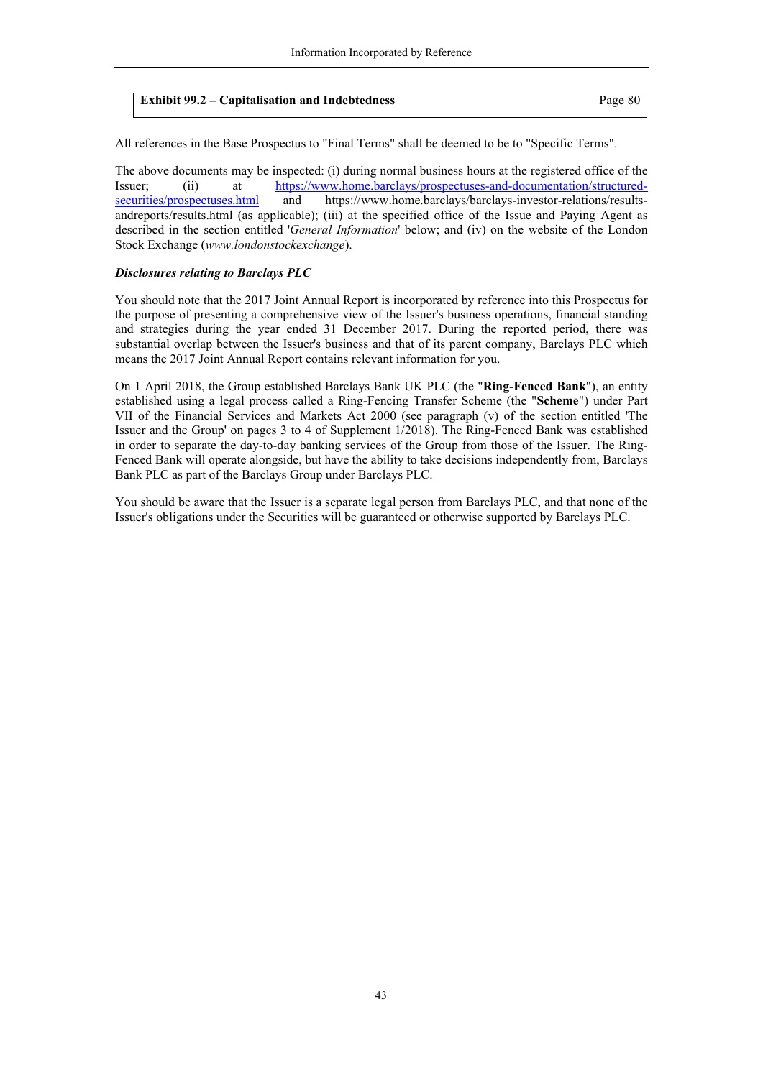| <b>Exhibit 99.2 – Capitalisation and Indebtedness</b> | Page 80 |
|-------------------------------------------------------|---------|
|-------------------------------------------------------|---------|

All references in the Base Prospectus to "Final Terms" shall be deemed to be to "Specific Terms".

The above documents may be inspected: (i) during normal business hours at the registered office of the [Issuer; \(ii\) at https://www.home.barclays/prospectuses-and-documentation/structured](https://www.home.barclays/prospectuses-and-documentation/structured-securities/prospectuses.html)securities/prospectuses.html and https://www.home.barclays/barclays-investor-relations/resultsandreports/results.html (as applicable); (iii) at the specified office of the Issue and Paying Agent as described in the section entitled '*General Information*' below; and (iv) on the website of the London Stock Exchange (*www.londonstockexchange*).

#### *Disclosures relating to Barclays PLC*

You should note that the 2017 Joint Annual Report is incorporated by reference into this Prospectus for the purpose of presenting a comprehensive view of the Issuer's business operations, financial standing and strategies during the year ended 31 December 2017. During the reported period, there was substantial overlap between the Issuer's business and that of its parent company, Barclays PLC which means the 2017 Joint Annual Report contains relevant information for you.

On 1 April 2018, the Group established Barclays Bank UK PLC (the "**Ring-Fenced Bank**"), an entity established using a legal process called a Ring-Fencing Transfer Scheme (the "**Scheme**") under Part VII of the Financial Services and Markets Act 2000 (see paragraph (v) of the section entitled 'The Issuer and the Group' on pages 3 to 4 of Supplement 1/2018). The Ring-Fenced Bank was established in order to separate the day-to-day banking services of the Group from those of the Issuer. The Ring-Fenced Bank will operate alongside, but have the ability to take decisions independently from, Barclays Bank PLC as part of the Barclays Group under Barclays PLC.

You should be aware that the Issuer is a separate legal person from Barclays PLC, and that none of the Issuer's obligations under the Securities will be guaranteed or otherwise supported by Barclays PLC.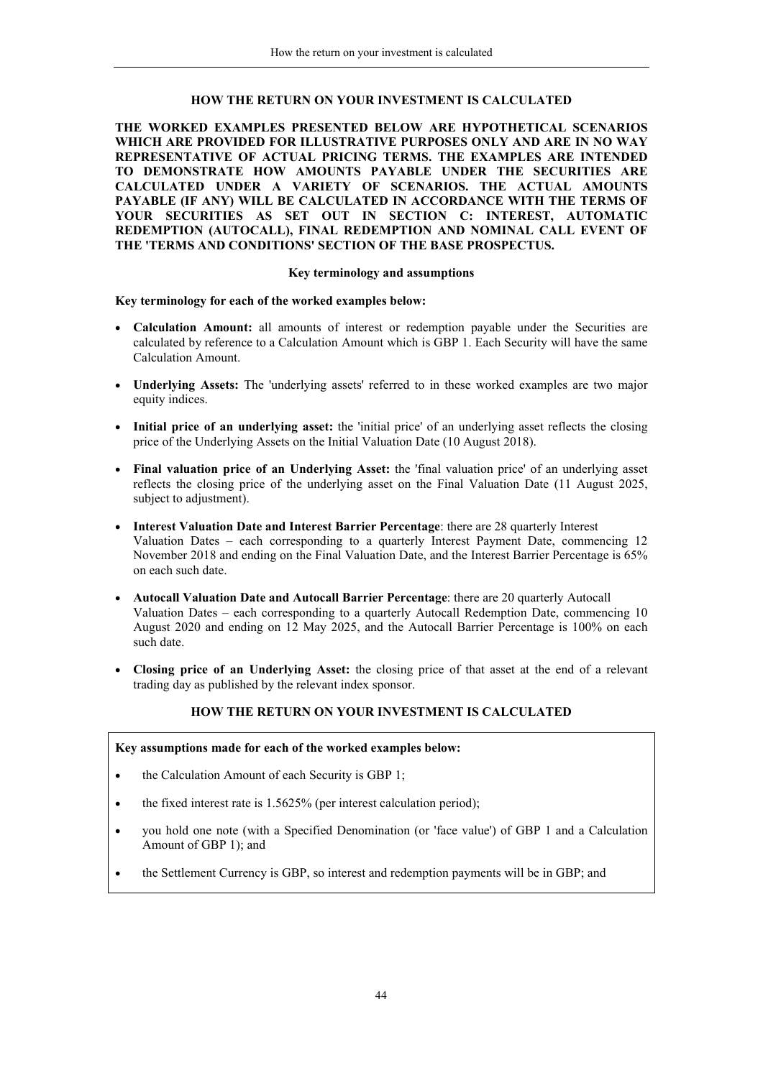## **HOW THE RETURN ON YOUR INVESTMENT IS CALCULATED**

**THE WORKED EXAMPLES PRESENTED BELOW ARE HYPOTHETICAL SCENARIOS WHICH ARE PROVIDED FOR ILLUSTRATIVE PURPOSES ONLY AND ARE IN NO WAY REPRESENTATIVE OF ACTUAL PRICING TERMS. THE EXAMPLES ARE INTENDED TO DEMONSTRATE HOW AMOUNTS PAYABLE UNDER THE SECURITIES ARE CALCULATED UNDER A VARIETY OF SCENARIOS. THE ACTUAL AMOUNTS PAYABLE (IF ANY) WILL BE CALCULATED IN ACCORDANCE WITH THE TERMS OF YOUR SECURITIES AS SET OUT IN SECTION C: INTEREST, AUTOMATIC REDEMPTION (AUTOCALL), FINAL REDEMPTION AND NOMINAL CALL EVENT OF THE 'TERMS AND CONDITIONS' SECTION OF THE BASE PROSPECTUS.**

## **Key terminology and assumptions**

**Key terminology for each of the worked examples below:**

- **Calculation Amount:** all amounts of interest or redemption payable under the Securities are calculated by reference to a Calculation Amount which is GBP 1. Each Security will have the same Calculation Amount.
- **Underlying Assets:** The 'underlying assets' referred to in these worked examples are two major equity indices.
- **Initial price of an underlying asset:** the 'initial price' of an underlying asset reflects the closing price of the Underlying Assets on the Initial Valuation Date (10 August 2018).
- **Final valuation price of an Underlying Asset:** the 'final valuation price' of an underlying asset reflects the closing price of the underlying asset on the Final Valuation Date (11 August 2025, subject to adjustment).
- **Interest Valuation Date and Interest Barrier Percentage**: there are 28 quarterly Interest Valuation Dates – each corresponding to a quarterly Interest Payment Date, commencing 12 November 2018 and ending on the Final Valuation Date, and the Interest Barrier Percentage is 65% on each such date.
- **Autocall Valuation Date and Autocall Barrier Percentage**: there are 20 quarterly Autocall Valuation Dates – each corresponding to a quarterly Autocall Redemption Date, commencing 10 August 2020 and ending on 12 May 2025, and the Autocall Barrier Percentage is 100% on each such date.
- **Closing price of an Underlying Asset:** the closing price of that asset at the end of a relevant trading day as published by the relevant index sponsor.

#### <span id="page-43-0"></span>**HOW THE RETURN ON YOUR INVESTMENT IS CALCULATED**

## **Key assumptions made for each of the worked examples below:**

- the Calculation Amount of each Security is GBP 1;
- $\bullet$  the fixed interest rate is 1.5625% (per interest calculation period);
- you hold one note (with a Specified Denomination (or 'face value') of GBP 1 and a Calculation Amount of GBP 1); and
- the Settlement Currency is GBP, so interest and redemption payments will be in GBP; and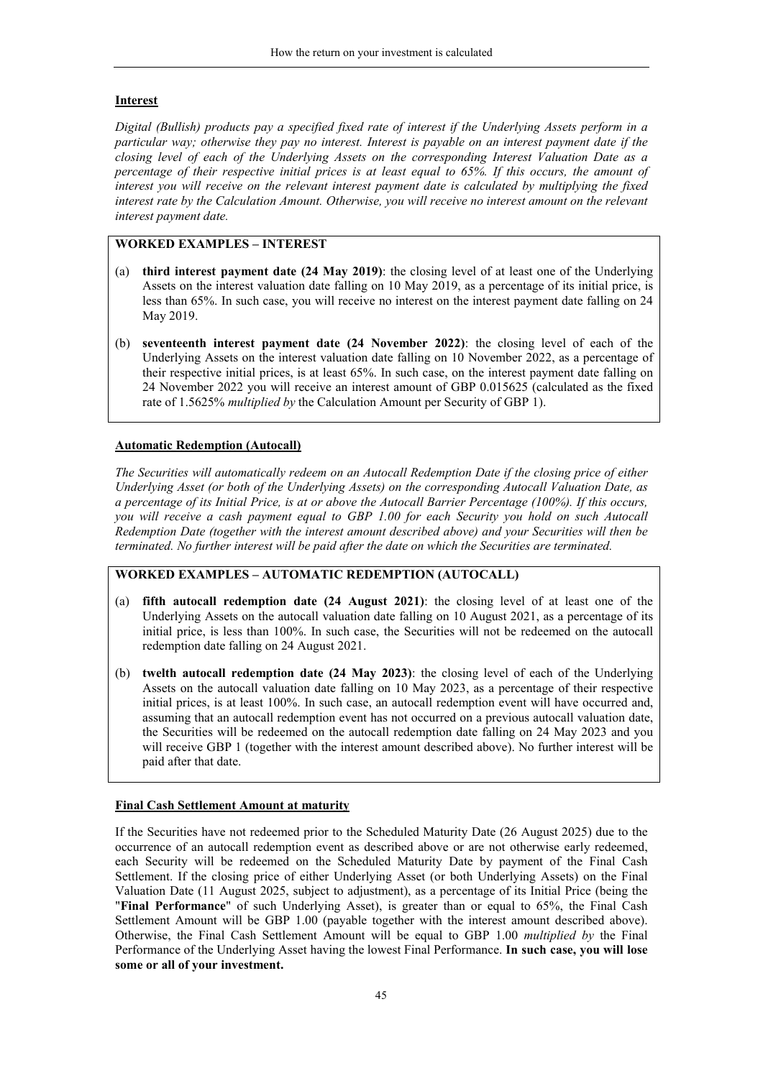# **Interest**

*Digital (Bullish) products pay a specified fixed rate of interest if the Underlying Assets perform in a particular way; otherwise they pay no interest. Interest is payable on an interest payment date if the closing level of each of the Underlying Assets on the corresponding Interest Valuation Date as a percentage of their respective initial prices is at least equal to 65%. If this occurs, the amount of interest you will receive on the relevant interest payment date is calculated by multiplying the fixed interest rate by the Calculation Amount. Otherwise, you will receive no interest amount on the relevant interest payment date.*

# **WORKED EXAMPLES – INTEREST**

- (a) **third interest payment date (24 May 2019)**: the closing level of at least one of the Underlying Assets on the interest valuation date falling on 10 May 2019, as a percentage of its initial price, is less than 65%. In such case, you will receive no interest on the interest payment date falling on 24 May 2019.
- (b) **seventeenth interest payment date (24 November 2022)**: the closing level of each of the Underlying Assets on the interest valuation date falling on 10 November 2022, as a percentage of their respective initial prices, is at least 65%. In such case, on the interest payment date falling on 24 November 2022 you will receive an interest amount of GBP 0.015625 (calculated as the fixed rate of 1.5625% *multiplied by* the Calculation Amount per Security of GBP 1).

## **Automatic Redemption (Autocall)**

*The Securities will automatically redeem on an Autocall Redemption Date if the closing price of either Underlying Asset (or both of the Underlying Assets) on the corresponding Autocall Valuation Date, as a percentage of its Initial Price, is at or above the Autocall Barrier Percentage (100%). If this occurs, you will receive a cash payment equal to GBP 1.00 for each Security you hold on such Autocall Redemption Date (together with the interest amount described above) and your Securities will then be terminated. No further interest will be paid after the date on which the Securities are terminated.*

## **WORKED EXAMPLES – AUTOMATIC REDEMPTION (AUTOCALL)**

- (a) **fifth autocall redemption date (24 August 2021)**: the closing level of at least one of the Underlying Assets on the autocall valuation date falling on 10 August 2021, as a percentage of its initial price, is less than 100%. In such case, the Securities will not be redeemed on the autocall redemption date falling on 24 August 2021.
- (b) **twelth autocall redemption date (24 May 2023)**: the closing level of each of the Underlying Assets on the autocall valuation date falling on 10 May 2023, as a percentage of their respective initial prices, is at least 100%. In such case, an autocall redemption event will have occurred and, assuming that an autocall redemption event has not occurred on a previous autocall valuation date, the Securities will be redeemed on the autocall redemption date falling on 24 May 2023 and you will receive GBP 1 (together with the interest amount described above). No further interest will be paid after that date.

## **Final Cash Settlement Amount at maturity**

If the Securities have not redeemed prior to the Scheduled Maturity Date (26 August 2025) due to the occurrence of an autocall redemption event as described above or are not otherwise early redeemed, each Security will be redeemed on the Scheduled Maturity Date by payment of the Final Cash Settlement. If the closing price of either Underlying Asset (or both Underlying Assets) on the Final Valuation Date (11 August 2025, subject to adjustment), as a percentage of its Initial Price (being the "**Final Performance**" of such Underlying Asset), is greater than or equal to 65%, the Final Cash Settlement Amount will be GBP 1.00 (payable together with the interest amount described above). Otherwise, the Final Cash Settlement Amount will be equal to GBP 1.00 *multiplied by* the Final Performance of the Underlying Asset having the lowest Final Performance. **In such case, you will lose some or all of your investment.**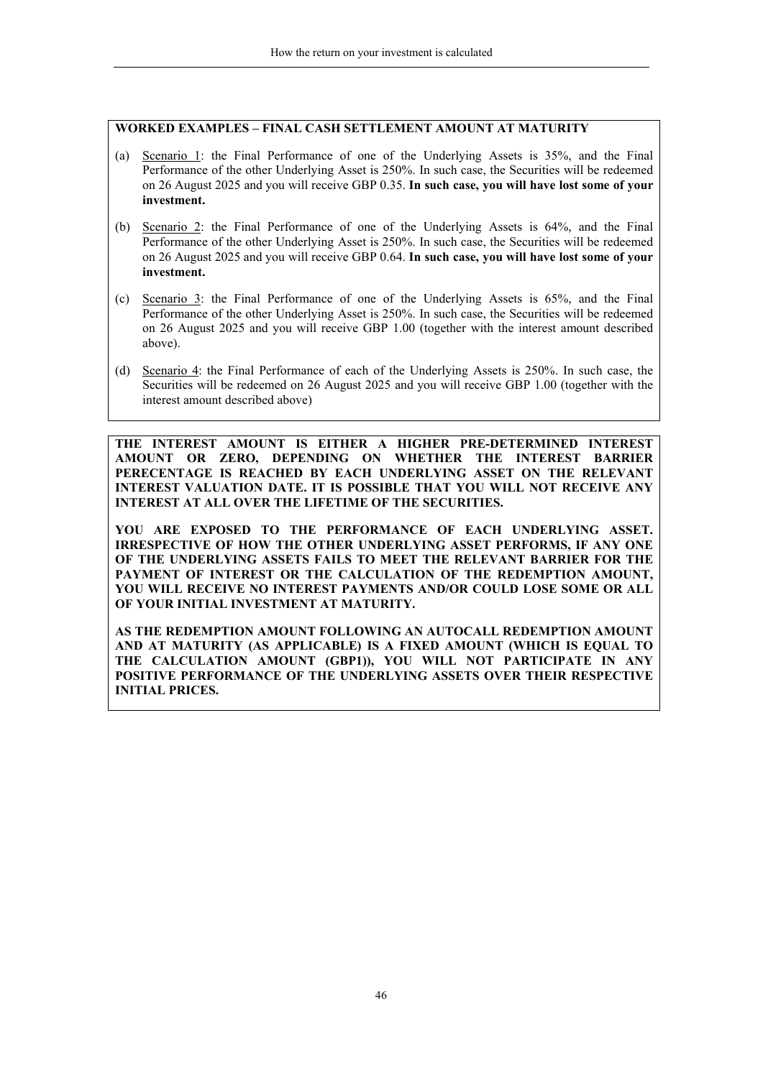## **WORKED EXAMPLES – FINAL CASH SETTLEMENT AMOUNT AT MATURITY**

- (a) Scenario 1: the Final Performance of one of the Underlying Assets is 35%, and the Final Performance of the other Underlying Asset is 250%. In such case, the Securities will be redeemed on 26 August 2025 and you will receive GBP 0.35. **In such case, you will have lost some of your investment.**
- (b) Scenario 2: the Final Performance of one of the Underlying Assets is 64%, and the Final Performance of the other Underlying Asset is 250%. In such case, the Securities will be redeemed on 26 August 2025 and you will receive GBP 0.64. **In such case, you will have lost some of your investment.**
- (c) Scenario 3: the Final Performance of one of the Underlying Assets is 65%, and the Final Performance of the other Underlying Asset is 250%. In such case, the Securities will be redeemed on 26 August 2025 and you will receive GBP 1.00 (together with the interest amount described above).
- (d) Scenario 4: the Final Performance of each of the Underlying Assets is 250%. In such case, the Securities will be redeemed on 26 August 2025 and you will receive GBP 1.00 (together with the interest amount described above)

**THE INTEREST AMOUNT IS EITHER A HIGHER PRE-DETERMINED INTEREST AMOUNT OR ZERO, DEPENDING ON WHETHER THE INTEREST BARRIER PERECENTAGE IS REACHED BY EACH UNDERLYING ASSET ON THE RELEVANT INTEREST VALUATION DATE. IT IS POSSIBLE THAT YOU WILL NOT RECEIVE ANY INTEREST AT ALL OVER THE LIFETIME OF THE SECURITIES.**

**YOU ARE EXPOSED TO THE PERFORMANCE OF EACH UNDERLYING ASSET. IRRESPECTIVE OF HOW THE OTHER UNDERLYING ASSET PERFORMS, IF ANY ONE OF THE UNDERLYING ASSETS FAILS TO MEET THE RELEVANT BARRIER FOR THE PAYMENT OF INTEREST OR THE CALCULATION OF THE REDEMPTION AMOUNT, YOU WILL RECEIVE NO INTEREST PAYMENTS AND/OR COULD LOSE SOME OR ALL OF YOUR INITIAL INVESTMENT AT MATURITY.**

**AS THE REDEMPTION AMOUNT FOLLOWING AN AUTOCALL REDEMPTION AMOUNT AND AT MATURITY (AS APPLICABLE) IS A FIXED AMOUNT (WHICH IS EQUAL TO THE CALCULATION AMOUNT (GBP1)), YOU WILL NOT PARTICIPATE IN ANY POSITIVE PERFORMANCE OF THE UNDERLYING ASSETS OVER THEIR RESPECTIVE INITIAL PRICES.**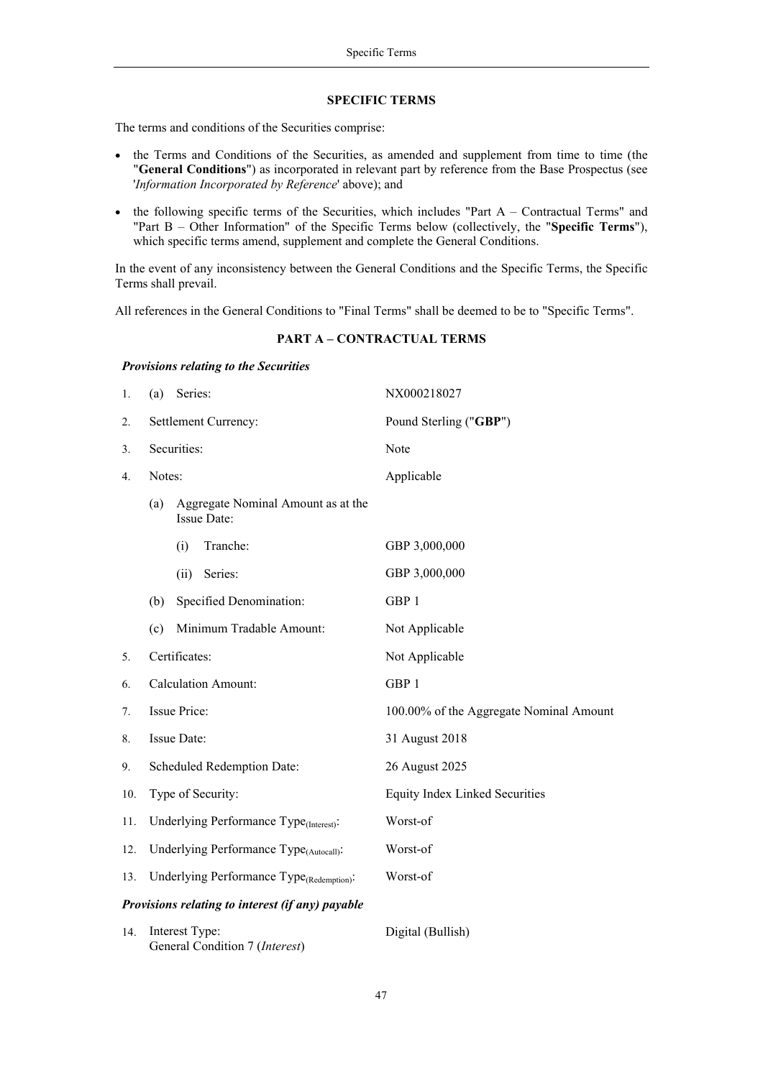#### <span id="page-46-0"></span>**SPECIFIC TERMS**

The terms and conditions of the Securities comprise:

- the Terms and Conditions of the Securities, as amended and supplement from time to time (the "**General Conditions**") as incorporated in relevant part by reference from the Base Prospectus (see '*Information Incorporated by Reference*' above); and
- $\bullet$  the following specific terms of the Securities, which includes "Part A Contractual Terms" and "Part B – Other Information" of the Specific Terms below (collectively, the "**Specific Terms**"), which specific terms amend, supplement and complete the General Conditions.

In the event of any inconsistency between the General Conditions and the Specific Terms, the Specific Terms shall prevail.

All references in the General Conditions to "Final Terms" shall be deemed to be to "Specific Terms".

#### **PART A – CONTRACTUAL TERMS**

#### *Provisions relating to the Securities*

| 1.  | Series:<br>(a)                                           | NX000218027                             |
|-----|----------------------------------------------------------|-----------------------------------------|
| 2.  | Settlement Currency:                                     | Pound Sterling ("GBP")                  |
| 3.  | Securities:                                              | Note                                    |
| 4.  | Notes:                                                   | Applicable                              |
|     | Aggregate Nominal Amount as at the<br>(a)<br>Issue Date: |                                         |
|     | (i)<br>Tranche:                                          | GBP 3,000,000                           |
|     | Series:<br>(ii)                                          | GBP 3,000,000                           |
|     | Specified Denomination:<br>(b)                           | GBP 1                                   |
|     | Minimum Tradable Amount:<br>(c)                          | Not Applicable                          |
| 5.  | Certificates:                                            | Not Applicable                          |
| 6.  | <b>Calculation Amount:</b>                               | GBP 1                                   |
| 7.  | <b>Issue Price:</b>                                      | 100.00% of the Aggregate Nominal Amount |
| 8.  | Issue Date:                                              | 31 August 2018                          |
| 9.  | Scheduled Redemption Date:                               | 26 August 2025                          |
| 10. | Type of Security:                                        | <b>Equity Index Linked Securities</b>   |
| 11. | Underlying Performance Type <sub>(Interest)</sub> :      | Worst-of                                |
| 12. | Underlying Performance Type <sub>(Autocall)</sub> :      | Worst-of                                |
| 13. | Underlying Performance Type <sub>(Redemption)</sub> :    | Worst-of                                |
|     | Provisions relating to interest (if any) payable         |                                         |
| 14. | Interest Type:<br>General Condition 7 (Interest)         | Digital (Bullish)                       |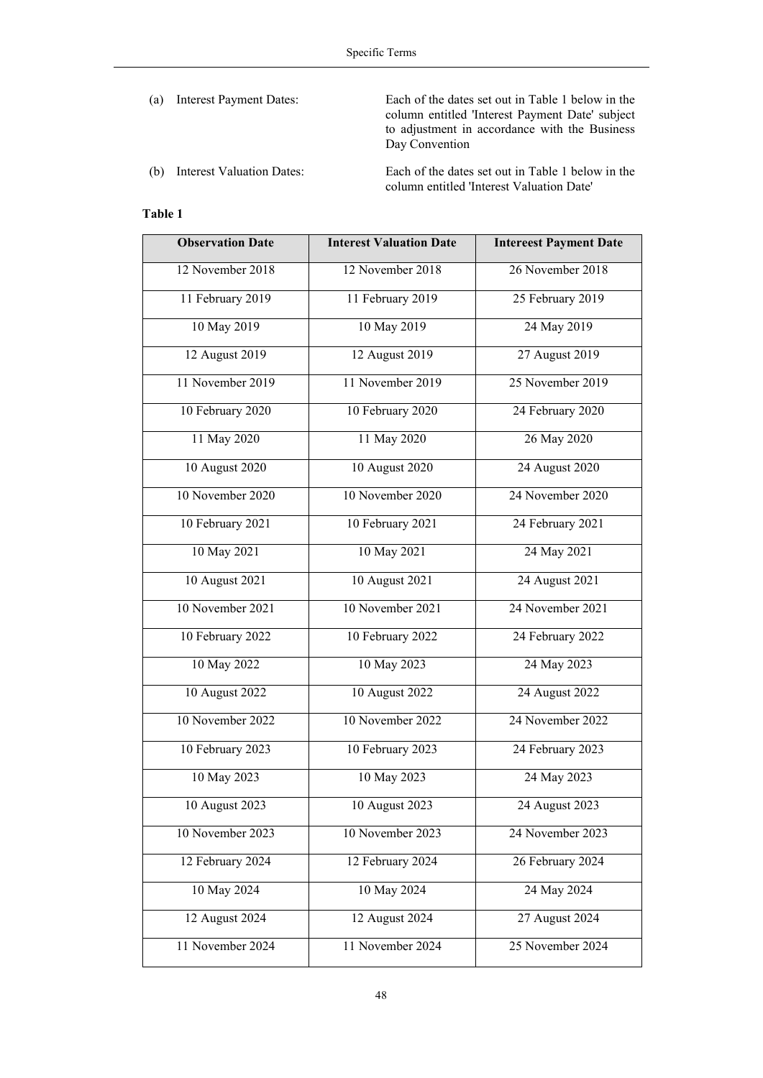(a) Interest Payment Dates: Each of the dates set out in Table 1 below in the column entitled 'Interest Payment Date' subject to adjustment in accordance with the Business Day Convention

(b) Interest Valuation Dates: Each of the dates set out in Table 1 below in the column entitled 'Interest Valuation Date'

# **Table 1**

| <b>Observation Date</b> | <b>Interest Valuation Date</b> | <b>Intereest Payment Date</b> |
|-------------------------|--------------------------------|-------------------------------|
| 12 November 2018        | 12 November 2018               | 26 November 2018              |
| 11 February 2019        | 11 February 2019               | 25 February 2019              |
| 10 May 2019             | 10 May 2019                    | 24 May 2019                   |
| 12 August 2019          | 12 August 2019                 | 27 August 2019                |
| 11 November 2019        | 11 November 2019               | 25 November 2019              |
| 10 February 2020        | 10 February 2020               | 24 February 2020              |
| 11 May 2020             | 11 May 2020                    | 26 May 2020                   |
| 10 August 2020          | 10 August 2020                 | 24 August 2020                |
| 10 November 2020        | 10 November 2020               | 24 November 2020              |
| 10 February 2021        | 10 February 2021               | 24 February 2021              |
| 10 May 2021             | 10 May 2021                    | 24 May 2021                   |
| 10 August 2021          | 10 August 2021                 | 24 August 2021                |
| 10 November 2021        | 10 November 2021               | 24 November 2021              |
| 10 February 2022        | 10 February 2022               | 24 February 2022              |
| 10 May 2022             | 10 May 2023                    | 24 May 2023                   |
| 10 August 2022          | 10 August 2022                 | 24 August 2022                |
| 10 November 2022        | 10 November 2022               | 24 November 2022              |
| 10 February 2023        | 10 February 2023               | 24 February 2023              |
| 10 May 2023             | 10 May 2023                    | 24 May 2023                   |
| 10 August 2023          | 10 August 2023                 | 24 August 2023                |
| 10 November 2023        | 10 November 2023               | 24 November 2023              |
| 12 February 2024        | 12 February 2024               | 26 February 2024              |
| 10 May 2024             | 10 May 2024                    | 24 May 2024                   |
| 12 August 2024          | 12 August 2024                 | 27 August 2024                |
| 11 November 2024        | 11 November 2024               | 25 November 2024              |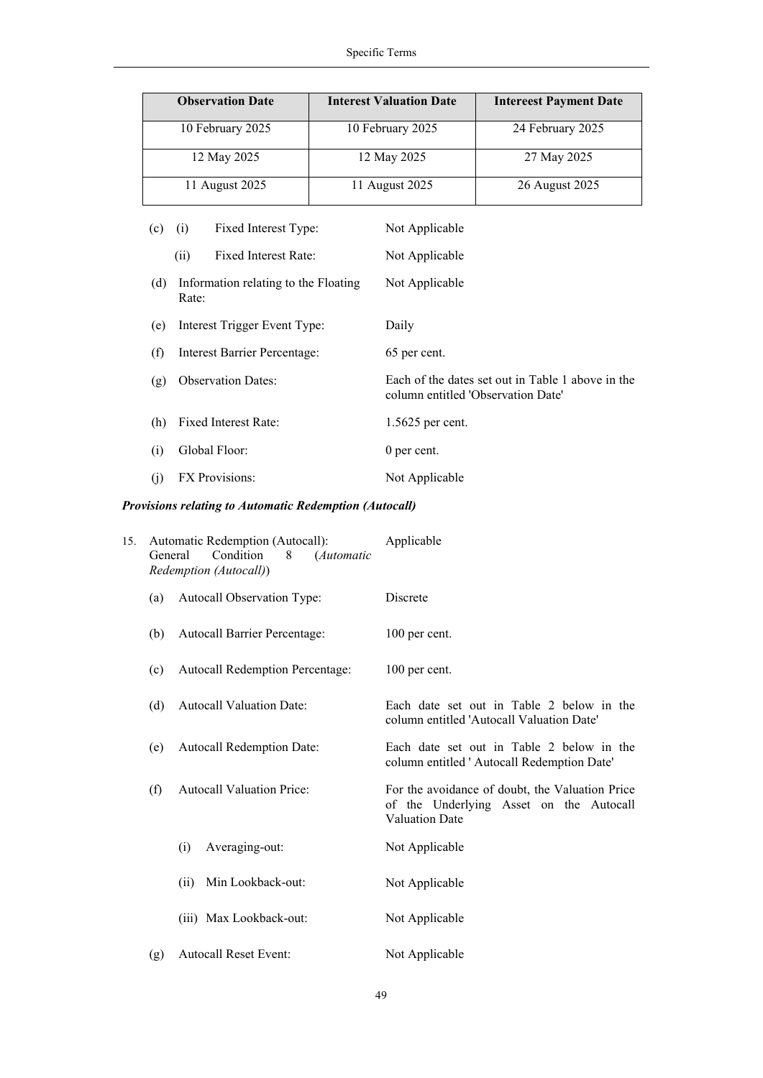| <b>Observation Date</b> | <b>Interest Valuation Date</b> | <b>Intereest Payment Date</b> |
|-------------------------|--------------------------------|-------------------------------|
| 10 February 2025        | 10 February 2025               | 24 February 2025              |
| 12 May 2025             | 12 May 2025                    | 27 May 2025                   |
| 11 August 2025          | 11 August 2025                 | 26 August 2025                |

| (c) | (i)                       | Fixed Interest Type:                 | Not Applicable                                                                          |
|-----|---------------------------|--------------------------------------|-----------------------------------------------------------------------------------------|
|     | (ii)                      | Fixed Interest Rate:                 | Not Applicable                                                                          |
| (d) | Rate:                     | Information relating to the Floating | Not Applicable                                                                          |
| (e) |                           | Interest Trigger Event Type:         | Daily                                                                                   |
| (f) |                           | Interest Barrier Percentage:         | 65 per cent.                                                                            |
| (g) | <b>Observation Dates:</b> |                                      | Each of the dates set out in Table 1 above in the<br>column entitled 'Observation Date' |
| (h) | Fixed Interest Rate:      |                                      | 1.5625 per cent.                                                                        |
| (i) | Global Floor:             |                                      | 0 per cent.                                                                             |
| (j) | <b>FX</b> Provisions:     |                                      | Not Applicable                                                                          |

# *Provisions relating to Automatic Redemption (Autocall)*

| 15. | General                                                                  | Automatic Redemption (Autocall):<br>Condition<br>8<br>(Automatic<br>Redemption (Autocall)) | Applicable                                                                                                          |
|-----|--------------------------------------------------------------------------|--------------------------------------------------------------------------------------------|---------------------------------------------------------------------------------------------------------------------|
|     | Autocall Observation Type:<br>(a)<br>Autocall Barrier Percentage:<br>(b) |                                                                                            | Discrete                                                                                                            |
|     |                                                                          |                                                                                            | 100 per cent.                                                                                                       |
|     | (c)                                                                      | <b>Autocall Redemption Percentage:</b>                                                     | 100 per cent.                                                                                                       |
|     | (d)                                                                      | <b>Autocall Valuation Date:</b>                                                            | Each date set out in Table 2 below in the<br>column entitled 'Autocall Valuation Date'                              |
|     | (e)                                                                      | <b>Autocall Redemption Date:</b>                                                           | Each date set out in Table 2 below in the<br>column entitled 'Autocall Redemption Date'                             |
|     | (f)                                                                      | <b>Autocall Valuation Price:</b>                                                           | For the avoidance of doubt, the Valuation Price<br>of the Underlying Asset on the Autocall<br><b>Valuation Date</b> |
|     |                                                                          | Averaging-out:<br>(i)                                                                      | Not Applicable                                                                                                      |
|     |                                                                          | Min Lookback-out:<br>(ii)                                                                  | Not Applicable                                                                                                      |
|     |                                                                          | (iii) Max Lookback-out:                                                                    | Not Applicable                                                                                                      |
|     | (g)                                                                      | <b>Autocall Reset Event:</b>                                                               | Not Applicable                                                                                                      |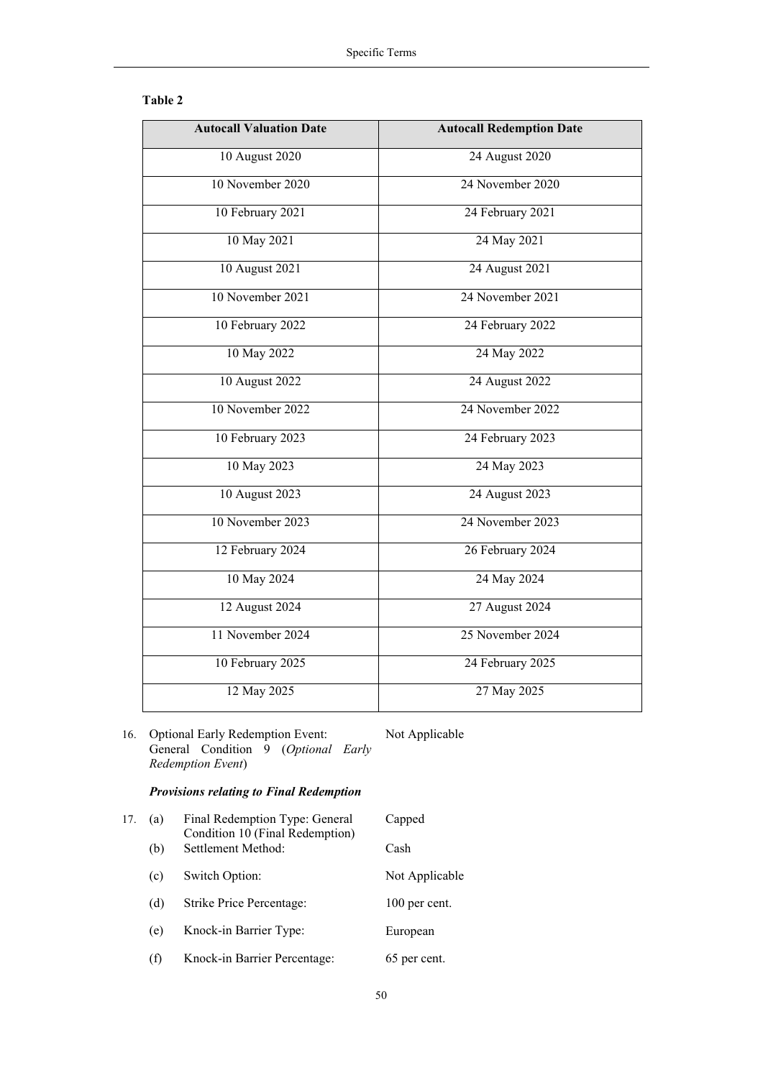| וחו<br>n |  |
|----------|--|
|----------|--|

| <b>Autocall Valuation Date</b> | <b>Autocall Redemption Date</b> |
|--------------------------------|---------------------------------|
| 10 August 2020                 | 24 August 2020                  |
| 10 November 2020               | 24 November 2020                |
| 10 February 2021               | 24 February 2021                |
| 10 May 2021                    | 24 May 2021                     |
| 10 August 2021                 | 24 August 2021                  |
| 10 November 2021               | 24 November 2021                |
| 10 February 2022               | 24 February 2022                |
| 10 May 2022                    | 24 May 2022                     |
| 10 August 2022                 | 24 August 2022                  |
| 10 November 2022               | 24 November 2022                |
| 10 February 2023               | 24 February 2023                |
| 10 May 2023                    | 24 May 2023                     |
| 10 August 2023                 | 24 August 2023                  |
| 10 November 2023               | 24 November 2023                |
| 12 February 2024               | 26 February 2024                |
| 10 May 2024                    | 24 May 2024                     |
| 12 August 2024                 | 27 August 2024                  |
| 11 November 2024               | 25 November 2024                |
| 10 February 2025               | 24 February 2025                |
| 12 May 2025                    | 27 May 2025                     |

16. Optional Early Redemption Event: General Condition 9 (*Optional Early Redemption Event*) Not Applicable

# *Provisions relating to Final Redemption*

| 17. | (a) | Final Redemption Type: General<br>Condition 10 (Final Redemption) | Capped         |
|-----|-----|-------------------------------------------------------------------|----------------|
|     | (b) | Settlement Method:                                                | Cash           |
|     | (c) | Switch Option:                                                    | Not Applicable |
|     | (d) | Strike Price Percentage:                                          | 100 per cent.  |
|     | (e) | Knock-in Barrier Type:                                            | European       |
|     | (f) | Knock-in Barrier Percentage:                                      | 65 per cent.   |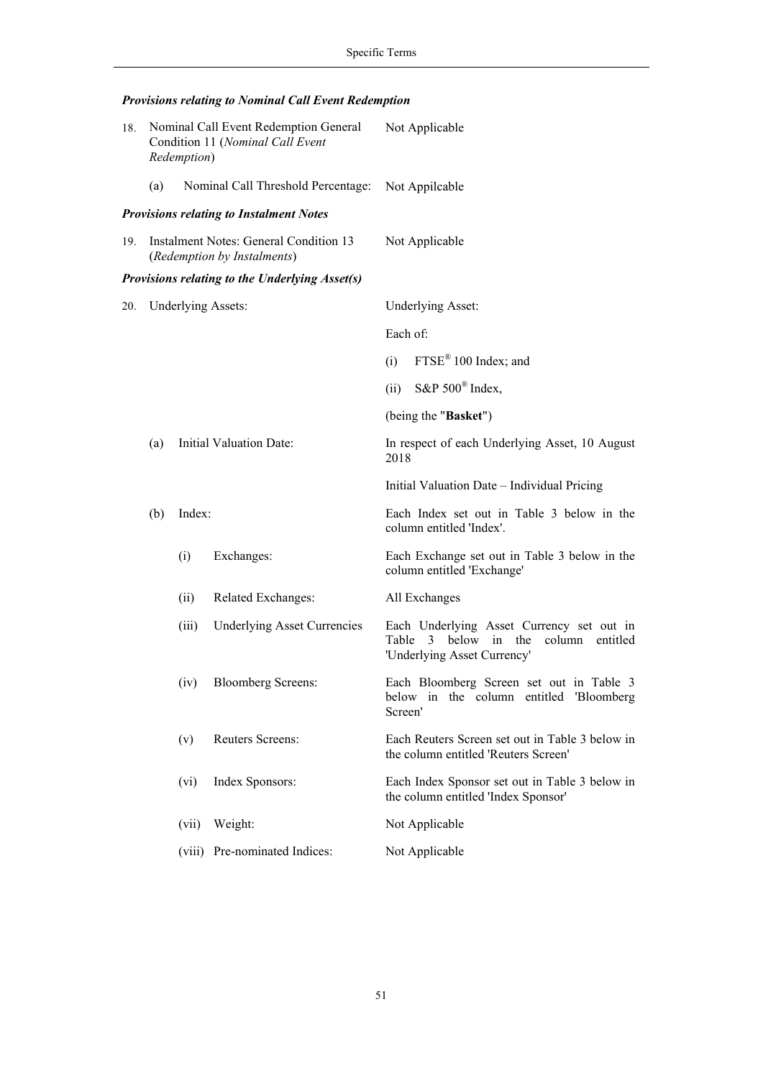# *Provisions relating to Nominal Call Event Redemption*

| 18. | Nominal Call Event Redemption General<br>Condition 11 (Nominal Call Event<br>Redemption) |        | Not Applicable                                                               |                                                |                                                                                                                        |  |
|-----|------------------------------------------------------------------------------------------|--------|------------------------------------------------------------------------------|------------------------------------------------|------------------------------------------------------------------------------------------------------------------------|--|
|     | (a)                                                                                      |        | Nominal Call Threshold Percentage:                                           |                                                | Not Appilcable                                                                                                         |  |
|     |                                                                                          |        | <b>Provisions relating to Instalment Notes</b>                               |                                                |                                                                                                                        |  |
| 19. |                                                                                          |        | <b>Instalment Notes: General Condition 13</b><br>(Redemption by Instalments) | Not Applicable                                 |                                                                                                                        |  |
|     |                                                                                          |        | Provisions relating to the Underlying Asset(s)                               |                                                |                                                                                                                        |  |
| 20. | <b>Underlying Assets:</b>                                                                |        |                                                                              |                                                | <b>Underlying Asset:</b>                                                                                               |  |
|     |                                                                                          |        |                                                                              | Each of:                                       |                                                                                                                        |  |
|     |                                                                                          |        |                                                                              | (i)                                            | FTSE <sup>®</sup> 100 Index; and                                                                                       |  |
|     |                                                                                          |        |                                                                              | (ii)                                           | S&P $500^{\circ}$ Index,                                                                                               |  |
|     |                                                                                          |        |                                                                              |                                                | (being the "Basket")                                                                                                   |  |
|     | <b>Initial Valuation Date:</b><br>(a)                                                    |        | 2018                                                                         | In respect of each Underlying Asset, 10 August |                                                                                                                        |  |
|     |                                                                                          |        |                                                                              |                                                | Initial Valuation Date - Individual Pricing                                                                            |  |
|     | (b)                                                                                      | Index: |                                                                              |                                                | Each Index set out in Table 3 below in the<br>column entitled 'Index'.                                                 |  |
|     |                                                                                          | (i)    | Exchanges:                                                                   |                                                | Each Exchange set out in Table 3 below in the<br>column entitled 'Exchange'                                            |  |
|     |                                                                                          | (ii)   | Related Exchanges:                                                           |                                                | All Exchanges                                                                                                          |  |
|     |                                                                                          | (iii)  | <b>Underlying Asset Currencies</b>                                           | Table                                          | Each Underlying Asset Currency set out in<br>column<br>below in<br>the<br>entitled<br>3<br>'Underlying Asset Currency' |  |
|     |                                                                                          | (iv)   | <b>Bloomberg Screens:</b>                                                    | Screen'                                        | Each Bloomberg Screen set out in Table 3<br>below in the column entitled 'Bloomberg                                    |  |
|     |                                                                                          | (v)    | Reuters Screens:                                                             |                                                | Each Reuters Screen set out in Table 3 below in<br>the column entitled 'Reuters Screen'                                |  |
|     |                                                                                          | (vi)   | Index Sponsors:                                                              |                                                | Each Index Sponsor set out in Table 3 below in<br>the column entitled 'Index Sponsor'                                  |  |
|     |                                                                                          | (vii)  | Weight:                                                                      |                                                | Not Applicable                                                                                                         |  |
|     |                                                                                          | (viii) | Pre-nominated Indices:                                                       |                                                | Not Applicable                                                                                                         |  |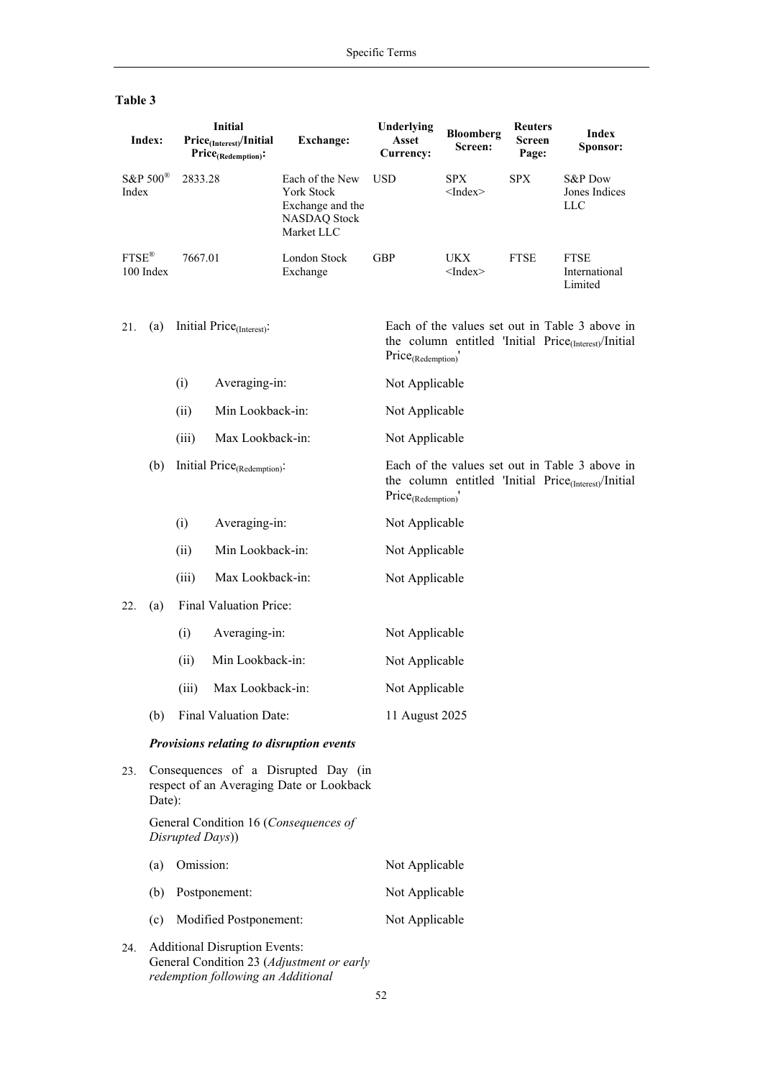| Index:                                 |                  | <b>Initial</b><br>Price <sub>(Interest)</sub> /Initial<br>$Price_{(Redemption)}$ :        |                                         | <b>Exchange:</b>                                                                       | Underlying<br>Asset<br>Currency: | <b>Bloomberg</b><br>Screen: | <b>Reuters</b><br>Screen<br>Page: | Index<br>Sponsor:                                                                                                   |
|----------------------------------------|------------------|-------------------------------------------------------------------------------------------|-----------------------------------------|----------------------------------------------------------------------------------------|----------------------------------|-----------------------------|-----------------------------------|---------------------------------------------------------------------------------------------------------------------|
| S&P $500^{\circ}$<br>Index             |                  | 2833.28                                                                                   |                                         | Each of the New<br>York Stock<br>Exchange and the<br><b>NASDAQ Stock</b><br>Market LLC | <b>USD</b>                       | SPX<br>$<$ Index $>$        | <b>SPX</b>                        | S&P Dow<br>Jones Indices<br><b>LLC</b>                                                                              |
| $\text{FTSE}^{\circledR}$<br>100 Index |                  | 7667.01                                                                                   |                                         | <b>London Stock</b><br>Exchange                                                        | <b>GBP</b>                       | UKX<br>$<$ Index $>$        | ${\rm FTSE}$                      | <b>FTSE</b><br>International<br>Limited                                                                             |
| 21.                                    | (a)              | Initial Price <sub>(Interest)</sub> :                                                     |                                         |                                                                                        | Price <sub>(Redemption)</sub> '  |                             |                                   | Each of the values set out in Table 3 above in<br>the column entitled 'Initial Price <sub>(Interest)</sub> /Initial |
|                                        |                  | (i)                                                                                       | Averaging-in:                           |                                                                                        | Not Applicable                   |                             |                                   |                                                                                                                     |
|                                        |                  | (ii)                                                                                      | Min Lookback-in:                        |                                                                                        | Not Applicable                   |                             |                                   |                                                                                                                     |
|                                        |                  | (iii)                                                                                     | Max Lookback-in:                        |                                                                                        | Not Applicable                   |                             |                                   |                                                                                                                     |
|                                        | (b)              |                                                                                           | Initial Price <sub>(Redemption)</sub> : |                                                                                        | $Price_{(Redemption)}'$          |                             |                                   | Each of the values set out in Table 3 above in<br>the column entitled 'Initial Price <sub>(Interest)</sub> /Initial |
|                                        |                  | (i)                                                                                       | Averaging-in:                           |                                                                                        | Not Applicable                   |                             |                                   |                                                                                                                     |
|                                        |                  | (ii)                                                                                      | Min Lookback-in:                        |                                                                                        | Not Applicable                   |                             |                                   |                                                                                                                     |
|                                        |                  | (iii)                                                                                     | Max Lookback-in:                        |                                                                                        | Not Applicable                   |                             |                                   |                                                                                                                     |
| 22.                                    | (a)              |                                                                                           | Final Valuation Price:                  |                                                                                        |                                  |                             |                                   |                                                                                                                     |
|                                        |                  | (i)                                                                                       | Averaging-in:                           |                                                                                        | Not Applicable                   |                             |                                   |                                                                                                                     |
|                                        |                  | (ii)                                                                                      | Min Lookback-in:                        |                                                                                        | Not Applicable                   |                             |                                   |                                                                                                                     |
|                                        |                  | (iii)                                                                                     | Max Lookback-in:                        |                                                                                        | Not Applicable                   |                             |                                   |                                                                                                                     |
|                                        | (b)              |                                                                                           | Final Valuation Date:                   |                                                                                        | 11 August 2025                   |                             |                                   |                                                                                                                     |
|                                        |                  |                                                                                           |                                         | Provisions relating to disruption events                                               |                                  |                             |                                   |                                                                                                                     |
| 23.                                    |                  | Consequences of a Disrupted Day (in<br>respect of an Averaging Date or Lookback<br>Date): |                                         |                                                                                        |                                  |                             |                                   |                                                                                                                     |
|                                        |                  | Disrupted Days))                                                                          |                                         | General Condition 16 (Consequences of                                                  |                                  |                             |                                   |                                                                                                                     |
|                                        | Omission:<br>(a) |                                                                                           | Not Applicable                          |                                                                                        |                                  |                             |                                   |                                                                                                                     |
|                                        | (b)              |                                                                                           | Postponement:                           |                                                                                        | Not Applicable                   |                             |                                   |                                                                                                                     |
|                                        | (c)              |                                                                                           | Modified Postponement:                  |                                                                                        | Not Applicable                   |                             |                                   |                                                                                                                     |
| 24.                                    |                  | <b>Additional Disruption Events:</b>                                                      |                                         |                                                                                        |                                  |                             |                                   |                                                                                                                     |

# **Table 3**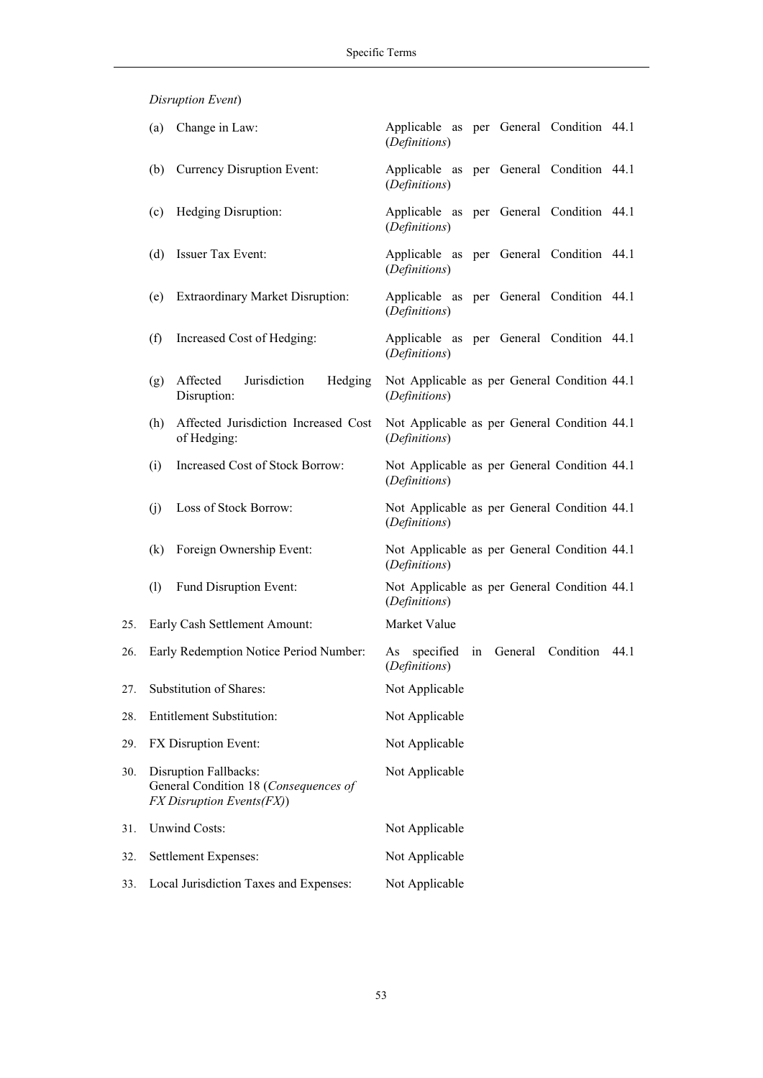*Disruption Event*)

|     | (a) | Change in Law:                                                                              | Applicable as per General Condition 44.1<br>(Definitions)           |
|-----|-----|---------------------------------------------------------------------------------------------|---------------------------------------------------------------------|
|     | (b) | Currency Disruption Event:                                                                  | Applicable as per General Condition 44.1<br>(Definitions)           |
|     | (c) | Hedging Disruption:                                                                         | Applicable as per General Condition 44.1<br>(Definitions)           |
|     | (d) | Issuer Tax Event:                                                                           | Applicable as per General Condition 44.1<br>(Definitions)           |
|     | (e) | <b>Extraordinary Market Disruption:</b>                                                     | Applicable as per General Condition 44.1<br>(Definitions)           |
|     | (f) | Increased Cost of Hedging:                                                                  | Applicable as per General Condition 44.1<br>(Definitions)           |
|     | (g) | Affected<br>Jurisdiction<br>Hedging<br>Disruption:                                          | Not Applicable as per General Condition 44.1<br>(Definitions)       |
|     | (h) | Affected Jurisdiction Increased Cost<br>of Hedging:                                         | Not Applicable as per General Condition 44.1<br>(Definitions)       |
|     | (i) | Increased Cost of Stock Borrow:                                                             | Not Applicable as per General Condition 44.1<br>(Definitions)       |
|     | (i) | Loss of Stock Borrow:                                                                       | Not Applicable as per General Condition 44.1<br>(Definitions)       |
|     | (k) | Foreign Ownership Event:                                                                    | Not Applicable as per General Condition 44.1<br>(Definitions)       |
|     | (1) | Fund Disruption Event:                                                                      | Not Applicable as per General Condition 44.1<br>(Definitions)       |
| 25. |     | Early Cash Settlement Amount:                                                               | Market Value                                                        |
| 26. |     | Early Redemption Notice Period Number:                                                      | Condition 44.1<br>specified<br>General<br>in<br>As<br>(Definitions) |
| 27. |     | Substitution of Shares:                                                                     | Not Applicable                                                      |
| 28. |     | <b>Entitlement Substitution:</b>                                                            | Not Applicable                                                      |
| 29. |     | FX Disruption Event:                                                                        | Not Applicable                                                      |
| 30. |     | Disruption Fallbacks:<br>General Condition 18 (Consequences of<br>FX Disruption Events(FX)) | Not Applicable                                                      |
| 31. |     | <b>Unwind Costs:</b>                                                                        | Not Applicable                                                      |
| 32. |     | Settlement Expenses:                                                                        | Not Applicable                                                      |
| 33. |     | Local Jurisdiction Taxes and Expenses:                                                      | Not Applicable                                                      |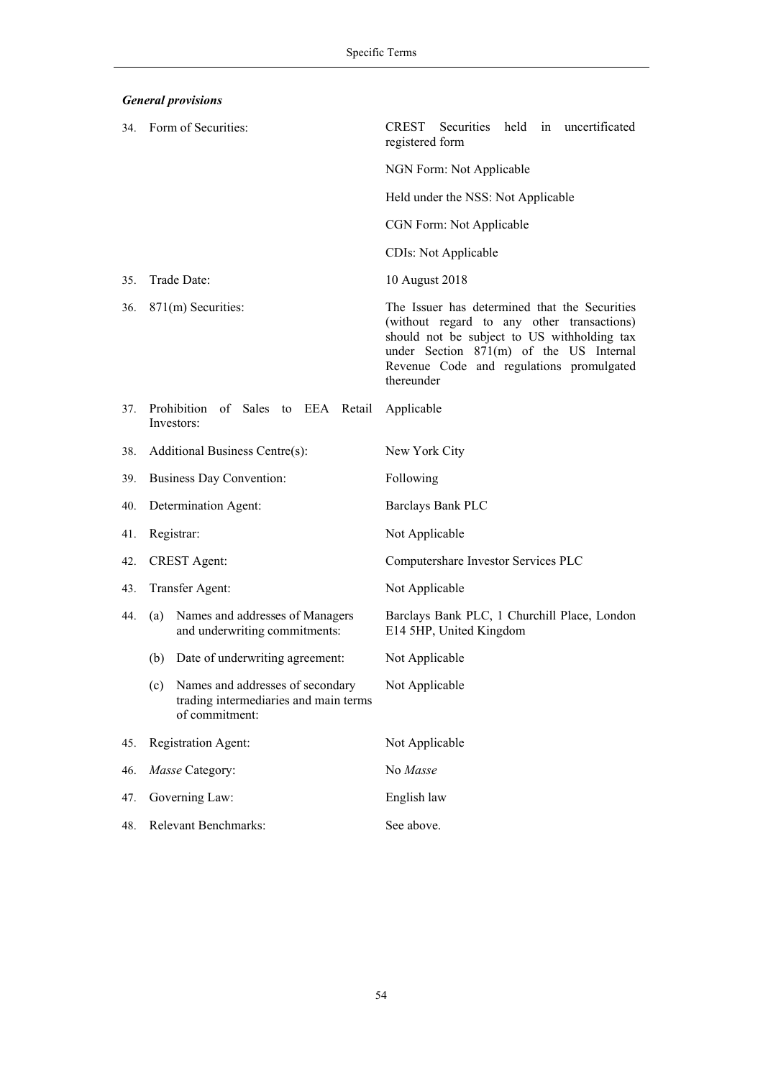*General provisions* 

|     | 34. Form of Securities:                                                                         | held in<br>uncertificated<br>CREST<br>Securities<br>registered form                                                                                                                                                                             |  |  |  |
|-----|-------------------------------------------------------------------------------------------------|-------------------------------------------------------------------------------------------------------------------------------------------------------------------------------------------------------------------------------------------------|--|--|--|
|     |                                                                                                 | NGN Form: Not Applicable                                                                                                                                                                                                                        |  |  |  |
|     |                                                                                                 | Held under the NSS: Not Applicable                                                                                                                                                                                                              |  |  |  |
|     |                                                                                                 | CGN Form: Not Applicable                                                                                                                                                                                                                        |  |  |  |
|     |                                                                                                 | CDIs: Not Applicable                                                                                                                                                                                                                            |  |  |  |
| 35. | Trade Date:                                                                                     | 10 August 2018                                                                                                                                                                                                                                  |  |  |  |
| 36. | 871(m) Securities:                                                                              | The Issuer has determined that the Securities<br>(without regard to any other transactions)<br>should not be subject to US withholding tax<br>under Section 871(m) of the US Internal<br>Revenue Code and regulations promulgated<br>thereunder |  |  |  |
| 37. | Prohibition of Sales to EEA Retail<br>Investors:                                                | Applicable                                                                                                                                                                                                                                      |  |  |  |
| 38. | Additional Business Centre(s):                                                                  | New York City                                                                                                                                                                                                                                   |  |  |  |
| 39. | <b>Business Day Convention:</b>                                                                 | Following                                                                                                                                                                                                                                       |  |  |  |
| 40. | Determination Agent:                                                                            | Barclays Bank PLC                                                                                                                                                                                                                               |  |  |  |
| 41. | Registrar:                                                                                      | Not Applicable                                                                                                                                                                                                                                  |  |  |  |
| 42. | <b>CREST</b> Agent:                                                                             | Computershare Investor Services PLC                                                                                                                                                                                                             |  |  |  |
| 43. | Transfer Agent:                                                                                 | Not Applicable                                                                                                                                                                                                                                  |  |  |  |
| 44. | Names and addresses of Managers<br>(a)<br>and underwriting commitments:                         | Barclays Bank PLC, 1 Churchill Place, London<br>E14 5HP, United Kingdom                                                                                                                                                                         |  |  |  |
|     | Date of underwriting agreement:<br>(b)                                                          | Not Applicable                                                                                                                                                                                                                                  |  |  |  |
|     | (c) Names and addresses of secondary<br>trading intermediaries and main terms<br>of commitment: | Not Applicable                                                                                                                                                                                                                                  |  |  |  |
| 45. | Registration Agent:                                                                             | Not Applicable                                                                                                                                                                                                                                  |  |  |  |
| 46. | Masse Category:                                                                                 | No Masse                                                                                                                                                                                                                                        |  |  |  |
| 47. | Governing Law:                                                                                  | English law                                                                                                                                                                                                                                     |  |  |  |
| 48. | Relevant Benchmarks:                                                                            | See above.                                                                                                                                                                                                                                      |  |  |  |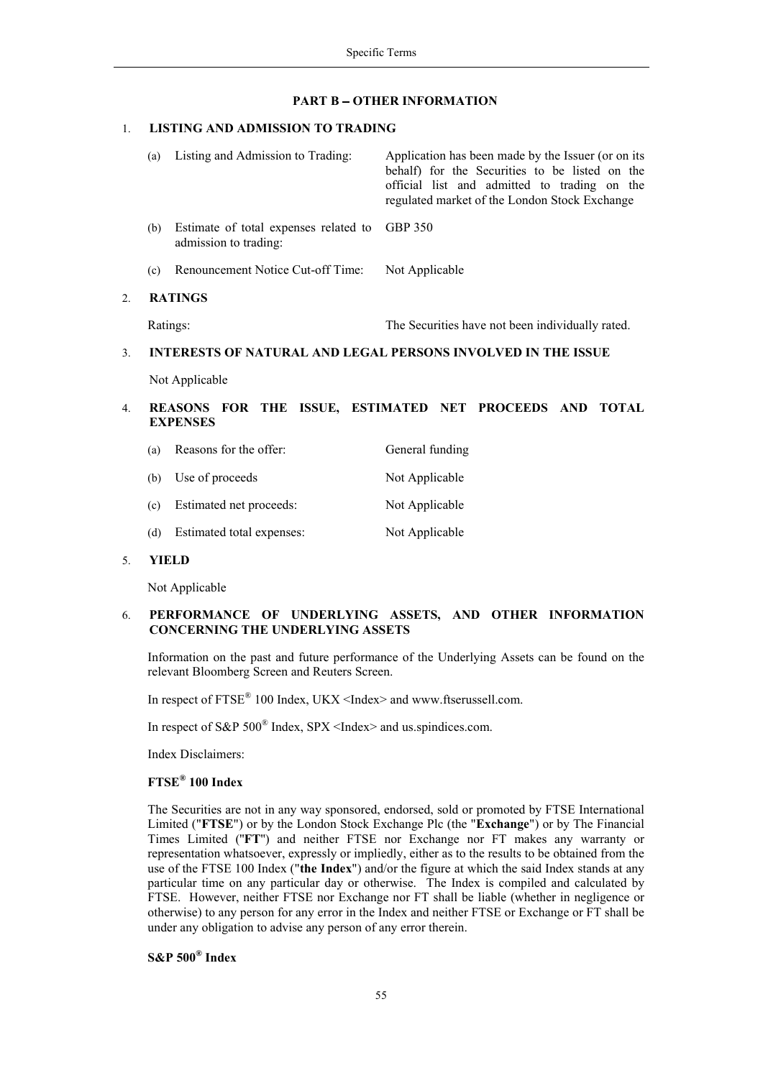#### **PART B - OTHER INFORMATION**

#### 1. **LISTING AND ADMISSION TO TRADING**

|                  | (a)            | Listing and Admission to Trading:                              | Application has been made by the Issuer (or on its<br>behalf) for the Securities to be listed on the<br>official list and admitted to trading on the<br>regulated market of the London Stock Exchange |
|------------------|----------------|----------------------------------------------------------------|-------------------------------------------------------------------------------------------------------------------------------------------------------------------------------------------------------|
|                  | (b)            | Estimate of total expenses related to<br>admission to trading: | GBP 350                                                                                                                                                                                               |
|                  | (c)            | Renouncement Notice Cut-off Time:                              | Not Applicable                                                                                                                                                                                        |
| $\overline{2}$ . | <b>RATINGS</b> |                                                                |                                                                                                                                                                                                       |
|                  | Ratings:       |                                                                | The Securities have not been individually rated.                                                                                                                                                      |

#### 3. **INTERESTS OF NATURAL AND LEGAL PERSONS INVOLVED IN THE ISSUE**

Not Applicable

# 4. **REASONS FOR THE ISSUE, ESTIMATED NET PROCEEDS AND TOTAL EXPENSES**

| (a) | Reasons for the offer:    | General funding |
|-----|---------------------------|-----------------|
| (b) | Use of proceeds           | Not Applicable  |
| (c) | Estimated net proceeds:   | Not Applicable  |
| (d) | Estimated total expenses: | Not Applicable  |

#### 5. **YIELD**

Not Applicable

## 6. **PERFORMANCE OF UNDERLYING ASSETS, AND OTHER INFORMATION CONCERNING THE UNDERLYING ASSETS**

Information on the past and future performance of the Underlying Assets can be found on the relevant Bloomberg Screen and Reuters Screen.

In respect of FTSE<sup>®</sup> 100 Index, UKX <Index> and www.ftserussell.com.

In respect of S&P  $500^{\circ}$  Index, SPX <Index> and us.spindices.com.

Index Disclaimers:

## **FTSE® 100 Index**

The Securities are not in any way sponsored, endorsed, sold or promoted by FTSE International Limited ("**FTSE**") or by the London Stock Exchange Plc (the "**Exchange**") or by The Financial Times Limited (''**FT**'') and neither FTSE nor Exchange nor FT makes any warranty or representation whatsoever, expressly or impliedly, either as to the results to be obtained from the use of the FTSE 100 Index ("**the Index**") and/or the figure at which the said Index stands at any particular time on any particular day or otherwise. The Index is compiled and calculated by FTSE. However, neither FTSE nor Exchange nor FT shall be liable (whether in negligence or otherwise) to any person for any error in the Index and neither FTSE or Exchange or FT shall be under any obligation to advise any person of any error therein.

## **S&P 500® Index**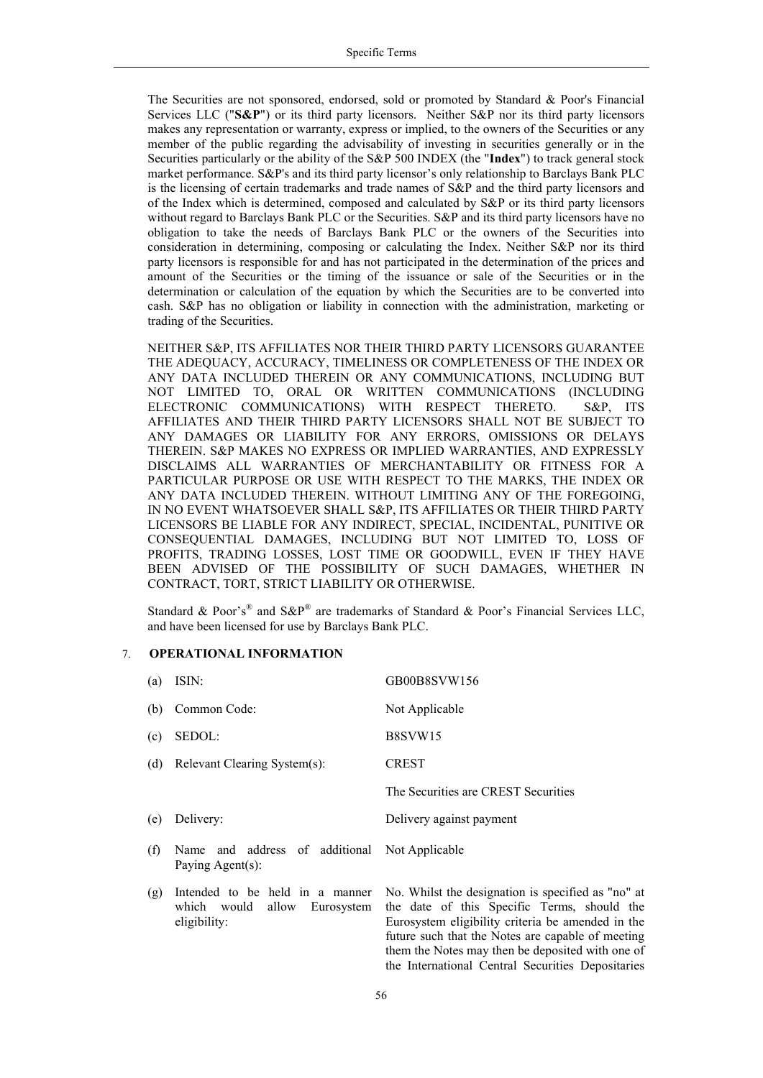The Securities are not sponsored, endorsed, sold or promoted by Standard & Poor's Financial Services LLC ("**S&P**") or its third party licensors. Neither S&P nor its third party licensors makes any representation or warranty, express or implied, to the owners of the Securities or any member of the public regarding the advisability of investing in securities generally or in the Securities particularly or the ability of the S&P 500 INDEX (the "**Index**") to track general stock market performance. S&P's and its third party licensor's only relationship to Barclays Bank PLC is the licensing of certain trademarks and trade names of S&P and the third party licensors and of the Index which is determined, composed and calculated by S&P or its third party licensors without regard to Barclays Bank PLC or the Securities. S&P and its third party licensors have no obligation to take the needs of Barclays Bank PLC or the owners of the Securities into consideration in determining, composing or calculating the Index. Neither S&P nor its third party licensors is responsible for and has not participated in the determination of the prices and amount of the Securities or the timing of the issuance or sale of the Securities or in the determination or calculation of the equation by which the Securities are to be converted into cash. S&P has no obligation or liability in connection with the administration, marketing or trading of the Securities.

NEITHER S&P, ITS AFFILIATES NOR THEIR THIRD PARTY LICENSORS GUARANTEE THE ADEQUACY, ACCURACY, TIMELINESS OR COMPLETENESS OF THE INDEX OR ANY DATA INCLUDED THEREIN OR ANY COMMUNICATIONS, INCLUDING BUT NOT LIMITED TO, ORAL OR WRITTEN COMMUNICATIONS (INCLUDING ELECTRONIC COMMUNICATIONS) WITH RESPECT THERETO. S&P, ITS AFFILIATES AND THEIR THIRD PARTY LICENSORS SHALL NOT BE SUBJECT TO ANY DAMAGES OR LIABILITY FOR ANY ERRORS, OMISSIONS OR DELAYS THEREIN. S&P MAKES NO EXPRESS OR IMPLIED WARRANTIES, AND EXPRESSLY DISCLAIMS ALL WARRANTIES OF MERCHANTABILITY OR FITNESS FOR A PARTICULAR PURPOSE OR USE WITH RESPECT TO THE MARKS, THE INDEX OR ANY DATA INCLUDED THEREIN. WITHOUT LIMITING ANY OF THE FOREGOING, IN NO EVENT WHATSOEVER SHALL S&P, ITS AFFILIATES OR THEIR THIRD PARTY LICENSORS BE LIABLE FOR ANY INDIRECT, SPECIAL, INCIDENTAL, PUNITIVE OR CONSEQUENTIAL DAMAGES, INCLUDING BUT NOT LIMITED TO, LOSS OF PROFITS, TRADING LOSSES, LOST TIME OR GOODWILL, EVEN IF THEY HAVE BEEN ADVISED OF THE POSSIBILITY OF SUCH DAMAGES, WHETHER IN CONTRACT, TORT, STRICT LIABILITY OR OTHERWISE.

Standard & Poor's<sup>®</sup> and S&P<sup>®</sup> are trademarks of Standard & Poor's Financial Services LLC, and have been licensed for use by Barclays Bank PLC.

## 7. **OPERATIONAL INFORMATION**

| (a) | ISIN:                                                                           | GB00B8SVW156                                                                                                                                                                                                                                                    |
|-----|---------------------------------------------------------------------------------|-----------------------------------------------------------------------------------------------------------------------------------------------------------------------------------------------------------------------------------------------------------------|
| (b) | Common Code:                                                                    | Not Applicable                                                                                                                                                                                                                                                  |
| (c) | SEDOL:                                                                          | B8SVW15                                                                                                                                                                                                                                                         |
|     | (d) Relevant Clearing System(s):                                                | <b>CREST</b>                                                                                                                                                                                                                                                    |
|     |                                                                                 | The Securities are CREST Securities                                                                                                                                                                                                                             |
| (e) | Delivery:                                                                       | Delivery against payment                                                                                                                                                                                                                                        |
| (f) | Name and address of additional Not Applicable<br>Paying Agent(s):               |                                                                                                                                                                                                                                                                 |
| (g) | Intended to be held in a manner<br>which would allow Eurosystem<br>eligibility: | No. Whilst the designation is specified as "no" at<br>the date of this Specific Terms, should the<br>Eurosystem eligibility criteria be amended in the<br>future such that the Notes are capable of meeting<br>them the Notes may then be deposited with one of |

the International Central Securities Depositaries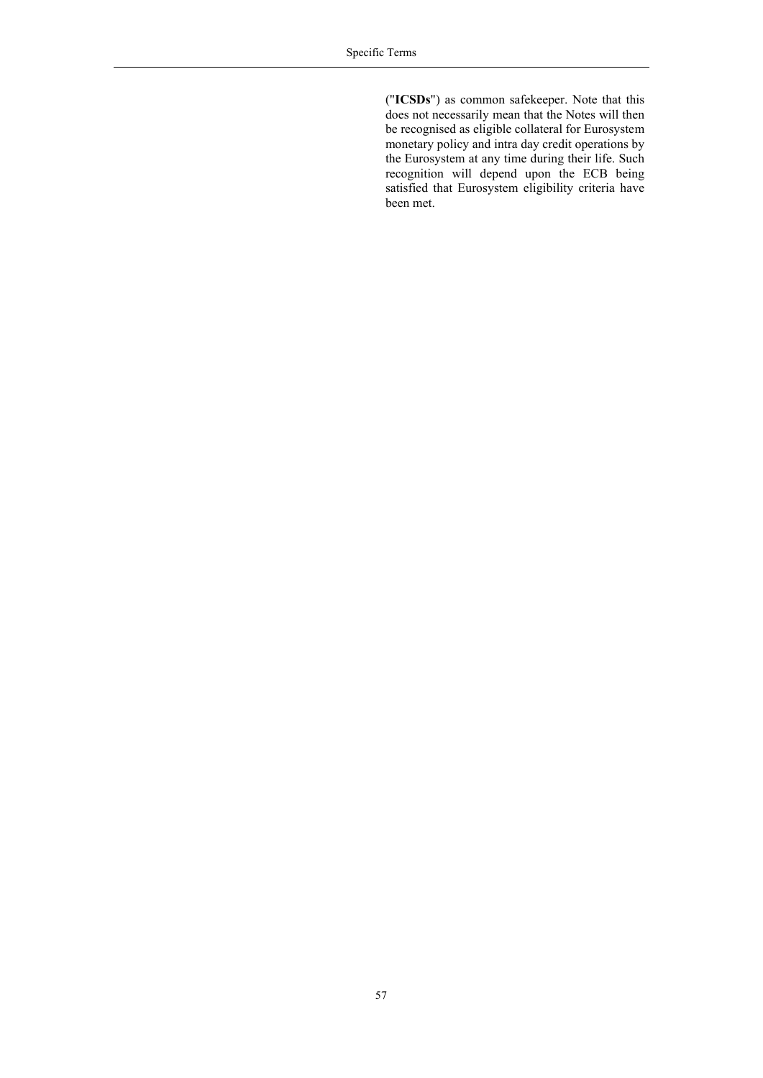("**ICSDs**") as common safekeeper. Note that this does not necessarily mean that the Notes will then be recognised as eligible collateral for Eurosystem monetary policy and intra day credit operations by the Eurosystem at any time during their life. Such recognition will depend upon the ECB being satisfied that Eurosystem eligibility criteria have been met.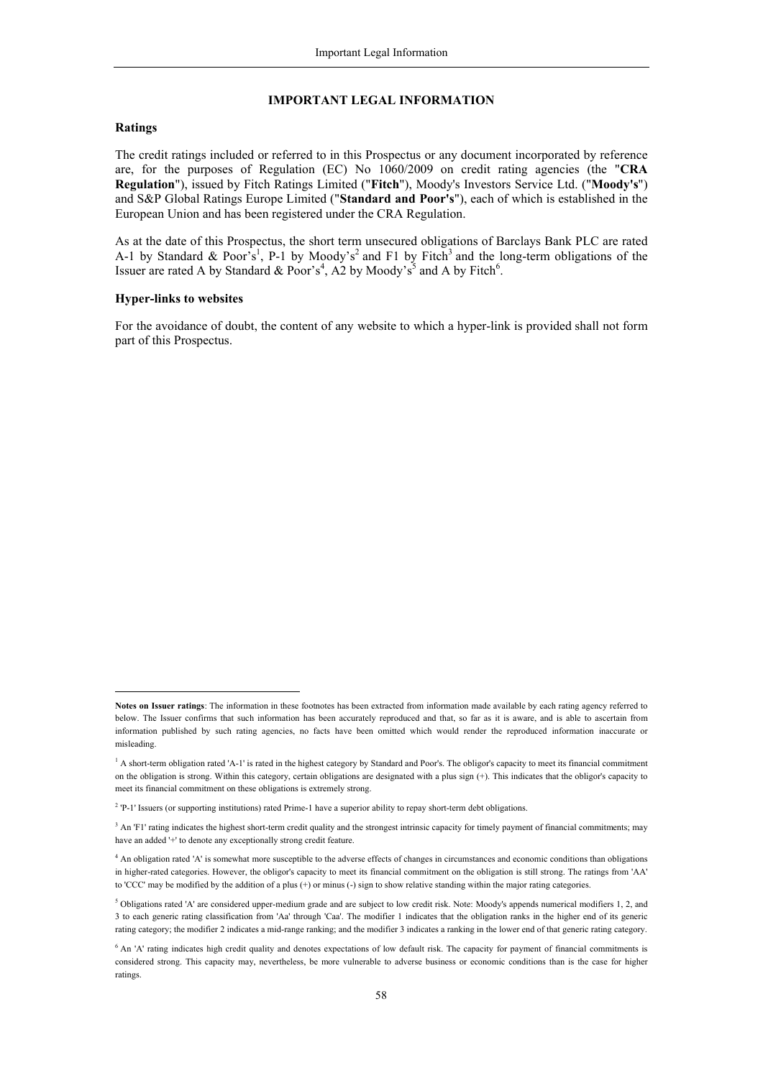#### <span id="page-57-0"></span>**IMPORTANT LEGAL INFORMATION**

#### **Ratings**

l

The credit ratings included or referred to in this Prospectus or any document incorporated by reference are, for the purposes of Regulation (EC) No 1060/2009 on credit rating agencies (the "**CRA Regulation**"), issued by Fitch Ratings Limited ("**Fitch**"), Moody's Investors Service Ltd. ("**Moody's**") and S&P Global Ratings Europe Limited ("**Standard and Poor's**"), each of which is established in the European Union and has been registered under the CRA Regulation.

As at the date of this Prospectus, the short term unsecured obligations of Barclays Bank PLC are rated A-1 by Standard & Poor<sup>'s</sup><sup>1</sup>, P-1 by Moody's<sup>2</sup> and F1 by Fitch<sup>3</sup> and the long-term obligations of the Issuer are rated A by Standard & Poor's<sup>4</sup>, A2 by Moody's<sup>5</sup> and A by Fitch<sup>6</sup>.

#### **Hyper-links to websites**

For the avoidance of doubt, the content of any website to which a hyper-link is provided shall not form part of this Prospectus.

**Notes on Issuer ratings**: The information in these footnotes has been extracted from information made available by each rating agency referred to below. The Issuer confirms that such information has been accurately reproduced and that, so far as it is aware, and is able to ascertain from information published by such rating agencies, no facts have been omitted which would render the reproduced information inaccurate or misleading.

<sup>&</sup>lt;sup>1</sup> A short-term obligation rated 'A-1' is rated in the highest category by Standard and Poor's. The obligor's capacity to meet its financial commitment on the obligation is strong. Within this category, certain obligations are designated with a plus sign (+). This indicates that the obligor's capacity to meet its financial commitment on these obligations is extremely strong.

<sup>&</sup>lt;sup>2</sup> 'P-1' Issuers (or supporting institutions) rated Prime-1 have a superior ability to repay short-term debt obligations.

<sup>&</sup>lt;sup>3</sup> An 'F1' rating indicates the highest short-term credit quality and the strongest intrinsic capacity for timely payment of financial commitments; may have an added '+' to denote any exceptionally strong credit feature.

<sup>4</sup> An obligation rated 'A' is somewhat more susceptible to the adverse effects of changes in circumstances and economic conditions than obligations in higher-rated categories. However, the obligor's capacity to meet its financial commitment on the obligation is still strong. The ratings from 'AA' to 'CCC' may be modified by the addition of a plus (+) or minus (-) sign to show relative standing within the major rating categories.

<sup>&</sup>lt;sup>5</sup> Obligations rated 'A' are considered upper-medium grade and are subject to low credit risk. Note: Moody's appends numerical modifiers 1, 2, and 3 to each generic rating classification from 'Aa' through 'Caa'. The modifier 1 indicates that the obligation ranks in the higher end of its generic rating category; the modifier 2 indicates a mid-range ranking; and the modifier 3 indicates a ranking in the lower end of that generic rating category.

<sup>&</sup>lt;sup>6</sup> An 'A' rating indicates high credit quality and denotes expectations of low default risk. The capacity for payment of financial commitments is considered strong. This capacity may, nevertheless, be more vulnerable to adverse business or economic conditions than is the case for higher ratings.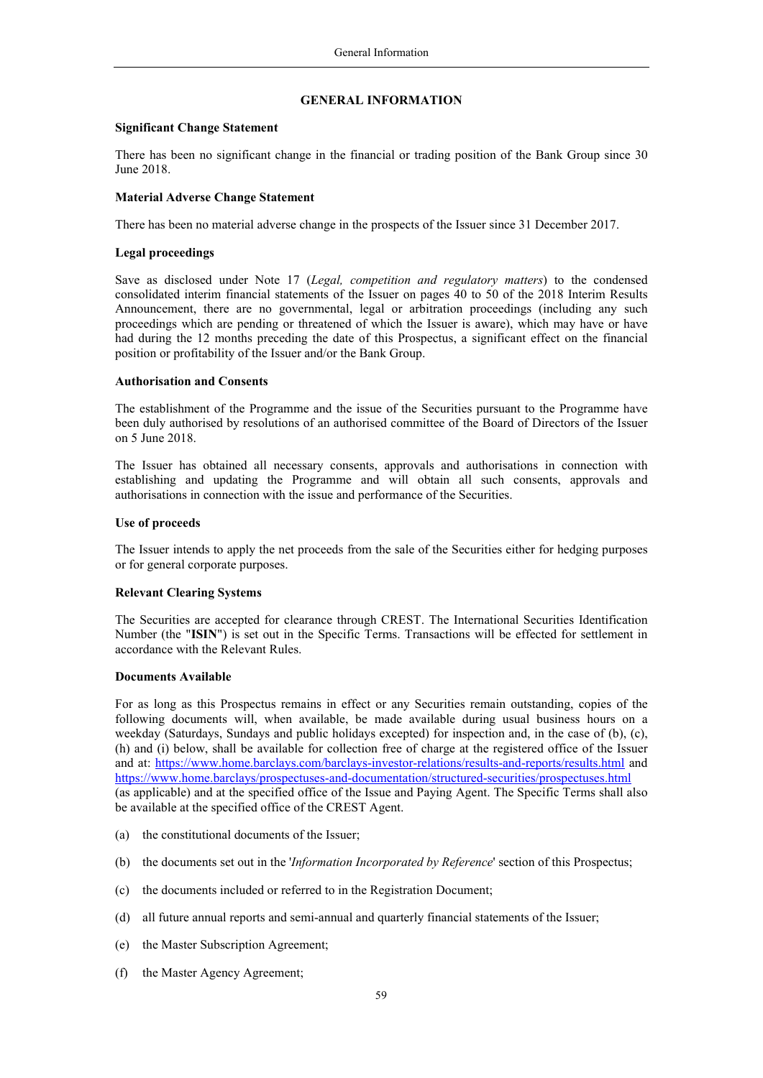#### <span id="page-58-0"></span>**GENERAL INFORMATION**

#### **Significant Change Statement**

There has been no significant change in the financial or trading position of the Bank Group since 30 June 2018.

## **Material Adverse Change Statement**

There has been no material adverse change in the prospects of the Issuer since 31 December 2017.

## **Legal proceedings**

Save as disclosed under Note 17 (*Legal, competition and regulatory matters*) to the condensed consolidated interim financial statements of the Issuer on pages 40 to 50 of the 2018 Interim Results Announcement, there are no governmental, legal or arbitration proceedings (including any such proceedings which are pending or threatened of which the Issuer is aware), which may have or have had during the 12 months preceding the date of this Prospectus, a significant effect on the financial position or profitability of the Issuer and/or the Bank Group.

## **Authorisation and Consents**

The establishment of the Programme and the issue of the Securities pursuant to the Programme have been duly authorised by resolutions of an authorised committee of the Board of Directors of the Issuer on 5 June 2018.

The Issuer has obtained all necessary consents, approvals and authorisations in connection with establishing and updating the Programme and will obtain all such consents, approvals and authorisations in connection with the issue and performance of the Securities.

## **Use of proceeds**

The Issuer intends to apply the net proceeds from the sale of the Securities either for hedging purposes or for general corporate purposes.

## **Relevant Clearing Systems**

The Securities are accepted for clearance through CREST. The International Securities Identification Number (the "**ISIN**") is set out in the Specific Terms. Transactions will be effected for settlement in accordance with the Relevant Rules.

## **Documents Available**

For as long as this Prospectus remains in effect or any Securities remain outstanding, copies of the following documents will, when available, be made available during usual business hours on a weekday (Saturdays, Sundays and public holidays excepted) for inspection and, in the case of (b), (c), (h) and (i) below, shall be available for collection free of charge at the registered office of the Issuer and at: <https://www.home.barclays.com/barclays-investor-relations/results-and-reports/results.html> and <https://www.home.barclays/prospectuses-and-documentation/structured-securities/prospectuses.html> (as applicable) and at the specified office of the Issue and Paying Agent. The Specific Terms shall also be available at the specified office of the CREST Agent.

- (a) the constitutional documents of the Issuer;
- (b) the documents set out in the '*Information Incorporated by Reference*' section of this Prospectus;
- (c) the documents included or referred to in the Registration Document;
- (d) all future annual reports and semi-annual and quarterly financial statements of the Issuer;
- (e) the Master Subscription Agreement;
- (f) the Master Agency Agreement;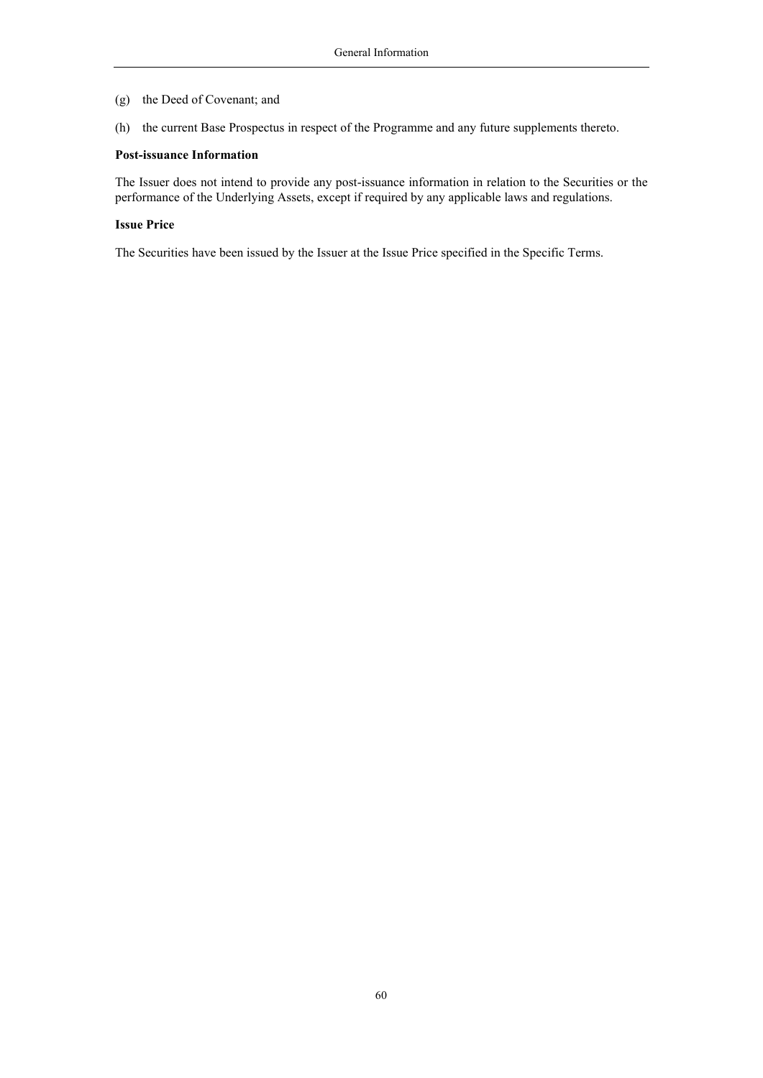- (g) the Deed of Covenant; and
- (h) the current Base Prospectus in respect of the Programme and any future supplements thereto.

#### **Post-issuance Information**

The Issuer does not intend to provide any post-issuance information in relation to the Securities or the performance of the Underlying Assets, except if required by any applicable laws and regulations.

#### **Issue Price**

The Securities have been issued by the Issuer at the Issue Price specified in the Specific Terms.